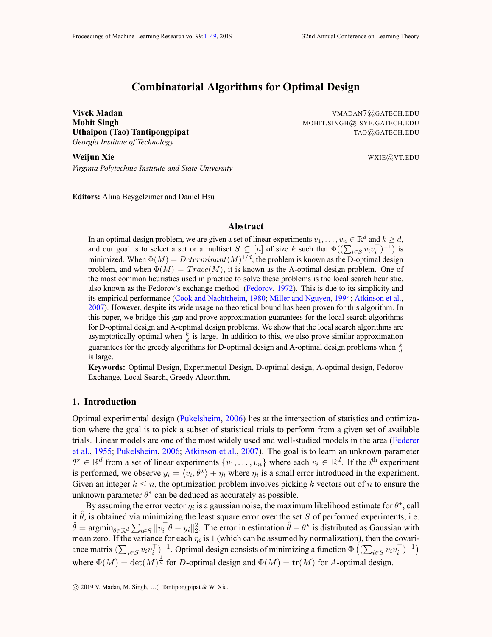# **Combinatorial Algorithms for Optimal Design**

*Georgia Institute of Technology*

**Vivek Madan** VMADAN7@GATECH.EDU **Mohit Singh** Mohit Singh Mohit Singh Mohit Singh Mohit Singh Mohit Singh Mohit Singh Mohit Singh Mohit Singh Mohi **Uthaipon (Tao) Tantipongpipat** TAO@GATECH.EDU

**Weijun Xie** WALES WARD WATER WATER WATER WATER WATER WATER WATER WATER WATER WATER WATER WATER WATER WATER WATERS *Virginia Polytechnic Institute and State University*

**Editors:** Alina Beygelzimer and Daniel Hsu

# **Abstract**

In an optimal design problem, we are given a set of linear experiments  $v_1, \ldots, v_n \in \mathbb{R}^d$  and  $k \geq d$ , and our goal is to select a set or a multiset  $S \subseteq [n]$  of size k such that  $\Phi((\sum_{i \in S} v_i v_i^{\top})^{-1})$  is minimized. When  $\Phi(M) = Determinant(M)^{1/d}$ , the problem is known as the D-optimal design problem, and when  $\Phi(M) = Trace(M)$ , it is known as the A-optimal design problem. One of the most common heuristics used in practice to solve these problems is the local search heuristic, also known as the Fedorov's exchange method [\(Fedorov,](#page-12-0) [1972\)](#page-12-0). This is due to its simplicity and its empirical performance ([Cook and Nachtrheim,](#page-12-0) [1980](#page-12-0); [Miller and Nguyen](#page-12-0), [1994](#page-12-0); [Atkinson et al.,](#page-12-0) [2007\)](#page-12-0). However, despite its wide usage no theoretical bound has been proven for this algorithm. In this paper, we bridge this gap and prove approximation guarantees for the local search algorithms for D-optimal design and A-optimal design problems. We show that the local search algorithms are asymptotically optimal when  $\frac{k}{d}$  is large. In addition to this, we also prove similar approximation guarantees for the greedy algorithms for D-optimal design and A-optimal design problems when  $\frac{k}{d}$ is large.

**Keywords:** Optimal Design, Experimental Design, D-optimal design, A-optimal design, Fedorov Exchange, Local Search, Greedy Algorithm.

# **1. Introduction**

Optimal experimental design ([Pukelsheim,](#page-13-0) [2006](#page-13-0)) lies at the intersection of statistics and optimization where the goal is to pick a subset of statistical trials to perform from a given set of available trials. Linear models are one of the most widely used and well-studied models in the area ([Federer](#page-12-0) [et al.,](#page-12-0) [1955](#page-12-0); [Pukelsheim](#page-13-0), [2006;](#page-13-0) [Atkinson et al.](#page-12-0), [2007](#page-12-0)). The goal is to learn an unknown parameter  $\theta^* \in \mathbb{R}^d$  from a set of linear experiments  $\{v_1, \ldots, v_n\}$  where each  $v_i \in \mathbb{R}^d$ . If the  $i^{\text{th}}$  experiment is performed, we observe  $y_i = \langle v_i, \theta^* \rangle + \eta_i$  where  $\eta_i$  is a small error introduced in the experiment. Given an integer  $k \leq n$ , the optimization problem involves picking k vectors out of n to ensure the unknown parameter  $\theta^*$  can be deduced as accurately as possible.

By assuming the error vector  $\eta_i$  is a gaussian noise, the maximum likelihood estimate for  $\theta^*$ , call it  $\hat{\theta}$ , is obtained via minimizing the least square error over the set S of performed experiments, i.e. it  $\hat{\theta}$ , is obtained via minimizing the least square error over the set S of performed experiments, i.e.  $\hat{\theta} = \operatorname{argmin}_{\theta \in \mathbb{R}^d} \sum_{i \in S} ||v_i^{\top} \theta - y_i||_2^2$ . The error in estimation  $\hat{\theta} - \theta^*$  is distributed as Gau mean zero. If the variance for each  $\eta_i$  is 1 (which can be assumed by normalization), then the covariance matrix  $(\sum_{i \in S} v_i v_i^\top)^{-1}$ . Optimal design consists of minimizing a function  $\Phi((\sum_{i \in S} v_i v_i^\top)^{-1})$ where  $\Phi(M) = \det(M)^{\frac{1}{d}}$  for D-optimal design and  $\Phi(M) = \text{tr}(M)$  for A-optimal design.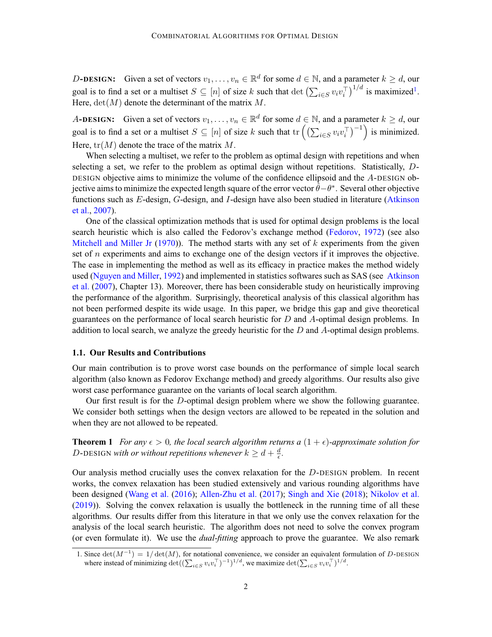<span id="page-1-0"></span>D-DESIGN: Given a set of vectors  $v_1, \ldots, v_n \in \mathbb{R}^d$  for some  $d \in \mathbb{N}$ , and a parameter  $k \geq d$ , our goal is to find a set or a multiset  $S \subseteq [n]$  of size k such that  $\det \left( \sum_{i \in S} v_i v_i^\top \right)^{1/d}$  is maximized<sup>1</sup>. Here,  $det(M)$  denote the determinant of the matrix M.

A**-DESIGN:** Given a set of vectors  $v_1, \ldots, v_n \in \mathbb{R}^d$  for some  $d \in \mathbb{N}$ , and a parameter  $k \geq d$ , our goal is to find a set or a multiset  $S \subseteq [n]$  of size k such that  $tr\left(\left(\sum_{i \in S} v_i v_i^\top\right)^{-1}\right)$  is minimized. Here,  $tr(M)$  denote the trace of the matrix M.

When selecting a multiset, we refer to the problem as optimal design with repetitions and when selecting a set, we refer to the problem as optimal design without repetitions. Statistically, D-DESIGN objective aims to minimize the volume of the confidence ellipsoid and the A-DESIGN objective aims to minimize the expected length square of the error vector  $\hat{\theta}-\theta^*$ . Several other objective functions such as E-design, G-design, and I-design have also been studied in literature ([Atkinson](#page-12-0) [et al.](#page-12-0), [2007](#page-12-0)).

One of the classical optimization methods that is used for optimal design problems is the local search heuristic which is also called the Fedorov's exchange method ([Fedorov,](#page-12-0) [1972\)](#page-12-0) (see also [Mitchell and Miller Jr](#page-12-0) [\(1970](#page-12-0))). The method starts with any set of  $k$  experiments from the given set of  $n$  experiments and aims to exchange one of the design vectors if it improves the objective. The ease in implementing the method as well as its efficacy in practice makes the method widely used ([Nguyen and Miller](#page-12-0), [1992](#page-12-0)) and implemented in statistics softwares such as SAS (see [Atkinson](#page-12-0) [et al.](#page-12-0) ([2007\)](#page-12-0), Chapter 13). Moreover, there has been considerable study on heuristically improving the performance of the algorithm. Surprisingly, theoretical analysis of this classical algorithm has not been performed despite its wide usage. In this paper, we bridge this gap and give theoretical guarantees on the performance of local search heuristic for  $D$  and  $A$ -optimal design problems. In addition to local search, we analyze the greedy heuristic for the  $D$  and  $A$ -optimal design problems.

#### **1.1. Our Results and Contributions**

Our main contribution is to prove worst case bounds on the performance of simple local search algorithm (also known as Fedorov Exchange method) and greedy algorithms. Our results also give worst case performance guarantee on the variants of local search algorithm.

Our first result is for the D-optimal design problem where we show the following guarantee. We consider both settings when the design vectors are allowed to be repeated in the solution and when they are not allowed to be repeated.

**Theorem 1** *For any*  $\epsilon > 0$ *, the local search algorithm returns a*  $(1 + \epsilon)$ *-approximate solution for* D-DESIGN with or without repetitions whenever  $k \geq d + \frac{d}{\epsilon}$ .

Our analysis method crucially uses the convex relaxation for the D-DESIGN problem. In recent works, the convex relaxation has been studied extensively and various rounding algorithms have been designed ([Wang et al.](#page-13-0) [\(2016](#page-13-0)); [Allen-Zhu et al.](#page-12-0) ([2017\)](#page-12-0); [Singh and Xie](#page-13-0) [\(2018](#page-13-0)); [Nikolov et al.](#page-13-0) ([2019](#page-13-0))). Solving the convex relaxation is usually the bottleneck in the running time of all these algorithms. Our results differ from this literature in that we only use the convex relaxation for the analysis of the local search heuristic. The algorithm does not need to solve the convex program (or even formulate it). We use the *dual-fitting* approach to prove the guarantee. We also remark

<sup>1.</sup> Since  $\det(M^{-1}) = 1/\det(M)$ , for notational convenience, we consider an equivalent formulation of D-DESIGN where instead of minimizing  $\det((\sum_{i \in S} v_i v_i^{\top})^{-1})^{1/d}$ , we maximize  $\det(\sum_{i \in S} v_i v_i^{\top})^{1/d}$ .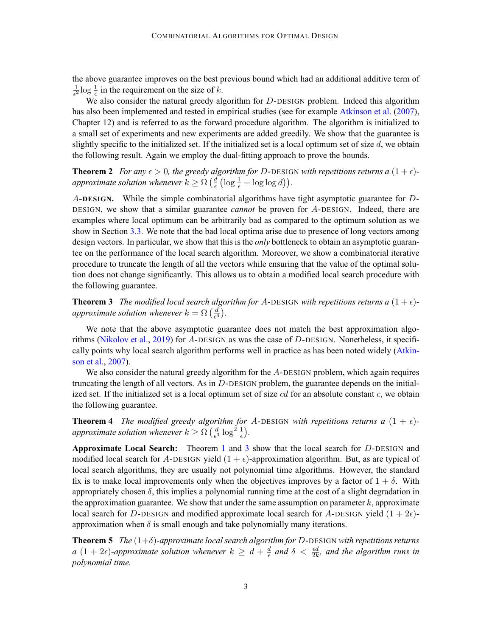<span id="page-2-0"></span>the above guarantee improves on the best previous bound which had an additional additive term of  $\frac{1}{\epsilon^2}$ log  $\frac{1}{\epsilon}$  in the requirement on the size of k.

We also consider the natural greedy algorithm for D-DESIGN problem. Indeed this algorithm has also been implemented and tested in empirical studies (see for example [Atkinson et al.](#page-12-0) ([2007\)](#page-12-0), Chapter 12) and is referred to as the forward procedure algorithm. The algorithm is initialized to a small set of experiments and new experiments are added greedily. We show that the guarantee is slightly specific to the initialized set. If the initialized set is a local optimum set of size d, we obtain the following result. Again we employ the dual-fitting approach to prove the bounds.

**Theorem 2** *For any*  $\epsilon > 0$ *, the greedy algorithm for D-DESIGN with repetitions returns a*  $(1 + \epsilon)$ *approximate solution whenever*  $k \geq \Omega \left( \frac{d}{\epsilon} \left( \log \frac{1}{\epsilon} + \log \log d \right) \right)$ .

A**-DESIGN.** While the simple combinatorial algorithms have tight asymptotic guarantee for D-DESIGN, we show that a similar guarantee *cannot* be proven for A-DESIGN. Indeed, there are examples where local optimum can be arbitrarily bad as compared to the optimum solution as we show in Section [3.3.](#page-10-0) We note that the bad local optima arise due to presence of long vectors among design vectors. In particular, we show that this is the *only* bottleneck to obtain an asymptotic guarantee on the performance of the local search algorithm. Moreover, we show a combinatorial iterative procedure to truncate the length of all the vectors while ensuring that the value of the optimal solution does not change significantly. This allows us to obtain a modified local search procedure with the following guarantee.

**Theorem 3** *The modified local search algorithm for A-DESIGN with repetitions returns a*  $(1 + \epsilon)$ *approximate solution whenever*  $k = \Omega\left(\frac{d}{\epsilon^4}\right)$ .

We note that the above asymptotic guarantee does not match the best approximation algo-rithms [\(Nikolov et al.](#page-13-0), [2019\)](#page-13-0) for A-DESIGN as was the case of  $D$ -DESIGN. Nonetheless, it specifically points why local search algorithm performs well in practice as has been noted widely [\(Atkin](#page-12-0)[son et al.](#page-12-0), [2007](#page-12-0)).

We also consider the natural greedy algorithm for the A-DESIGN problem, which again requires truncating the length of all vectors. As in  $D$ -DESIGN problem, the guarantee depends on the initialized set. If the initialized set is a local optimum set of size  $cd$  for an absolute constant  $c$ , we obtain the following guarantee.

**Theorem 4** *The modified greedy algorithm for A-DESIGN with repetitions returns a*  $(1 + \epsilon)$ *approximate solution whenever*  $k \ge \Omega \left( \frac{d}{\epsilon^3} \log^2 \frac{1}{\epsilon} \right)$ .

**Approximate Local Search:** Theorem [1](#page-1-0) and 3 show that the local search for D-DESIGN and modified local search for A-DESIGN yield  $(1 + \epsilon)$ -approximation algorithm. But, as are typical of local search algorithms, they are usually not polynomial time algorithms. However, the standard fix is to make local improvements only when the objectives improves by a factor of  $1 + \delta$ . With appropriately chosen  $\delta$ , this implies a polynomial running time at the cost of a slight degradation in the approximation guarantee. We show that under the same assumption on parameter  $k$ , approximate local search for D-DESIGN and modified approximate local search for A-DESIGN yield  $(1 + 2\epsilon)$ approximation when  $\delta$  is small enough and take polynomially many iterations.

**Theorem 5** *The* (1+δ)*-approximate local search algorithm for* D-DESIGN *with repetitions returns*  $a(1+2\epsilon)$ -approximate solution whenever  $k \geq d + \frac{d}{\epsilon}$  and  $\delta < \frac{\epsilon d}{2k}$ , and the algorithm runs in *polynomial time.*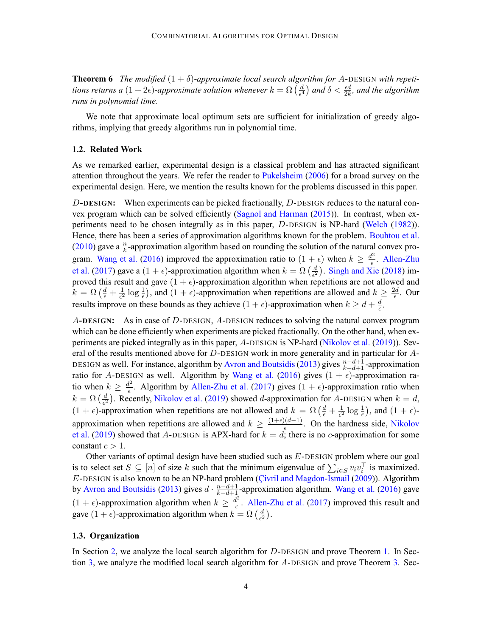**Theorem 6** *The modified*  $(1 + \delta)$ -approximate local search algorithm for A-DESIGN with repetitions returns a  $(1+2\epsilon)$ -approximate solution whenever  $k = \Omega\left(\frac{d}{\epsilon^4}\right)$  and  $\delta < \frac{\epsilon d}{2k}$ , and the algorithm *runs in polynomial time.*

We note that approximate local optimum sets are sufficient for initialization of greedy algorithms, implying that greedy algorithms run in polynomial time.

# **1.2. Related Work**

As we remarked earlier, experimental design is a classical problem and has attracted significant attention throughout the years. We refer the reader to [Pukelsheim](#page-13-0) ([2006](#page-13-0)) for a broad survey on the experimental design. Here, we mention the results known for the problems discussed in this paper.

D**-DESIGN:** When experiments can be picked fractionally, D-DESIGN reduces to the natural convex program which can be solved efficiently ([Sagnol and Harman](#page-13-0) [\(2015\)](#page-13-0)). In contrast, when experiments need to be chosen integrally as in this paper, D-DESIGN is NP-hard ([Welch](#page-13-0) [\(1982](#page-13-0))). Hence, there has been a series of approximation algorithms known for the problem. [Bouhtou et al.](#page-12-0) ([2010](#page-12-0)) gave a  $\frac{n}{k}$ -approximation algorithm based on rounding the solution of the natural convex pro-gram. [Wang et al.](#page-13-0) [\(2016](#page-13-0)) improved the approximation ratio to  $(1 + \epsilon)$  when  $k \ge \frac{d^2}{\epsilon}$ . [Allen-Zhu](#page-12-0) [et al.](#page-12-0) ([2017\)](#page-12-0) gave a  $(1 + \epsilon)$ -approximation algorithm when  $k = \Omega\left(\frac{d}{\epsilon^2}\right)$ . [Singh and Xie](#page-13-0) [\(2018](#page-13-0)) improved this result and gave  $(1 + \epsilon)$ -approximation algorithm when repetitions are not allowed and  $k = \Omega\left(\frac{d}{\epsilon} + \frac{1}{\epsilon^2}\log\frac{1}{\epsilon}\right)$ , and  $(1 + \epsilon)$ -approximation when repetitions are allowed and  $k \geq \frac{2d}{\epsilon}$ . Our results improve on these bounds as they achieve  $(1 + \epsilon)$ -approximation when  $k \geq d + \frac{d}{\epsilon}$ .

A**-DESIGN:** As in case of D-DESIGN, A-DESIGN reduces to solving the natural convex program which can be done efficiently when experiments are picked fractionally. On the other hand, when experiments are picked integrally as in this paper, A-DESIGN is NP-hard ([Nikolov et al.](#page-13-0) [\(2019\)](#page-13-0)). Several of the results mentioned above for D-DESIGN work in more generality and in particular for A-DESIGN as well. For instance, algorithm by [Avron and Boutsidis](#page-12-0) [\(2013\)](#page-12-0) gives  $\frac{n-d+1}{k-d+1}$ -approximation ratio for A-DESIGN as well. Algorithm by [Wang et al.](#page-13-0) ([2016](#page-13-0)) gives  $(1 + \epsilon)$ -approximation ratio when  $k \geq \frac{d^2}{\epsilon}$ . Algorithm by [Allen-Zhu et al.](#page-12-0) [\(2017](#page-12-0)) gives  $(1 + \epsilon)$ -approximation ratio when  $k = \Omega\left(\frac{d}{\epsilon^2}\right)$ . Recently, [Nikolov et al.](#page-13-0) ([2019](#page-13-0)) showed d-approximation for A-DESIGN when  $k = d$ ,  $(1 + \epsilon)$ -approximation when repetitions are not allowed and  $k = \Omega\left(\frac{d}{\epsilon} + \frac{1}{\epsilon^2}\log\frac{1}{\epsilon}\right)$ , and  $(1 + \epsilon)$ approximation when repetitions are allowed and  $k \geq \frac{(1+\epsilon)(d-1)}{\epsilon}$ . On the hardness side, [Nikolov](#page-13-0) [et al.](#page-13-0) [\(2019\)](#page-13-0) showed that A-DESIGN is APX-hard for  $k = d$ ; there is no c-approximation for some constant  $c > 1$ .

Other variants of optimal design have been studied such as E-DESIGN problem where our goal is to select set  $S \subseteq [n]$  of size k such that the minimum eigenvalue of  $\sum_{i \in S} v_i v_i^{\top}$  is maximized. E-DESIGN is also known to be an NP-hard problem (Civril and Magdon-Ismail [\(2009](#page-12-0))). Algorithm by [Avron and Boutsidis](#page-12-0) [\(2013](#page-12-0)) gives  $d \cdot \frac{n-d+1}{k-d+1}$ -approximation algorithm. [Wang et al.](#page-13-0) [\(2016](#page-13-0)) gave  $(1 + \epsilon)$ -approximation algorithm when  $k \geq \frac{d^2}{\epsilon}$ . [Allen-Zhu et al.](#page-12-0) ([2017\)](#page-12-0) improved this result and gave  $(1 + \epsilon)$ -approximation algorithm when  $k = \Omega\left(\frac{d}{\epsilon^2}\right)$ .

### **1.3. Organization**

In Section [2,](#page-4-0) we analyze the local search algorithm for  $D$ -DESIGN and prove Theorem [1.](#page-1-0) In Section [3,](#page-7-0) we analyze the modified local search algorithm for A-DESIGN and prove Theorem [3](#page-2-0). Sec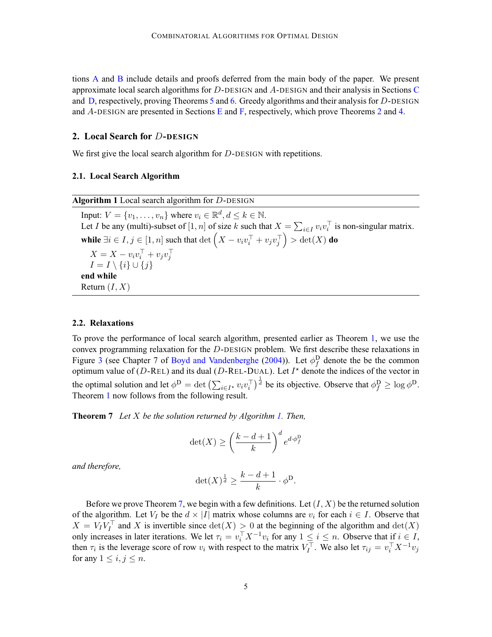<span id="page-4-0"></span>tions [A](#page-13-0) and [B](#page-17-0) include details and proofs deferred from the main body of the paper. We present approximate local search algorithms for  $D$ -DESIGN and  $A$ -DESIGN and their analysis in Sections [C](#page-33-0) and [D,](#page-36-0) respectively, proving Theorems [5](#page-2-0) and [6](#page-2-0). Greedy algorithms and their analysis for D-DESIGN and A-DESIGN are presented in Sections [E](#page-37-0) and [F](#page-42-0), respectively, which prove Theorems [2](#page-2-0) and [4.](#page-2-0)

# **2. Local Search for** D**-DESIGN**

We first give the local search algorithm for D-DESIGN with repetitions.

# **2.1. Local Search Algorithm**

# **2.2. Relaxations**

To prove the performance of local search algorithm, presented earlier as Theorem [1](#page-1-0), we use the convex programming relaxation for the D-DESIGN problem. We first describe these relaxations in Figure [3](#page-5-0) (see Chapter 7 of [Boyd and Vandenberghe](#page-12-0) [\(2004](#page-12-0))). Let  $\phi_f^D$  denote the be the common optimum value of (D-REL) and its dual (D-REL-DUAL). Let  $I^*$  denote the indices of the vector in the optimal solution and let  $\phi^D = \det \left( \sum_{i \in I^*} v_i v_i^\top \right)^{\frac{1}{d}}$  be its objective. Observe that  $\phi_f^D \ge \log \phi^D$ . Theorem [1](#page-1-0) now follows from the following result.

**Theorem 7** *Let* X *be the solution returned by Algorithm 1. Then,*

$$
\det(X) \ge \left(\frac{k-d+1}{k}\right)^d e^{d \cdot \phi_f^D}
$$

*and therefore,*

$$
\det(X)^{\frac{1}{d}} \ge \frac{k-d+1}{k} \cdot \phi^{\mathsf{D}}.
$$

Before we prove Theorem 7, we begin with a few definitions. Let  $(I, X)$  be the returned solution of the algorithm. Let  $V_I$  be the  $d \times |I|$  matrix whose columns are  $v_i$  for each  $i \in I$ . Observe that  $X = V_I V_I^{\perp}$  and X is invertible since  $\det(X) > 0$  at the beginning of the algorithm and  $\det(X)$ only increases in later iterations. We let  $\tau_i = v_i^{\top} X^{-1} v_i$  for any  $1 \leq i \leq n$ . Observe that if  $i \in I$ , then  $\tau_i$  is the leverage score of row  $v_i$  with respect to the matrix  $V_I^{\top}$ . We also let  $\tau_{ij} = v_i^{\top} X^{-1} v_j$ for any  $1 \leq i, j \leq n$ .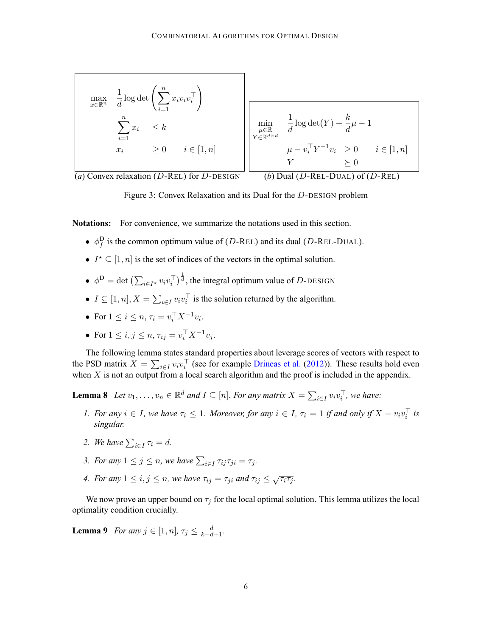<span id="page-5-0"></span>

Figure 3: Convex Relaxation and its Dual for the D-DESIGN problem

**Notations:** For convenience, we summarize the notations used in this section.

- $\phi_f^D$  is the common optimum value of (D-REL) and its dual (D-REL-DUAL).
- $I^* \subseteq [1, n]$  is the set of indices of the vectors in the optimal solution.
- $\phi^D = \det \left( \sum_{i \in I^*} v_i v_i^\top \right)^{\frac{1}{d}}$ , the integral optimum value of D-DESIGN
- $I \subseteq [1, n], X = \sum_{i \in I} v_i v_i^{\top}$  is the solution returned by the algorithm.
- For  $1 \le i \le n$ ,  $\tau_i = v_i^{\top} X^{-1} v_i$ .
- For  $1 \le i, j \le n, \tau_{ij} = v_i^{\top} X^{-1} v_j$ .

The following lemma states standard properties about leverage scores of vectors with respect to the PSD matrix  $X = \sum_{i \in I} v_i v_i^\top$  (see for example [Drineas et al.](#page-12-0) ([2012](#page-12-0))). These results hold even when  $X$  is not an output from a local search algorithm and the proof is included in the appendix.

**Lemma 8** *Let*  $v_1, \ldots, v_n \in \mathbb{R}^d$  *and*  $I \subseteq [n]$ *. For any matrix*  $X = \sum_{i \in I} v_i v_i^{\top}$ *, we have:* 

- *1. For any*  $i \in I$ *, we have*  $\tau_i \leq 1$ *. Moreover, for any*  $i \in I$ *,*  $\tau_i = 1$  *if and only if*  $X v_i v_i^{\dagger}$  *is singular.*
- 2. We have  $\sum_{i \in I} \tau_i = d$ .
- *3. For any*  $1 \leq j \leq n$ , we have  $\sum_{i \in I} \tau_{ij} \tau_{ji} = \tau_j$ .
- *4. For any*  $1 \leq i, j \leq n$ , we have  $\tau_{ij} = \tau_{ji}$  and  $\tau_{ij} \leq \sqrt{\tau_i \tau_j}$ .

We now prove an upper bound on  $\tau_i$  for the local optimal solution. This lemma utilizes the local optimality condition crucially.

**Lemma 9** *For any*  $j \in [1, n]$ ,  $\tau_j \leq \frac{d}{k-d+1}$ *.*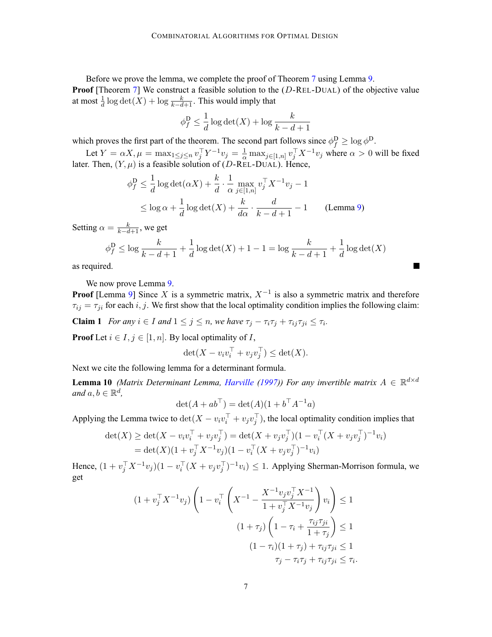<span id="page-6-0"></span>Before we prove the lemma, we complete the proof of Theorem [7](#page-4-0) using Lemma [9.](#page-5-0) **Proof** [Theorem [7\]](#page-4-0) We construct a feasible solution to the (D-REL-DUAL) of the objective value at most  $\frac{1}{d} \log \det(X) + \log \frac{k}{k-d+1}$ . This would imply that

$$
\phi_f^D \le \frac{1}{d} \log \det(X) + \log \frac{k}{k - d + 1}
$$

which proves the first part of the theorem. The second part follows since  $\phi_f^D \ge \log \phi^D$ .

Let  $Y = \alpha X, \mu = \max_{1 \le j \le n} v_j^{\top} Y^{-1} v_j = \frac{1}{\alpha} \max_{j \in [1,n]} v_j^{\top} X^{-1} v_j$  where  $\alpha > 0$  will be fixed later. Then,  $(Y, \mu)$  is a feasible solution of (D-REL-DUAL). Hence,

$$
\phi_f^D \le \frac{1}{d} \log \det(\alpha X) + \frac{k}{d} \cdot \frac{1}{\alpha} \max_{j \in [1,n]} v_j^\top X^{-1} v_j - 1
$$
  
 
$$
\le \log \alpha + \frac{1}{d} \log \det(X) + \frac{k}{d\alpha} \cdot \frac{d}{k - d + 1} - 1
$$
 (Lemma 9)

Setting  $\alpha = \frac{k}{k-d+1}$ , we get

$$
\phi_f^{\mathbf{D}} \le \log \frac{k}{k-d+1} + \frac{1}{d} \log \det(X) + 1 - 1 = \log \frac{k}{k-d+1} + \frac{1}{d} \log \det(X)
$$

**College** 

as required.

We now prove Lemma [9.](#page-5-0)

**Proof** [Lemma [9](#page-5-0)] Since X is a symmetric matrix,  $X^{-1}$  is also a symmetric matrix and therefore  $\tau_{ij} = \tau_{ji}$  for each i, j. We first show that the local optimality condition implies the following claim:

**Claim 1** *For any*  $i \in I$  *and*  $1 \leq j \leq n$ *, we have*  $\tau_j - \tau_i \tau_j + \tau_{ij} \tau_{ji} \leq \tau_i$ *.* 

**Proof** Let  $i \in I$ ,  $j \in [1, n]$ . By local optimality of I,

$$
\det(X - v_i v_i^{\top} + v_j v_j^{\top}) \le \det(X).
$$

Next we cite the following lemma for a determinant formula.

**Lemma 10** *(Matrix Determinant Lemma, [Harville](#page-12-0) ([1997](#page-12-0))) For any invertible matrix*  $A \in \mathbb{R}^{d \times d}$ *and*  $a, b \in \mathbb{R}^d$ ,

$$
\det(A + ab^{\top}) = \det(A)(1 + b^{\top}A^{-1}a)
$$

Applying the Lemma twice to  $\det(X - v_i v_i^{\top} + v_j v_j^{\top})$ , the local optimality condition implies that

$$
\det(X) \ge \det(X - v_i v_i^{\top} + v_j v_j^{\top}) = \det(X + v_j v_j^{\top})(1 - v_i^{\top}(X + v_j v_j^{\top})^{-1} v_i)
$$
  
=  $\det(X)(1 + v_j^{\top} X^{-1} v_j)(1 - v_i^{\top} (X + v_j v_j^{\top})^{-1} v_i)$ 

Hence,  $(1 + v_j^{\top} X^{-1} v_j)(1 - v_i^{\top} (X + v_j v_j^{\top})^{-1} v_i) \leq 1$ . Applying Sherman-Morrison formula, we get

$$
(1 + v_j^{\top} X^{-1} v_j) \left( 1 - v_i^{\top} \left( X^{-1} - \frac{X^{-1} v_j v_j^{\top} X^{-1}}{1 + v_j^{\top} X^{-1} v_j} \right) v_i \right) \le 1
$$

$$
(1 + \tau_j) \left( 1 - \tau_i + \frac{\tau_{ij} \tau_{ji}}{1 + \tau_j} \right) \le 1
$$

$$
(1 - \tau_i)(1 + \tau_j) + \tau_{ij} \tau_{ji} \le 1
$$

$$
\tau_j - \tau_i \tau_j + \tau_{ij} \tau_{ji} \le \tau_i.
$$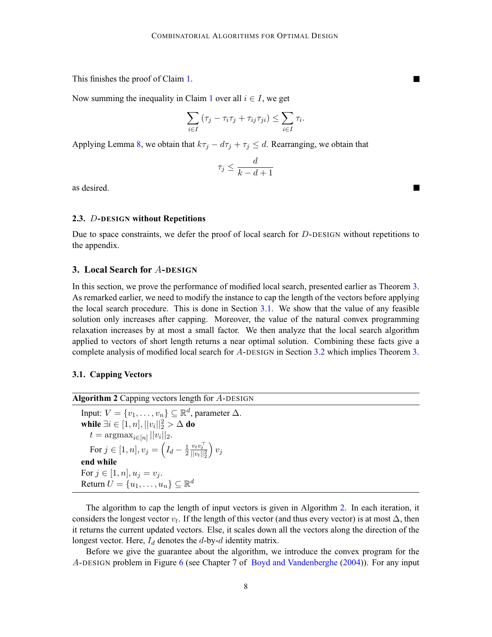<span id="page-7-0"></span>This finishes the proof of Claim [1](#page-6-0).

Now summing the inequality in Claim [1](#page-6-0) over all  $i \in I$ , we get

$$
\sum_{i \in I} (\tau_j - \tau_i \tau_j + \tau_{ij} \tau_{ji}) \le \sum_{i \in I} \tau_i.
$$

Applying Lemma [8](#page-5-0), we obtain that  $k\tau_j - d\tau_j + \tau_j \leq d$ . Rearranging, we obtain that

$$
\tau_j \le \frac{d}{k-d+1}
$$

as desired.

#### **2.3.** D**-DESIGN without Repetitions**

Due to space constraints, we defer the proof of local search for D-DESIGN without repetitions to the appendix.

## **3. Local Search for** A**-DESIGN**

In this section, we prove the performance of modified local search, presented earlier as Theorem [3](#page-2-0). As remarked earlier, we need to modify the instance to cap the length of the vectors before applying the local search procedure. This is done in Section 3.1. We show that the value of any feasible solution only increases after capping. Moreover, the value of the natural convex programming relaxation increases by at most a small factor. We then analyze that the local search algorithm applied to vectors of short length returns a near optimal solution. Combining these facts give a complete analysis of modified local search for A-DESIGN in Section [3.2](#page-8-0) which implies Theorem [3](#page-2-0).

# **3.1. Capping Vectors**

| <b>Algorithm 2</b> Capping vectors length for $A$ -DESIGN                                        |
|--------------------------------------------------------------------------------------------------|
| Input: $V = \{v_1, \ldots, v_n\} \subseteq \mathbb{R}^d$ , parameter $\Delta$ .                  |
| while $\exists i \in [1, n],   v_i  _2^2 > \Delta$ do                                            |
| $t = \text{argmax}_{i \in [n]}   v_i  _2.$                                                       |
| For $j \in [1, n], v_j = \left(I_d - \frac{1}{2} \frac{v_t v_t^{\perp}}{  v_t  _2^2}\right) v_j$ |
| end while                                                                                        |
| For $j \in [1, n], u_j = v_j$ .                                                                  |
| Return $U = \{u_1, \ldots, u_n\} \subseteq \mathbb{R}^d$                                         |
|                                                                                                  |

The algorithm to cap the length of input vectors is given in Algorithm 2. In each iteration, it considers the longest vector  $v_t$ . If the length of this vector (and thus every vector) is at most  $\Delta$ , then it returns the current updated vectors. Else, it scales down all the vectors along the direction of the longest vector. Here,  $I_d$  denotes the d-by-d identity matrix.

Before we give the guarantee about the algorithm, we introduce the convex program for the A-DESIGN problem in Figure [6](#page-8-0) (see Chapter 7 of [Boyd and Vandenberghe](#page-12-0) [\(2004\)](#page-12-0)). For any input

П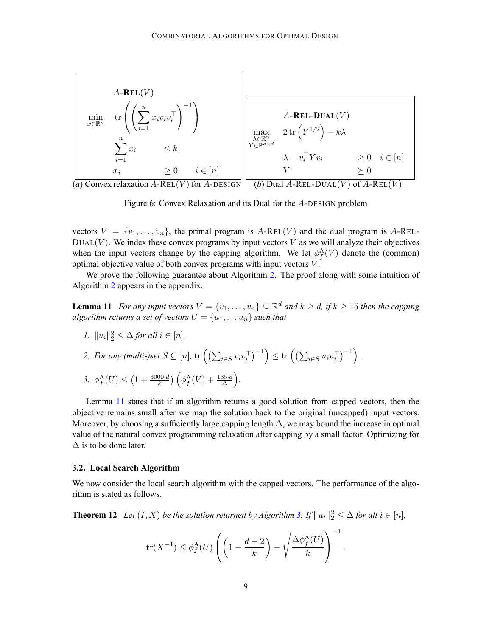<span id="page-8-0"></span>

Figure 6: Convex Relaxation and its Dual for the A-DESIGN problem

vectors  $V = \{v_1, \ldots, v_n\}$ , the primal program is A-REL(V) and the dual program is A-REL- $DUAL(V)$ . We index these convex programs by input vectors V as we will analyze their objectives when the input vectors change by the capping algorithm. We let  $\phi_f^{\mathcal{A}}(V)$  denote the (common) optimal objective value of both convex programs with input vectors  $V$ .

We prove the following guarantee about Algorithm [2.](#page-7-0) The proof along with some intuition of Algorithm [2](#page-7-0) appears in the appendix.

**Lemma 11** *For any input vectors*  $V = \{v_1, \ldots, v_n\} \subseteq \mathbb{R}^d$  *and*  $k \ge d$ *, if*  $k \ge 15$  *then the capping algorithm returns a set of vectors*  $U = \{u_1, \ldots u_n\}$  *such that* 

*1.*  $||u_i||_2^2 \leq \Delta$  *for all*  $i \in [n]$ *.* 

2. For any (multi-)set 
$$
S \subseteq [n]
$$
,  $\text{tr}\left(\left(\sum_{i \in S} v_i v_i^\top\right)^{-1}\right) \leq \text{tr}\left(\left(\sum_{i \in S} u_i u_i^\top\right)^{-1}\right)$ .

$$
3. \ \ \phi_f^{\mathcal{A}}(U) \le \left(1 + \frac{3000 \cdot d}{k}\right) \left(\phi_f^{\mathcal{A}}(V) + \frac{135 \cdot d}{\Delta}\right)
$$

Lemma 11 states that if an algorithm returns a good solution from capped vectors, then the objective remains small after we map the solution back to the original (uncapped) input vectors. Moreover, by choosing a sufficiently large capping length  $\Delta$ , we may bound the increase in optimal value of the natural convex programming relaxation after capping by a small factor. Optimizing for  $\Delta$  is to be done later.

*.*

#### **3.2. Local Search Algorithm**

We now consider the local search algorithm with the capped vectors. The performance of the algorithm is stated as follows.

**Theorem 12** *Let*  $(I, X)$  *be the solution returned by Algorithm [3.](#page-9-0) If*  $||u_i||_2^2 \leq \Delta$  *for all*  $i \in [n]$ *,* 

$$
\text{tr}(X^{-1}) \le \phi_f^{\mathbf{A}}(U) \left( \left( 1 - \frac{d-2}{k} \right) - \sqrt{\frac{\Delta \phi_f^{\mathbf{A}}(U)}{k}} \right)^{-1}.
$$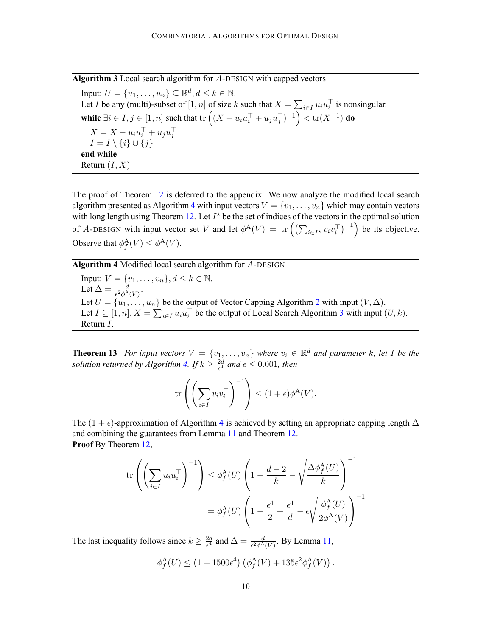<span id="page-9-0"></span>**Algorithm 3** Local search algorithm for A-DESIGN with capped vectors

Input:  $U = \{u_1, \ldots, u_n\} \subseteq \mathbb{R}^d, d \leq k \in \mathbb{N}$ . Let I be any (multi)-subset of  $[1, n]$  of size k such that  $X = \sum_{i \in I} u_i u_i^\top$  is nonsingular. **while**  $\exists i \in I, j \in [1, n]$  such that  $\text{tr}\left( (X - u_i u_i^\top + u_j u_j^\top)^{-1} \right) < \text{tr}(X^{-1})$  **do**  $X = X - u_i u_i^{\dagger} + u_j u_j^{\dagger}$  $I = I \setminus \{i\} \cup \{j\}$ **end while** Return  $(I, X)$ 

The proof of Theorem [12](#page-8-0) is deferred to the appendix. We now analyze the modified local search algorithm presented as Algorithm 4 with input vectors  $V = \{v_1, \ldots, v_n\}$  which may contain vectors with long length using Theorem [12](#page-8-0). Let  $I^*$  be the set of indices of the vectors in the optimal solution of A-DESIGN with input vector set V and let  $\phi^{\mathcal{A}}(V) = \text{tr}\left(\left(\sum_{i \in I^*} v_i v_i^{\top}\right)^{-1}\right)$  be its objective. Observe that  $\phi_f^{\mathcal{A}}(V) \leq \phi^{\mathcal{A}}(V)$ .

**Algorithm 4** Modified local search algorithm for A-DESIGN Input:  $V = \{v_1, \ldots, v_n\}, d \leq k \in \mathbb{N}.$ Let  $\Delta = \frac{d}{\epsilon^2 \phi^{\rm A}(V)}$ . Let  $U = \{u_1, \ldots, u_n\}$  be the output of Vector Capping Algorithm [2](#page-7-0) with input  $(V, \Delta)$ . Let  $I \subseteq [1, n], X = \sum_{i \in I} u_i u_i^{\top}$  be the output of Local Search Algorithm 3 with input  $(U, k)$ . Return I.

**Theorem 13** *For input vectors*  $V = \{v_1, \ldots, v_n\}$  *where*  $v_i \in \mathbb{R}^d$  *and parameter* k, let I be the solution returned by Algorithm 4. If  $k \geq \frac{2d}{\epsilon^4}$  and  $\epsilon \leq 0.001$ , then

$$
\mathrm{tr}\left(\left(\sum_{i\in I}v_iv_i^\top\right)^{-1}\right)\leq (1+\epsilon)\phi^{\mathbf{A}}(V).
$$

The  $(1 + \epsilon)$ -approximation of Algorithm 4 is achieved by setting an appropriate capping length  $\Delta$ and combining the guarantees from Lemma [11](#page-8-0) and Theorem [12](#page-8-0). **Proof** By Theorem [12](#page-8-0),

$$
\operatorname{tr}\left(\left(\sum_{i\in I} u_i u_i^\top\right)^{-1}\right) \le \phi_f^{\mathbf{A}}(U) \left(1 - \frac{d-2}{k} - \sqrt{\frac{\Delta \phi_f^{\mathbf{A}}(U)}{k}}\right)^{-1}
$$

$$
= \phi_f^{\mathbf{A}}(U) \left(1 - \frac{\epsilon^4}{2} + \frac{\epsilon^4}{d} - \epsilon \sqrt{\frac{\phi_f^{\mathbf{A}}(U)}{2\phi^{\mathbf{A}}(V)}}\right)^{-1}
$$

The last inequality follows since  $k \ge \frac{2d}{\epsilon^4}$  and  $\Delta = \frac{d}{\epsilon^2 \phi^A(V)}$ . By Lemma [11,](#page-8-0)

$$
\phi_f^{\mathcal{A}}(U) \le \left(1 + 1500\epsilon^4\right) \left(\phi_f^{\mathcal{A}}(V) + 135\epsilon^2 \phi_f^{\mathcal{A}}(V)\right).
$$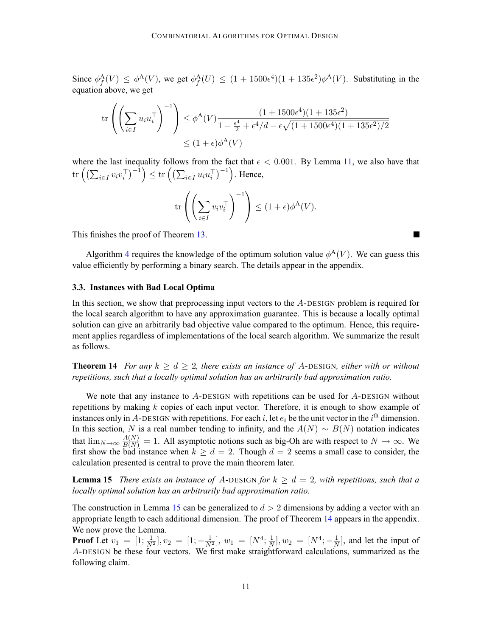<span id="page-10-0"></span>Since  $\phi_f^{\mathcal{A}}(V) \leq \phi^{\mathcal{A}}(V)$ , we get  $\phi_f^{\mathcal{A}}(U) \leq (1 + 1500\epsilon^4)(1 + 135\epsilon^2)\phi^{\mathcal{A}}(V)$ . Substituting in the equation above, we get

$$
\operatorname{tr}\left(\left(\sum_{i\in I} u_i u_i^\top\right)^{-1}\right) \le \phi^{\mathbf{A}}(V) \frac{(1+1500\epsilon^4)(1+135\epsilon^2)}{1-\frac{\epsilon^4}{2}+\epsilon^4/d-\epsilon\sqrt{(1+1500\epsilon^4)(1+135\epsilon^2)/2}} \le (1+\epsilon)\phi^{\mathbf{A}}(V)
$$

where the last inequality follows from the fact that  $\epsilon < 0.001$ . By Lemma [11](#page-8-0), we also have that  $\mathrm{tr}\left(\left(\sum_{i\in I} v_i v_i^\top\right)^{-1}\right) \leq \mathrm{tr}\left(\left(\sum_{i\in I} u_i u_i^\top\right)^{-1}\right)$ . Hence,

$$
\mathrm{tr}\left(\left(\sum_{i\in I} v_i v_i^\top\right)^{-1}\right)\leq (1+\epsilon)\phi^{\mathbf{A}}(V).
$$

This finishes the proof of Theorem [13](#page-9-0).

Algorithm [4](#page-9-0) requires the knowledge of the optimum solution value  $\phi^{A}(V)$ . We can guess this value efficiently by performing a binary search. The details appear in the appendix.

# **3.3. Instances with Bad Local Optima**

In this section, we show that preprocessing input vectors to the A-DESIGN problem is required for the local search algorithm to have any approximation guarantee. This is because a locally optimal solution can give an arbitrarily bad objective value compared to the optimum. Hence, this requirement applies regardless of implementations of the local search algorithm. We summarize the result as follows.

**Theorem 14** *For any*  $k \geq d \geq 2$ *, there exists an instance of A-DESIGN, either with or without repetitions, such that a locally optimal solution has an arbitrarily bad approximation ratio.*

We note that any instance to A-DESIGN with repetitions can be used for A-DESIGN without repetitions by making  $k$  copies of each input vector. Therefore, it is enough to show example of instances only in A-DESIGN with repetitions. For each i, let  $e_i$  be the unit vector in the i<sup>th</sup> dimension. In this section, N is a real number tending to infinity, and the  $A(N) \sim B(N)$  notation indicates that  $\lim_{N\to\infty}\frac{A(N)}{B(N)}=1$ . All asymptotic notions such as big-Oh are with respect to  $N\to\infty$ . We first show the bad instance when  $k \geq d = 2$ . Though  $d = 2$  seems a small case to consider, the calculation presented is central to prove the main theorem later.

**Lemma 15** *There exists an instance of A-DESIGN for*  $k \geq d = 2$ , with repetitions, such that a *locally optimal solution has an arbitrarily bad approximation ratio.*

The construction in Lemma 15 can be generalized to  $d > 2$  dimensions by adding a vector with an appropriate length to each additional dimension. The proof of Theorem 14 appears in the appendix. We now prove the Lemma.

**Proof** Let  $v_1 = [1; \frac{1}{N^2}], v_2 = [1; -\frac{1}{N^2}], w_1 = [N^4; \frac{1}{N}], w_2 = [N^4; -\frac{1}{N}],$  and let the input of A-DESIGN be these four vectors. We first make straightforward calculations, summarized as the following claim.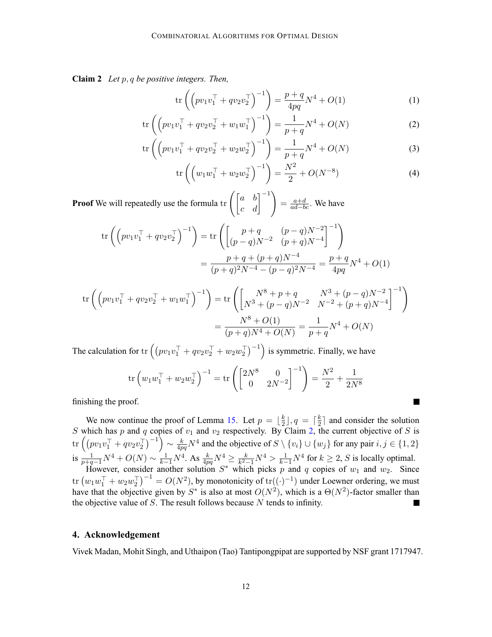**Claim 2** *Let* p, q *be positive integers. Then,*

$$
\text{tr}\left(\left(pv_1v_1^\top + qv_2v_2^\top\right)^{-1}\right) = \frac{p+q}{4pq}N^4 + O(1) \tag{1}
$$

$$
\operatorname{tr}\left(\left(pv_1v_1^\top + qv_2v_2^\top + w_1w_1^\top\right)^{-1}\right) = \frac{1}{p+q}N^4 + O(N) \tag{2}
$$

$$
\operatorname{tr}\left(\left(pv_1v_1^\top + qv_2v_2^\top + w_2w_2^\top\right)^{-1}\right) = \frac{1}{p+q}N^4 + O(N) \tag{3}
$$

$$
\operatorname{tr}\left(\left(w_1 w_1^\top + w_2 w_2^\top\right)^{-1}\right) = \frac{N^2}{2} + O(N^{-8})\tag{4}
$$

**College** 

**Proof** We will repeatedly use the formula  $\text{tr}\left(\begin{bmatrix} a & b \\ c & d \end{bmatrix}^{-1}\right)$  $=\frac{a+d}{ad-bc}$ . We have

$$
\operatorname{tr}\left(\left(pv_1v_1^\top + qv_2v_2^\top\right)^{-1}\right) = \operatorname{tr}\left(\begin{bmatrix}p+q & (p-q)N^{-2} \\ (p-q)N^{-2} & (p+q)N^{-4}\end{bmatrix}^{-1}\right)
$$

$$
= \frac{p+q+(p+q)N^{-4}}{(p+q)^2N^{-4}-(p-q)^2N^{-4}} = \frac{p+q}{4pq}N^4 + O(1)
$$

$$
\operatorname{tr}\left(\left(pv_1v_1^\top + qv_2v_2^\top + w_1w_1^\top\right)^{-1}\right) = \operatorname{tr}\left(\begin{bmatrix} N^8 + p + q & N^3 + (p - q)N^{-2} \\ N^3 + (p - q)N^{-2} & N^{-2} + (p + q)N^{-4} \end{bmatrix}^{-1}\right)
$$

$$
= \frac{N^8 + O(1)}{(p + q)N^4 + O(N)} = \frac{1}{p + q}N^4 + O(N)
$$

The calculation for  $tr\left(\left(pv_1v_1^\top+qv_2v_2^\top+w_2w_2^\top\right)^{-1}\right)$  is symmetric. Finally, we have

$$
\operatorname{tr}\left(w_1 w_1^\top + w_2 w_2^\top\right)^{-1} = \operatorname{tr}\left(\begin{bmatrix} 2N^8 & 0\\ 0 & 2N^{-2} \end{bmatrix}^{-1}\right) = \frac{N^2}{2} + \frac{1}{2N^8}
$$

finishing the proof.

We now continue the proof of Lemma [15](#page-10-0). Let  $p = \lfloor \frac{k}{2} \rfloor, q = \lceil \frac{k}{2} \rceil$  and consider the solution S which has p and q copies of  $v_1$  and  $v_2$  respectively. By Claim [2,](#page-10-0) the current objective of S is tr  $((pv_1v_1^\top + qv_2v_2^\top)^{-1}) \sim \frac{k}{4pq} N^4$  and the objective of  $S \setminus \{v_i\} \cup \{w_j\}$  for any pair  $i, j \in \{1, 2\}$ is  $\frac{1}{p+q-1}N^4 + O(N) \sim \frac{1}{k-1}N^4$ . As  $\frac{k}{4pq}N^4 \ge \frac{k}{k^2-1}N^4 > \frac{1}{k-1}N^4$  for  $k \ge 2$ , S is locally optimal.

However, consider another solution  $S^*$  which picks p and q copies of  $w_1$  and  $w_2$ . Since  $\text{tr}\left(w_1w_1^\top+w_2w_2^\top\right)^{-1}=O(N^2)$ , by monotonicity of  $\text{tr}((\cdot)^{-1})$  under Loewner ordering, we must have that the objective given by  $S^*$  is also at most  $O(N^2)$ , which is a  $\Theta(N^2)$ -factor smaller than the objective value of  $S$ . The result follows because  $N$  tends to infinity.

# **4. Acknowledgement**

Vivek Madan, Mohit Singh, and Uthaipon (Tao) Tantipongpipat are supported by NSF grant 1717947.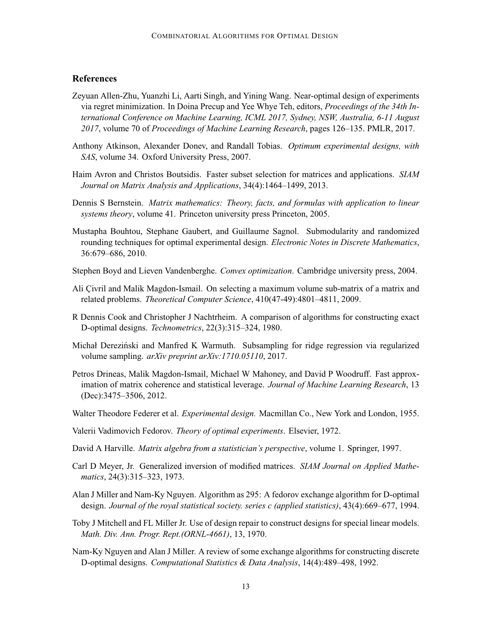# <span id="page-12-0"></span>**References**

- Zeyuan Allen-Zhu, Yuanzhi Li, Aarti Singh, and Yining Wang. Near-optimal design of experiments via regret minimization. In Doina Precup and Yee Whye Teh, editors, *Proceedings of the 34th International Conference on Machine Learning, ICML 2017, Sydney, NSW, Australia, 6-11 August 2017*, volume 70 of *Proceedings of Machine Learning Research*, pages 126–135. PMLR, 2017.
- Anthony Atkinson, Alexander Donev, and Randall Tobias. *Optimum experimental designs, with SAS*, volume 34. Oxford University Press, 2007.
- Haim Avron and Christos Boutsidis. Faster subset selection for matrices and applications. *SIAM Journal on Matrix Analysis and Applications*, 34(4):1464–1499, 2013.
- Dennis S Bernstein. *Matrix mathematics: Theory, facts, and formulas with application to linear systems theory*, volume 41. Princeton university press Princeton, 2005.
- Mustapha Bouhtou, Stephane Gaubert, and Guillaume Sagnol. Submodularity and randomized rounding techniques for optimal experimental design. *Electronic Notes in Discrete Mathematics*, 36:679–686, 2010.
- Stephen Boyd and Lieven Vandenberghe. *Convex optimization*. Cambridge university press, 2004.
- Ali Civril and Malik Magdon-Ismail. On selecting a maximum volume sub-matrix of a matrix and related problems. *Theoretical Computer Science*, 410(47-49):4801–4811, 2009.
- R Dennis Cook and Christopher J Nachtrheim. A comparison of algorithms for constructing exact D-optimal designs. *Technometrics*, 22(3):315–324, 1980.
- Michał Dereziński and Manfred K Warmuth. Subsampling for ridge regression via regularized volume sampling. *arXiv preprint arXiv:1710.05110*, 2017.
- Petros Drineas, Malik Magdon-Ismail, Michael W Mahoney, and David P Woodruff. Fast approximation of matrix coherence and statistical leverage. *Journal of Machine Learning Research*, 13 (Dec):3475–3506, 2012.
- Walter Theodore Federer et al. *Experimental design.* Macmillan Co., New York and London, 1955.
- Valerii Vadimovich Fedorov. *Theory of optimal experiments*. Elsevier, 1972.
- David A Harville. *Matrix algebra from a statistician's perspective*, volume 1. Springer, 1997.
- Carl D Meyer, Jr. Generalized inversion of modified matrices. *SIAM Journal on Applied Mathematics*, 24(3):315–323, 1973.
- Alan J Miller and Nam-Ky Nguyen. Algorithm as 295: A fedorov exchange algorithm for D-optimal design. *Journal of the royal statistical society. series c (applied statistics)*, 43(4):669–677, 1994.
- Toby J Mitchell and FL Miller Jr. Use of design repair to construct designs for special linear models. *Math. Div. Ann. Progr. Rept.(ORNL-4661)*, 13, 1970.
- Nam-Ky Nguyen and Alan J Miller. A review of some exchange algorithms for constructing discrete D-optimal designs. *Computational Statistics & Data Analysis*, 14(4):489–498, 1992.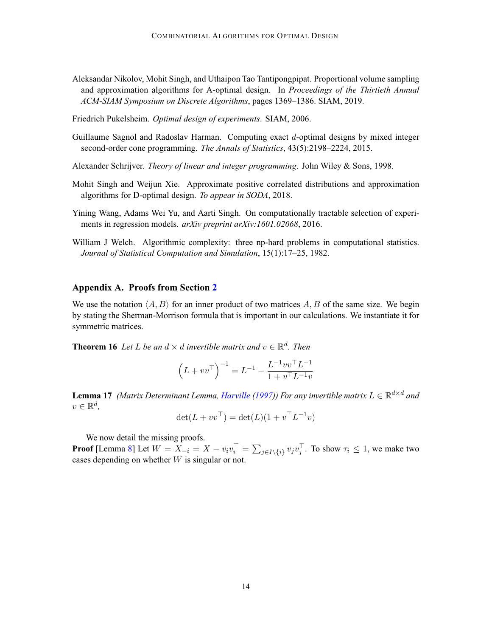- <span id="page-13-0"></span>Aleksandar Nikolov, Mohit Singh, and Uthaipon Tao Tantipongpipat. Proportional volume sampling and approximation algorithms for A-optimal design. In *Proceedings of the Thirtieth Annual ACM-SIAM Symposium on Discrete Algorithms*, pages 1369–1386. SIAM, 2019.
- Friedrich Pukelsheim. *Optimal design of experiments*. SIAM, 2006.
- Guillaume Sagnol and Radoslav Harman. Computing exact d-optimal designs by mixed integer second-order cone programming. *The Annals of Statistics*, 43(5):2198–2224, 2015.
- Alexander Schrijver. *Theory of linear and integer programming*. John Wiley & Sons, 1998.
- Mohit Singh and Weijun Xie. Approximate positive correlated distributions and approximation algorithms for D-optimal design. *To appear in SODA*, 2018.
- Yining Wang, Adams Wei Yu, and Aarti Singh. On computationally tractable selection of experiments in regression models. *arXiv preprint arXiv:1601.02068*, 2016.
- William J Welch. Algorithmic complexity: three np-hard problems in computational statistics. *Journal of Statistical Computation and Simulation*, 15(1):17–25, 1982.

### **Appendix A. Proofs from Section [2](#page-4-0)**

We use the notation  $\langle A, B \rangle$  for an inner product of two matrices A, B of the same size. We begin by stating the Sherman-Morrison formula that is important in our calculations. We instantiate it for symmetric matrices.

**Theorem 16** *Let L be an*  $d \times d$  *invertible matrix and*  $v \in \mathbb{R}^d$ *. Then* 

$$
\left(L + vv^\top\right)^{-1} = L^{-1} - \frac{L^{-1}vv^\top L^{-1}}{1 + v^\top L^{-1}v}
$$

**Lemma 17** *(Matrix Determinant Lemma, [Harville](#page-12-0) [\(1997](#page-12-0))) For any invertible matrix*  $L \in \mathbb{R}^{d \times d}$  *and*  $v \in \mathbb{R}^d$ ,

$$
\det(L + vv^{\top}) = \det(L)(1 + v^{\top}L^{-1}v)
$$

We now detail the missing proofs.

**Proof** [Lemma [8\]](#page-5-0) Let  $W = X_{-i} = X - v_i v_i^\top = \sum_{j \in I \setminus \{i\}} v_j v_j^\top$ . To show  $\tau_i \leq 1$ , we make two cases depending on whether  $W$  is singular or not.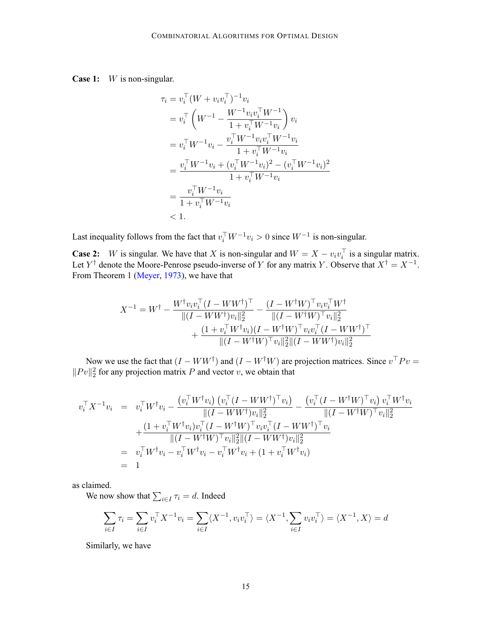# **Case 1:** W is non-singular.

$$
\tau_i = v_i^{\top} (W + v_i v_i^{\top})^{-1} v_i
$$
\n
$$
= v_i^{\top} \left( W^{-1} - \frac{W^{-1} v_i v_i^{\top} W^{-1}}{1 + v_i^{\top} W^{-1} v_i} \right) v_i
$$
\n
$$
= v_i^{\top} W^{-1} v_i - \frac{v_i^{\top} W^{-1} v_i v_i^{\top} W^{-1} v_i}{1 + v_i^{\top} W^{-1} v_i}
$$
\n
$$
= \frac{v_i^{\top} W^{-1} v_i + (v_i^{\top} W^{-1} v_i)^2 - (v_i^{\top} W^{-1} v_i)^2}{1 + v_i^{\top} W^{-1} v_i}
$$
\n
$$
= \frac{v_i^{\top} W^{-1} v_i}{1 + v_i^{\top} W^{-1} v_i}
$$
\n
$$
< 1.
$$

Last inequality follows from the fact that  $v_i^{\top} W^{-1}v_i > 0$  since  $W^{-1}$  is non-singular.

**Case 2:** W is singular. We have that X is non-singular and  $W = X - v_i v_i^{\dagger}$  is a singular matrix. Let  $Y^{\dagger}$  denote the Moore-Penrose pseudo-inverse of Y for any matrix Y. Observe that  $X^{\dagger} = X^{-1}$ . From Theorem 1 [\(Meyer,](#page-12-0) [1973\)](#page-12-0), we have that

$$
X^{-1} = W^{\dagger} - \frac{W^{\dagger}v_{i}v_{i}^{\top}(I - WW^{\dagger})^{\top}}{\|(I - WW^{\dagger})v_{i}\|_{2}^{2}} - \frac{(I - W^{\dagger}W)^{\top}v_{i}v_{i}^{\top}W^{\dagger}}{\|(I - W^{\dagger}W)^{\top}v_{i}\|_{2}^{2}} + \frac{(1 + v_{i}^{\top}W^{\dagger}v_{i})(I - W^{\dagger}W)^{\top}v_{i}v_{i}^{\top}(I - WW^{\dagger})^{\top}}{\|(I - W^{\dagger}W)^{\top}v_{i}\|_{2}^{2}\|(I - WW^{\dagger})v_{i}\|_{2}^{2}}
$$

Now we use the fact that  $(I - WW^{\dagger})$  and  $(I - W^{\dagger}W)$  are projection matrices. Since  $v^{\top}Pv =$  $||Pv||_2^2$  for any projection matrix P and vector v, we obtain that

$$
v_i^{\top} X^{-1} v_i = v_i^{\top} W^{\dagger} v_i - \frac{(v_i^{\top} W^{\dagger} v_i) (v_i^{\top} (I - W W^{\dagger})^{\top} v_i)}{\|(I - W W^{\dagger}) v_i\|_2^2} - \frac{(v_i^{\top} (I - W^{\dagger} W)^{\top} v_i) v_i^{\top} W^{\dagger} v_i}{\|(I - W^{\dagger} W)^{\top} v_i\|_2^2} + \frac{(1 + v_i^{\top} W^{\dagger} v_i) v_i^{\top} (I - W^{\dagger} W)^{\top} v_i v_i^{\top} (I - W W^{\dagger})^{\top} v_i}{\|(I - W^{\dagger} W)^{\top} v_i\|_2^2 \|(I - W W^{\dagger}) v_i\|_2^2} = v_i^{\top} W^{\dagger} v_i - v_i^{\top} W^{\dagger} v_i - v_i^{\top} W^{\dagger} v_i + (1 + v_i^{\top} W^{\dagger} v_i) = 1
$$

as claimed.

We now show that  $\sum_{i \in I} \tau_i = d$ . Indeed

$$
\sum_{i \in I} \tau_i = \sum_{i \in I} v_i^{\top} X^{-1} v_i = \sum_{i \in I} \langle X^{-1}, v_i v_i^{\top} \rangle = \langle X^{-1}, \sum_{i \in I} v_i v_i^{\top} \rangle = \langle X^{-1}, X \rangle = d
$$

Similarly, we have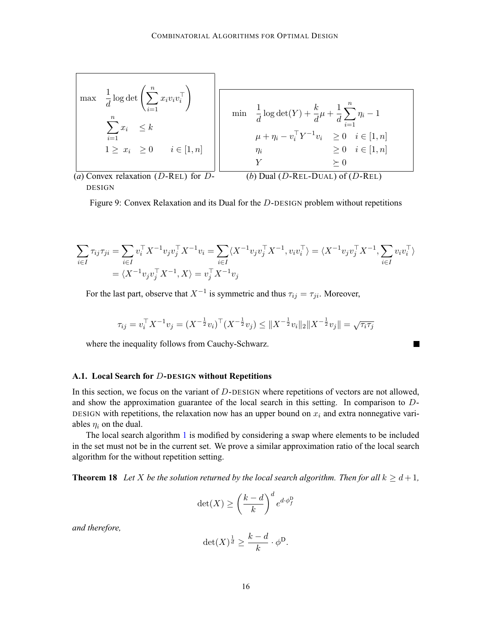<span id="page-15-0"></span>
$$
\begin{array}{|l|l|}\n\hline\n\text{max} & \frac{1}{d} \log \det \left( \sum_{i=1}^{n} x_i v_i v_i^{\top} \right) \\
& \sum_{i=1}^{n} x_i & \leq k \\
1 \geq x_i & \geq 0 \\
\hline\n\text{max} & i \in [1, n] \\
1 \geq x_i & \geq 0 \\
\hline\n\text{max} & i \in [1, n] \\
1 \geq x_i & \geq 0 \\
\hline\n\text{(a) Convex relaxation (D-REL) for } D\n\end{array}\n\quad\n\begin{array}{|l|}\n\hline\n\text{min} & \frac{1}{d} \log \det(Y) + \frac{k}{d} \mu + \frac{1}{d} \sum_{i=1}^{n} \eta_i - 1 \\
& \mu + \eta_i - v_i^{\top} Y^{-1} v_i & \geq 0 \\
& \mu + \eta_i - v_i^{\top} Y^{-1} v_i & \geq 0 \\
& \mu + \eta_i - v_i^{\top} Y^{-1} v_i & \geq 0 \\
& \sum_{i=1}^{n} \eta_i - 1 \\
& \sum_{i=1}^{n} \eta_i - 1 \\
& \sum_{i=1}^{n} \eta_i - 1 \\
& \sum_{i=1}^{n} \eta_i - 1 \\
& \sum_{i=1}^{n} \eta_i - 1 \\
& \sum_{i=1}^{n} \eta_i - 1 \\
& \sum_{i=1}^{n} \eta_i - 1 \\
& \sum_{i=1}^{n} \eta_i - 1 \\
& \sum_{i=1}^{n} \eta_i - 1 \\
& \sum_{i=1}^{n} \eta_i - 1 \\
& \sum_{i=1}^{n} \eta_i - 1 \\
& \sum_{i=1}^{n} \eta_i - 1 \\
& \sum_{i=1}^{n} \eta_i - 1 \\
& \sum_{i=1}^{n} \eta_i - 1 \\
& \sum_{i=1}^{n} \eta_i - 1 \\
& \sum_{i=1}^{n} \eta_i - 1 \\
& \sum_{i=1}^{n} \eta_i - 1 \\
& \sum_{i=1}^{n} \eta_i - 1 \\
& \sum_{i=1}^{n} \eta_i - 1 \\
& \sum_{i=1}^{n} \eta_i - 1 \\
& \sum_{i=1}^{n} \eta_i - 1 \\
$$

(*a*) Convex relaxation (*D*-KEL) for *D*- (*b*) Dual (*L*) DESIGN

 $\nu$ -Kel-DUAL) of ( $\nu$ -F

٦

Figure 9: Convex Relaxation and its Dual for the D-DESIGN problem without repetitions

$$
\sum_{i \in I} \tau_{ij} \tau_{ji} = \sum_{i \in I} v_i^{\top} X^{-1} v_j v_j^{\top} X^{-1} v_i = \sum_{i \in I} \langle X^{-1} v_j v_j^{\top} X^{-1}, v_i v_i^{\top} \rangle = \langle X^{-1} v_j v_j^{\top} X^{-1}, \sum_{i \in I} v_i v_i^{\top} \rangle
$$
  
=  $\langle X^{-1} v_j v_j^{\top} X^{-1}, X \rangle = v_j^{\top} X^{-1} v_j$ 

For the last part, observe that  $X^{-1}$  is symmetric and thus  $\tau_{ij} = \tau_{ji}$ . Moreover,

$$
\tau_{ij} = v_i^{\top} X^{-1} v_j = (X^{-\frac{1}{2}} v_i)^{\top} (X^{-\frac{1}{2}} v_j) \le \|X^{-\frac{1}{2}} v_i\|_2 \|X^{-\frac{1}{2}} v_j\| = \sqrt{\tau_i \tau_j}
$$

where the inequality follows from Cauchy-Schwarz.

# **A.1. Local Search for** D**-DESIGN without Repetitions**

In this section, we focus on the variant of  $D$ -DESIGN where repetitions of vectors are not allowed, and show the approximation guarantee of the local search in this setting. In comparison to D-DESIGN with repetitions, the relaxation now has an upper bound on  $x_i$  and extra nonnegative variables  $\eta_i$  on the dual.

The local search algorithm [1](#page-4-0) is modified by considering a swap where elements to be included in the set must not be in the current set. We prove a similar approximation ratio of the local search algorithm for the without repetition setting.

**Theorem 18** Let X be the solution returned by the local search algorithm. Then for all  $k \geq d+1$ ,

$$
\det(X) \ge \left(\frac{k-d}{k}\right)^d e^{d \cdot \phi_f^{\text{D}}}
$$

*and therefore,*

$$
\det(X)^{\frac{1}{d}} \ge \frac{k-d}{k} \cdot \phi^{\mathsf{D}}.
$$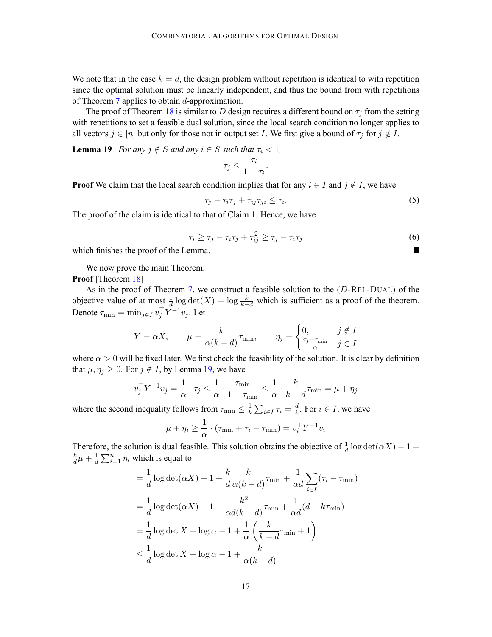We note that in the case  $k = d$ , the design problem without repetition is identical to with repetition since the optimal solution must be linearly independent, and thus the bound from with repetitions of Theorem [7](#page-4-0) applies to obtain d-approximation.

The proof of Theorem [18](#page-15-0) is similar to D design requires a different bound on  $\tau_i$  from the setting with repetitions to set a feasible dual solution, since the local search condition no longer applies to all vectors  $j \in [n]$  but only for those not in output set I. We first give a bound of  $\tau_j$  for  $j \notin I$ .

**Lemma 19** *For any*  $j \notin S$  *and any*  $i \in S$  *such that*  $\tau_i < 1$ *,* 

$$
\tau_j \leq \frac{\tau_i}{1 - \tau_i}.
$$

**Proof** We claim that the local search condition implies that for any  $i \in I$  and  $j \notin I$ , we have

$$
\tau_j - \tau_i \tau_j + \tau_{ij} \tau_{ji} \leq \tau_i. \tag{5}
$$

The proof of the claim is identical to that of Claim [1](#page-6-0). Hence, we have

$$
\tau_i \ge \tau_j - \tau_i \tau_j + \tau_{ij}^2 \ge \tau_j - \tau_i \tau_j \tag{6}
$$

 $\blacksquare$ 

which finishes the proof of the Lemma.

We now prove the main Theorem.

**Proof** [Theorem [18](#page-15-0)]

As in the proof of Theorem [7,](#page-4-0) we construct a feasible solution to the (D-REL-DUAL) of the objective value of at most  $\frac{1}{d} \log \det(X) + \log \frac{k}{k-d}$  which is sufficient as a proof of the theorem. Denote  $\tau_{\min} = \min_{j \in I} v_j^{\top} Y^{-1} v_j$ . Let

$$
Y = \alpha X, \qquad \mu = \frac{k}{\alpha (k - d)} \tau_{\min}, \qquad \eta_j = \begin{cases} 0, & j \notin I \\ \frac{\tau_j - \tau_{\min}}{\alpha} & j \in I \end{cases}
$$

where  $\alpha > 0$  will be fixed later. We first check the feasibility of the solution. It is clear by definition that  $\mu, \eta_j \geq 0$ . For  $j \notin I$ , by Lemma 19, we have

$$
v_j^\top Y^{-1} v_j = \frac{1}{\alpha} \cdot \tau_j \le \frac{1}{\alpha} \cdot \frac{\tau_{\min}}{1 - \tau_{\min}} \le \frac{1}{\alpha} \cdot \frac{k}{k - d} \tau_{\min} = \mu + \eta_j
$$

where the second inequality follows from  $\tau_{\min} \leq \frac{1}{k} \sum_{i \in I} \tau_i = \frac{d}{k}$ . For  $i \in I$ , we have

$$
\mu + \eta_i \ge \frac{1}{\alpha} \cdot (\tau_{\min} + \tau_i - \tau_{\min}) = v_i^{\top} Y^{-1} v_i
$$

Therefore, the solution is dual feasible. This solution obtains the objective of  $\frac{1}{d} \log \det(\alpha X) - 1 +$  $\frac{k}{d}\mu + \frac{1}{d}\sum_{i=1}^{n} \eta_i$  which is equal to

$$
= \frac{1}{d} \log \det(\alpha X) - 1 + \frac{k}{d} \frac{k}{\alpha (k - d)} \tau_{\min} + \frac{1}{\alpha d} \sum_{i \in I} (\tau_i - \tau_{\min})
$$
  

$$
= \frac{1}{d} \log \det(\alpha X) - 1 + \frac{k^2}{\alpha d (k - d)} \tau_{\min} + \frac{1}{\alpha d} (d - k \tau_{\min})
$$
  

$$
= \frac{1}{d} \log \det X + \log \alpha - 1 + \frac{1}{\alpha} \left( \frac{k}{k - d} \tau_{\min} + 1 \right)
$$
  

$$
\leq \frac{1}{d} \log \det X + \log \alpha - 1 + \frac{k}{\alpha (k - d)}
$$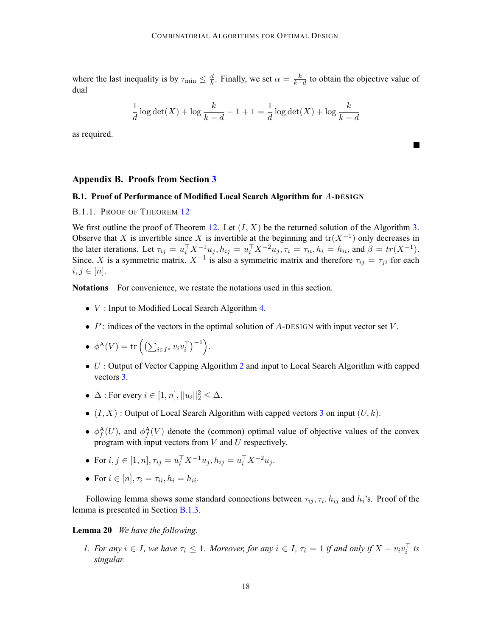<span id="page-17-0"></span>where the last inequality is by  $\tau_{\min} \leq \frac{d}{k}$ . Finally, we set  $\alpha = \frac{k}{k-d}$  to obtain the objective value of dual

$$
\frac{1}{d}\log\det(X) + \log\frac{k}{k-d} - 1 + 1 = \frac{1}{d}\log\det(X) + \log\frac{k}{k-d}
$$

 $\sim$ 

as required.

#### **Appendix B. Proofs from Section [3](#page-7-0)**

# **B.1. Proof of Performance of Modified Local Search Algorithm for** A**-DESIGN**

# B.1.1. PROOF OF THEOREM [12](#page-8-0)

We first outline the proof of Theorem [12.](#page-8-0) Let  $(I, X)$  be the returned solution of the Algorithm [3](#page-9-0). Observe that X is invertible since X is invertible at the beginning and  $tr(X^{-1})$  only decreases in the later iterations. Let  $\tau_{ij} = u_i^{\top} X^{-1} u_j$ ,  $h_{ij} = u_i^{\top} X^{-2} u_j$ ,  $\tau_i = \tau_{ii}$ ,  $h_i = h_{ii}$ , and  $\beta = tr(X^{-1})$ . Since, X is a symmetric matrix,  $X^{-1}$  is also a symmetric matrix and therefore  $\tau_{ij} = \tau_{ji}$  for each  $i, j \in [n]$ .

**Notations** For convenience, we restate the notations used in this section.

- $V$  : Input to Modified Local Search Algorithm [4](#page-9-0).
- $I^*$ : indices of the vectors in the optimal solution of A-DESIGN with input vector set V.

• 
$$
\phi^{\mathbf{A}}(V) = \text{tr}\left(\left(\sum_{i \in I^*} v_i v_i^{\top}\right)^{-1}\right).
$$

- U : Output of Vector Capping Algorithm [2](#page-7-0) and input to Local Search Algorithm with capped vectors [3.](#page-9-0)
- $\Delta$ : For every  $i \in [1, n], ||u_i||_2^2 \leq \Delta$ .
- $(I, X)$ : Output of Local Search Algorithm with capped vectors [3](#page-9-0) on input  $(U, k)$ .
- $\phi_f^{\mathbf{A}}(U)$ , and  $\phi_f^{\mathbf{A}}(V)$  denote the (common) optimal value of objective values of the convex program with input vectors from  $V$  and  $U$  respectively.
- For  $i, j \in [1, n], \tau_{ij} = u_i^{\top} X^{-1} u_j, h_{ij} = u_i^{\top} X^{-2} u_j.$
- For  $i \in [n], \tau_i = \tau_{ii}, h_i = h_{ii}.$

Following lemma shows some standard connections between  $\tau_{ij}$ ,  $\tau_i$ ,  $h_{ij}$  and  $h_i$ 's. Proof of the lemma is presented in Section [B.1.3](#page-29-0).

#### **Lemma 20** *We have the following.*

*1. For any*  $i \in I$ *, we have*  $\tau_i \leq 1$ *. Moreover, for any*  $i \in I$ *,*  $\tau_i = 1$  *if and only if*  $X - v_i v_i^{\dagger}$  *is singular.*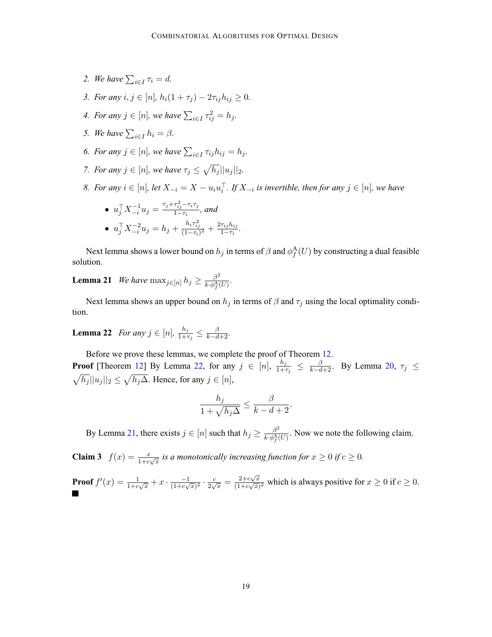- <span id="page-18-0"></span>2. We have  $\sum_{i \in I} \tau_i = d$ .
- *3. For any*  $i, j \in [n]$ ,  $h_i(1 + \tau_i) 2\tau_{ij}h_{ij} \geq 0$ .
- *4. For any*  $j \in [n]$ , we have  $\sum_{i \in I} \tau_{ij}^2 = h_j$ .
- *5. We have*  $\sum_{i \in I} h_i = \beta$ *.*
- *6. For any*  $j \in [n]$ , we have  $\sum_{i \in I} \tau_{ij} h_{ij} = h_j$ .
- *7. For any*  $j \in [n]$ *, we have*  $\tau_j \leq \sqrt{h_j} ||u_j||_2$ *.*
- *8. For any*  $i \in [n]$ , let  $X_{-i} = X u_i u_i^{\perp}$ . If  $X_{-i}$  is invertible, then for any  $j \in [n]$ , we have

• 
$$
u_j^{\top} X_{-i}^{-1} u_j = \frac{\tau_j + \tau_{ij}^2 - \tau_i \tau_j}{1 - \tau_i}
$$
, and  
\n•  $u_j^{\top} X_{-i}^{-2} u_j = h_j + \frac{h_i \tau_{ij}^2}{(1 - \tau_i)^2} + \frac{2\tau_{ij} h_{ij}}{1 - \tau_i}$ .

Next lemma shows a lower bound on  $h_j$  in terms of  $\beta$  and  $\phi_f^{\rm A}(U)$  by constructing a dual feasible solution.

**Lemma 21** *We have*  $\max_{j \in [n]} h_j \ge \frac{\beta^2}{k \cdot \phi_f^A(U)}$ *.* 

Next lemma shows an upper bound on  $h_j$  in terms of  $\beta$  and  $\tau_j$  using the local optimality condition.

**Lemma 22** *For any*  $j \in [n]$ ,  $\frac{h_j}{1+\tau_j} \leq \frac{\beta}{k-d+2}$ *.* 

Before we prove these lemmas, we complete the proof of Theorem [12](#page-8-0). **Proof** [Theorem [12\]](#page-8-0) By Lemma 22, for any  $j \in [n]$ ,  $\frac{h_j}{1+\tau_j} \leq \frac{\beta}{k-d+2}$ . By Lemma [20](#page-17-0),  $\tau_j \leq$  $\sqrt{h_j} ||u_j ||_2 \leq \sqrt{h_j \Delta}$ . Hence, for any  $j \in [n]$ ,

$$
\frac{h_j}{1 + \sqrt{h_j \Delta}} \le \frac{\beta}{k - d + 2}.
$$

By Lemma 21, there exists  $j \in [n]$  such that  $h_j \ge \frac{\beta^2}{k \cdot \phi_j^A(U)}$ . Now we note the following claim.

**Claim 3**  $f(x) = \frac{x}{1+c\sqrt{x}}$  *is a monotonically increasing function for*  $x \ge 0$  *if*  $c \ge 0$ *.* 

**Proof** 
$$
f'(x) = \frac{1}{1+c\sqrt{x}} + x \cdot \frac{-1}{(1+c\sqrt{x})^2} \cdot \frac{c}{2\sqrt{x}} = \frac{2+c\sqrt{x}}{(1+c\sqrt{x})^2}
$$
 which is always positive for  $x \ge 0$  if  $c \ge 0$ .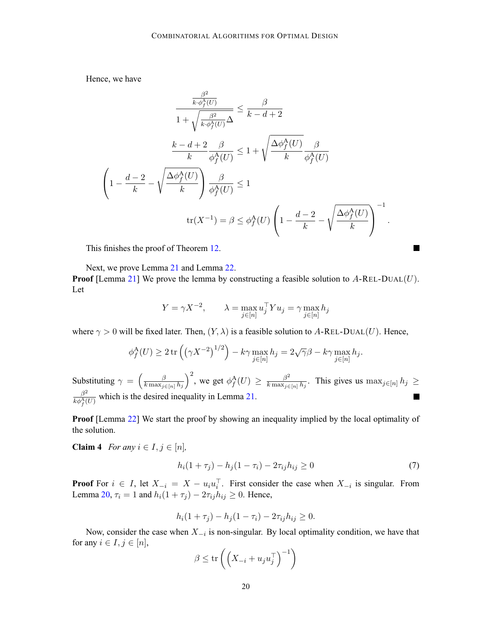<span id="page-19-0"></span>Hence, we have

$$
\frac{\frac{\beta^2}{k \cdot \phi_f^A(U)}}{1 + \sqrt{\frac{\beta^2}{k \cdot \phi_f^A(U)}} \Delta} \le \frac{\beta}{k - d + 2}
$$
\n
$$
\frac{k - d + 2}{k} \frac{\beta}{\phi_f^A(U)} \le 1 + \sqrt{\frac{\Delta \phi_f^A(U)}{k}} \frac{\beta}{\phi_f^A(U)}
$$
\n
$$
\left(1 - \frac{d - 2}{k} - \sqrt{\frac{\Delta \phi_f^A(U)}{k}}\right) \frac{\beta}{\phi_f^A(U)} \le 1
$$
\n
$$
\text{tr}(X^{-1}) = \beta \le \phi_f^A(U) \left(1 - \frac{d - 2}{k} - \sqrt{\frac{\Delta \phi_f^A(U)}{k}}\right)^{-1}
$$

This finishes the proof of Theorem [12](#page-8-0).

Next, we prove Lemma [21](#page-18-0) and Lemma [22](#page-18-0).

**Proof** [Lemma [21](#page-18-0)] We prove the lemma by constructing a feasible solution to  $A$ -REL-DUAL(U). Let

$$
Y = \gamma X^{-2}, \qquad \lambda = \max_{j \in [n]} u_j^{\top} Y u_j = \gamma \max_{j \in [n]} h_j
$$

where  $\gamma > 0$  will be fixed later. Then,  $(Y, \lambda)$  is a feasible solution to A-REL-DUAL(U). Hence,

$$
\phi_f^{\mathcal{A}}(U) \ge 2 \operatorname{tr} \left( \left( \gamma X^{-2} \right)^{1/2} \right) - k \gamma \max_{j \in [n]} h_j = 2\sqrt{\gamma} \beta - k \gamma \max_{j \in [n]} h_j.
$$

 $\int^2$ , we get  $\phi_f^{\text{A}}(U) \ge \frac{\beta^2}{k \max_{j \in [n]} h_j}$ . This gives us  $\max_{j \in [n]} h_j \ge$ Substituting  $\gamma = \left(\frac{\beta}{k_{\text{max}}} \right)$  $k \max_{j \in [n]} h_j$  $\beta^2$  $\frac{\beta^2}{k\phi_f^A(U)}$  which is the desired inequality in Lemma [21](#page-18-0). Ξ

**Proof** [Lemma [22](#page-18-0)] We start the proof by showing an inequality implied by the local optimality of the solution.

**Claim 4** *For any*  $i \in I, j \in [n]$ *,* 

$$
h_i(1+\tau_j) - h_j(1-\tau_i) - 2\tau_{ij}h_{ij} \ge 0
$$
\n(7)

.

**The State** 

**Proof** For  $i \in I$ , let  $X_{-i} = X - u_i u_i^{\dagger}$ . First consider the case when  $X_{-i}$  is singular. From Lemma [20,](#page-17-0)  $\tau_i = 1$  and  $h_i(1 + \tau_j) - 2\tau_{ij}h_{ij} \geq 0$ . Hence,

$$
h_i(1 + \tau_j) - h_j(1 - \tau_i) - 2\tau_{ij}h_{ij} \ge 0.
$$

Now, consider the case when  $X_{-i}$  is non-singular. By local optimality condition, we have that for any  $i \in I, j \in [n]$ ,

$$
\beta \le \mathrm{tr}\left( \left( X_{-i} + u_ju_j^\top \right)^{-1} \right)
$$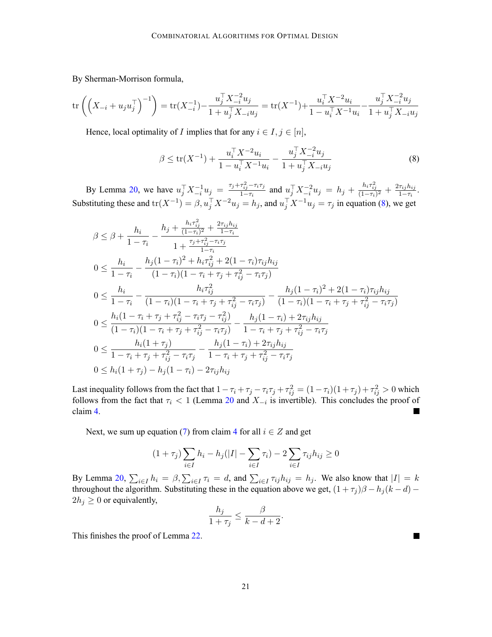By Sherman-Morrison formula,

$$
\text{tr}\left(\left(X_{-i} + u_j u_j^{\top}\right)^{-1}\right) = \text{tr}(X_{-i}^{-1}) - \frac{u_j^{\top} X_{-i}^{-2} u_j}{1 + u_j^{\top} X_{-i} u_j} = \text{tr}(X^{-1}) + \frac{u_i^{\top} X^{-2} u_i}{1 - u_i^{\top} X^{-1} u_i} - \frac{u_j^{\top} X_{-i}^{-2} u_j}{1 + u_j^{\top} X_{-i} u_j}
$$

Hence, local optimality of *I* implies that for any  $i \in I, j \in [n]$ ,

$$
\beta \le \text{tr}(X^{-1}) + \frac{u_i^{\top} X^{-2} u_i}{1 - u_i^{\top} X^{-1} u_i} - \frac{u_j^{\top} X_{-i}^{-2} u_j}{1 + u_j^{\top} X_{-i} u_j} \tag{8}
$$

By Lemma [20,](#page-17-0) we have  $u_j^\top X_{-i}^{-1} u_j = \frac{\tau_j + \tau_{ij}^2 - \tau_i \tau_j}{1 - \tau_i}$  and  $u_j^\top X_{-i}^{-2} u_j = h_j + \frac{h_i \tau_{ij}^2}{(1 - \tau_i)^2} + \frac{2\tau_{ij} h_{ij}}{1 - \tau_i}$ . Substituting these and  $tr(X^{-1}) = \beta$ ,  $u_j^{\top} X^{-2} u_j = h_j$ , and  $u_j^{\top} X^{-1} u_j = \tau_j$  in equation (8), we get

$$
\beta \leq \beta + \frac{h_i}{1 - \tau_i} - \frac{h_j + \frac{h_i \tau_{ij}^2}{(1 - \tau_i)^2} + \frac{2\tau_{ij} h_{ij}}{1 - \tau_i}}{1 + \frac{\tau_j + \tau_{ij}^2 - \tau_i \tau_j}{1 - \tau_i}}
$$
  
\n
$$
0 \leq \frac{h_i}{1 - \tau_i} - \frac{h_j (1 - \tau_i)^2 + h_i \tau_{ij}^2 + 2(1 - \tau_i) \tau_{ij} h_{ij}}{(1 - \tau_i)(1 - \tau_i + \tau_j + \tau_{ij}^2 - \tau_i \tau_j)}
$$
  
\n
$$
0 \leq \frac{h_i}{1 - \tau_i} - \frac{h_i \tau_{ij}^2}{(1 - \tau_i)(1 - \tau_i + \tau_j + \tau_{ij}^2 - \tau_i \tau_j)} - \frac{h_j (1 - \tau_i)^2 + 2(1 - \tau_i) \tau_{ij} h_{ij}}{(1 - \tau_i)(1 - \tau_i + \tau_j + \tau_{ij}^2 - \tau_i \tau_j)}
$$
  
\n
$$
0 \leq \frac{h_i (1 - \tau_i + \tau_j + \tau_{ij}^2 - \tau_i \tau_j - \tau_{ij}^2)}{(1 - \tau_i)(1 - \tau_i + \tau_j + \tau_{ij}^2 - \tau_i \tau_j)} - \frac{h_j (1 - \tau_i) + 2\tau_{ij} h_{ij}}{1 - \tau_i + \tau_j + \tau_{ij}^2 - \tau_i \tau_j}
$$
  
\n
$$
0 \leq \frac{h_i (1 + \tau_j)}{1 - \tau_i + \tau_j + \tau_{ij}^2 - \tau_i \tau_j} - \frac{h_j (1 - \tau_i) + 2\tau_{ij} h_{ij}}{1 - \tau_i + \tau_j + \tau_{ij}^2 - \tau_i \tau_j}
$$
  
\n
$$
0 \leq h_i (1 + \tau_j) - h_j (1 - \tau_i) - 2\tau_{ij} h_{ij}
$$

Last inequality follows from the fact that  $1 - \tau_i + \tau_j - \tau_i \tau_j + \tau_{ij}^2 = (1 - \tau_i)(1 + \tau_j) + \tau_{ij}^2 > 0$  which follows from the fact that  $\tau_i$  < 1 (Lemma [20](#page-17-0) and  $X_{-i}$  is invertible). This concludes the proof of claim [4](#page-19-0).

Next, we sum up equation [\(7\)](#page-19-0) from claim [4](#page-19-0) for all  $i \in Z$  and get

$$
(1 + \tau_j) \sum_{i \in I} h_i - h_j(|I| - \sum_{i \in I} \tau_i) - 2 \sum_{i \in I} \tau_{ij} h_{ij} \ge 0
$$

By Lemma [20](#page-17-0),  $\sum_{i \in I} h_i = \beta$ ,  $\sum_{i \in I} \tau_i = d$ , and  $\sum_{i \in I} \tau_{ij} h_{ij} = h_j$ . We also know that  $|I| = k$ throughout the algorithm. Substituting these in the equation above we get,  $(1 + \tau_j)\beta - h_j(k - d)$  –  $2h_j \geq 0$  or equivalently,

$$
\frac{h_j}{1+\tau_j} \le \frac{\beta}{k-d+2}.
$$

**In the Second** 

This finishes the proof of Lemma [22](#page-18-0).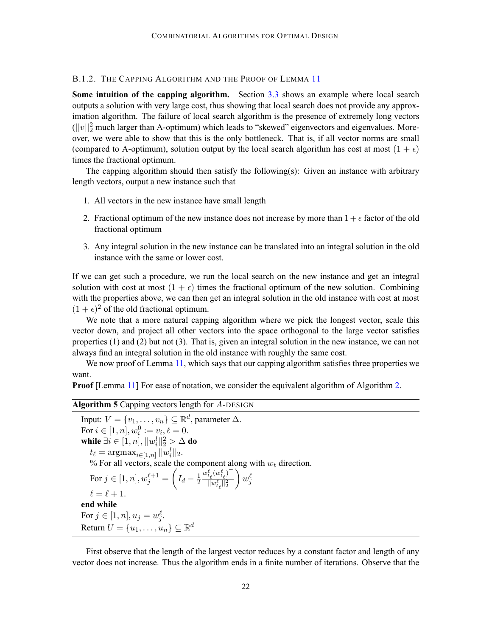# B.1.2. THE CAPPING ALGORITHM AND THE PROOF OF LEMMA [11](#page-8-0)

**Some intuition of the capping algorithm.** Section [3.3](#page-10-0) shows an example where local search outputs a solution with very large cost, thus showing that local search does not provide any approximation algorithm. The failure of local search algorithm is the presence of extremely long vectors  $(||v||_2^2$  much larger than A-optimum) which leads to "skewed" eigenvectors and eigenvalues. Moreover, we were able to show that this is the only bottleneck. That is, if all vector norms are small (compared to A-optimum), solution output by the local search algorithm has cost at most  $(1 + \epsilon)$ times the fractional optimum.

The capping algorithm should then satisfy the following(s): Given an instance with arbitrary length vectors, output a new instance such that

- 1. All vectors in the new instance have small length
- 2. Fractional optimum of the new instance does not increase by more than  $1 + \epsilon$  factor of the old fractional optimum
- 3. Any integral solution in the new instance can be translated into an integral solution in the old instance with the same or lower cost.

If we can get such a procedure, we run the local search on the new instance and get an integral solution with cost at most  $(1 + \epsilon)$  times the fractional optimum of the new solution. Combining with the properties above, we can then get an integral solution in the old instance with cost at most  $(1 + \epsilon)^2$  of the old fractional optimum.

We note that a more natural capping algorithm where we pick the longest vector, scale this vector down, and project all other vectors into the space orthogonal to the large vector satisfies properties (1) and (2) but not (3). That is, given an integral solution in the new instance, we can not always find an integral solution in the old instance with roughly the same cost.

We now proof of Lemma [11,](#page-8-0) which says that our capping algorithm satisfies three properties we want.

**Proof** [Lemma [11](#page-8-0)] For ease of notation, we consider the equivalent algorithm of Algorithm [2](#page-7-0).

# **Algorithm 5** Capping vectors length for A-DESIGN

Input:  $V = \{v_1, \ldots, v_n\} \subseteq \mathbb{R}^d$ , parameter  $\Delta$ . For  $i \in [1, n], w_i^0 := v_i, \ell = 0.$ while  $\exists i \in [1,n], ||w_i^l||_2^2 > \Delta$  do  $t_{\ell} = \operatorname{argmax}_{i \in [1,n]} ||w_i^l||_2.$ % For all vectors, scale the component along with  $w_t$  direction. For  $j \in [1, n], w^{\ell+1}_j =$  $\left(I_d - \frac{1}{2}\right)$  $w^\ell_{t_\ell}(w^\ell_{t_\ell})^\top$  $||w_{t_\ell}^\ell||_2^2$  $\Big) w_j^\ell$  $\ell = \ell + 1.$ **end while** For  $j \in [1, n], u_j = w_j^{\ell}$ . Return  $U = \{u_1, \ldots, u_n\} \subseteq \mathbb{R}^d$ 

First observe that the length of the largest vector reduces by a constant factor and length of any vector does not increase. Thus the algorithm ends in a finite number of iterations. Observe that the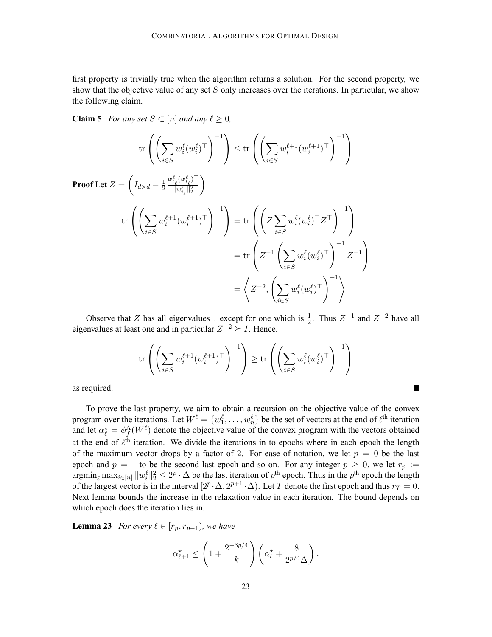<span id="page-22-0"></span>first property is trivially true when the algorithm returns a solution. For the second property, we show that the objective value of any set  $S$  only increases over the iterations. In particular, we show the following claim.

**Claim 5** *For any set*  $S \subset [n]$  *and any*  $\ell \geq 0$ *,* 

$$
\operatorname{trr}\left(\left(\sum_{i\in S} w_i^{\ell}(w_i^{\ell})^{\top}\right)^{-1}\right) \leq \operatorname{tr}\left(\left(\sum_{i\in S} w_i^{\ell+1}(w_i^{\ell+1})^{\top}\right)^{-1}\right)
$$
\nProof Let  $Z = \left(I_{d\times d} - \frac{1}{2} \frac{w_{t_\ell}^{\ell}(w_{t_\ell}^{\ell})^{\top}}{||w_{t_\ell}^{\ell}||_2^2}\right)$   
\n
$$
\operatorname{tr}\left(\left(\sum_{i\in S} w_i^{\ell+1}(w_i^{\ell+1})^{\top}\right)^{-1}\right) = \operatorname{tr}\left(\left(Z \sum_{i\in S} w_i^{\ell}(w_i^{\ell})^{\top} Z^{\top}\right)^{-1}\right)
$$
\n
$$
= \operatorname{tr}\left(Z^{-1}\left(\sum_{i\in S} w_i^{\ell}(w_i^{\ell})^{\top}\right)^{-1} Z^{-1}\right)
$$
\n
$$
= \left\langle Z^{-2}, \left(\sum_{i\in S} w_i^{\ell}(w_i^{\ell})^{\top}\right)^{-1}\right\rangle
$$

Observe that Z has all eigenvalues 1 except for one which is  $\frac{1}{2}$ . Thus  $Z^{-1}$  and  $Z^{-2}$  have all eigenvalues at least one and in particular  $Z^{-2} \succeq I$ . Hence,

$$
\mathrm{tr}\left(\left(\sum_{i\in S} w_i^{\ell+1} (w_i^{\ell+1})^\top\right)^{-1}\right) \geq \mathrm{tr}\left(\left(\sum_{i\in S} w_i^{\ell} (w_i^{\ell})^\top\right)^{-1}\right)
$$

ш

as required.

To prove the last property, we aim to obtain a recursion on the objective value of the convex program over the iterations. Let  $W^\ell = \{w_1^\ell, \ldots, w_n^\ell\}$  be the set of vectors at the end of  $\ell^{\text{th}}$  iteration and let  $\alpha_{\ell}^{\star} = \phi_{f}^{A}(W^{\ell})$  denote the objective value of the convex program with the vectors obtained at the end of  $\ell^{th}$  iteration. We divide the iterations in to epochs where in each epoch the length of the maximum vector drops by a factor of 2. For ease of notation, we let  $p = 0$  be the last epoch and  $p = 1$  to be the second last epoch and so on. For any integer  $p \ge 0$ , we let  $r_p :=$  $\operatorname{argmin}_{\ell} \max_{i \in [n]} \|w_i^{\ell}\|_2^2 \leq 2^p \cdot \Delta$  be the last iteration of  $p^{\text{th}}$  epoch. Thus in the  $p^{\text{th}}$  epoch the length of the largest vector is in the interval  $[2^p \cdot \Delta, 2^{p+1} \cdot \Delta)$ . Let T denote the first epoch and thus  $r_T = 0$ . Next lemma bounds the increase in the relaxation value in each iteration. The bound depends on which epoch does the iteration lies in.

**Lemma 23** *For every*  $\ell \in [r_p, r_{p-1})$ *, we have* 

$$
\alpha_{\ell+1}^{\star} \le \left(1 + \frac{2^{-3p/4}}{k}\right) \left(\alpha_{l}^{\star} + \frac{8}{2^{p/4}\Delta}\right).
$$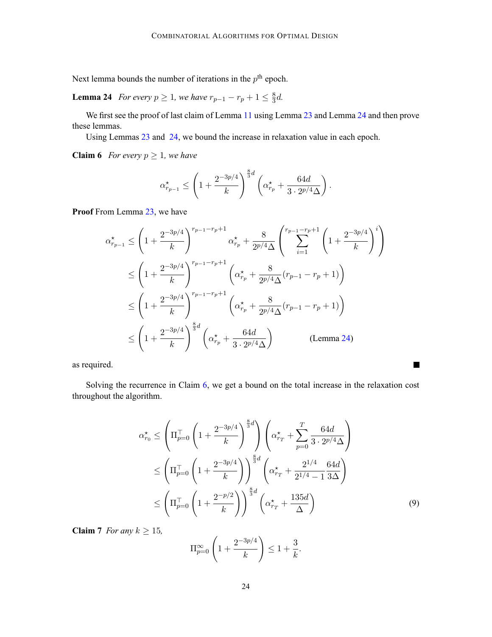<span id="page-23-0"></span>Next lemma bounds the number of iterations in the  $p<sup>th</sup>$  epoch.

**Lemma 24** *For every*  $p \ge 1$ *, we have*  $r_{p-1} - r_p + 1 \le \frac{8}{3}d$ *.* 

We first see the proof of last claim of Lemma [11](#page-8-0) using Lemma [23](#page-22-0) and Lemma 24 and then prove these lemmas.

Using Lemmas [23](#page-22-0) and 24, we bound the increase in relaxation value in each epoch.

**Claim 6** *For every*  $p \geq 1$ *, we have* 

$$
\alpha_{r_{p-1}}^{\star} \le \left(1 + \frac{2^{-3p/4}}{k}\right)^{\frac{8}{3}d} \left(\alpha_{r_p}^{\star} + \frac{64d}{3 \cdot 2^{p/4}\Delta}\right).
$$

**Proof** From Lemma [23,](#page-22-0) we have

$$
\alpha_{r_{p-1}}^{\star} \leq \left(1 + \frac{2^{-3p/4}}{k}\right)^{r_{p-1} - r_p + 1} \alpha_{r_p}^{\star} + \frac{8}{2^{p/4}\Delta} \left(\sum_{i=1}^{r_{p-1} - r_p + 1} \left(1 + \frac{2^{-3p/4}}{k}\right)^i\right)
$$
  
\n
$$
\leq \left(1 + \frac{2^{-3p/4}}{k}\right)^{r_{p-1} - r_p + 1} \left(\alpha_{r_p}^{\star} + \frac{8}{2^{p/4}\Delta}(r_{p-1} - r_p + 1)\right)
$$
  
\n
$$
\leq \left(1 + \frac{2^{-3p/4}}{k}\right)^{r_{p-1} - r_p + 1} \left(\alpha_{r_p}^{\star} + \frac{8}{2^{p/4}\Delta}(r_{p-1} - r_p + 1)\right)
$$
  
\n
$$
\leq \left(1 + \frac{2^{-3p/4}}{k}\right)^{\frac{8}{3}d} \left(\alpha_{r_p}^{\star} + \frac{64d}{3 \cdot 2^{p/4}\Delta}\right) \qquad \text{(Lemma 24)}
$$

as required.

Solving the recurrence in Claim 6, we get a bound on the total increase in the relaxation cost throughout the algorithm.

$$
\alpha_{r_0}^{\star} \le \left(\Pi_{p=0}^{\top} \left(1 + \frac{2^{-3p/4}}{k}\right)^{\frac{8}{3}d}\right) \left(\alpha_{r_T}^{\star} + \sum_{p=0}^{T} \frac{64d}{3 \cdot 2^{p/4}\Delta}\right) \n\le \left(\Pi_{p=0}^{\top} \left(1 + \frac{2^{-3p/4}}{k}\right)\right)^{\frac{8}{3}d} \left(\alpha_{r_T}^{\star} + \frac{2^{1/4}}{2^{1/4} - 1} \frac{64d}{3\Delta}\right) \n\le \left(\Pi_{p=0}^{\top} \left(1 + \frac{2^{-p/2}}{k}\right)\right)^{\frac{8}{3}d} \left(\alpha_{r_T}^{\star} + \frac{135d}{\Delta}\right)
$$
\n(9)

 $\blacksquare$ 

**Claim 7** *For any*  $k \geq 15$ *,* 

$$
\Pi_{p=0}^{\infty} \left( 1 + \frac{2^{-3p/4}}{k} \right) \le 1 + \frac{3}{k}.
$$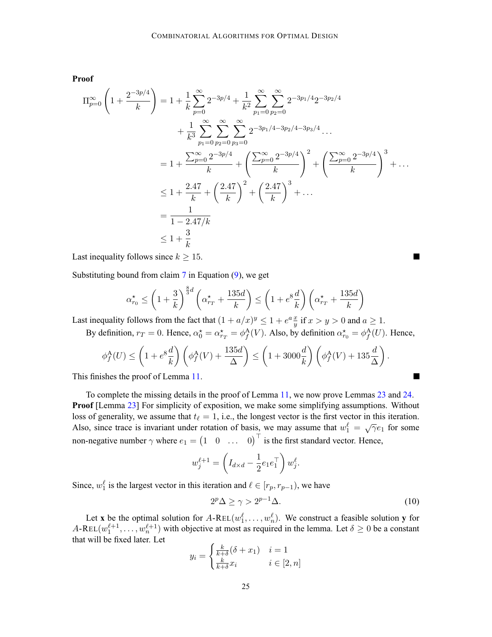<span id="page-24-0"></span>**Proof**

$$
\Pi_{p=0}^{\infty} \left( 1 + \frac{2^{-3p/4}}{k} \right) = 1 + \frac{1}{k} \sum_{p=0}^{\infty} 2^{-3p/4} + \frac{1}{k^2} \sum_{p_1=0}^{\infty} \sum_{p_2=0}^{\infty} 2^{-3p_1/4} 2^{-3p_2/4} \n+ \frac{1}{k^3} \sum_{p_1=0}^{\infty} \sum_{p_2=0}^{\infty} \sum_{p_3=0}^{\infty} 2^{-3p_1/4 - 3p_2/4 - 3p_3/4} \dots \n= 1 + \frac{\sum_{p=0}^{\infty} 2^{-3p/4}}{k} + \left( \frac{\sum_{p=0}^{\infty} 2^{-3p/4}}{k} \right)^2 + \left( \frac{\sum_{p=0}^{\infty} 2^{-3p/4}}{k} \right)^3 + \dots \n\leq 1 + \frac{2.47}{k} + \left( \frac{2.47}{k} \right)^2 + \left( \frac{2.47}{k} \right)^3 + \dots \n= \frac{1}{1 - 2.47/k} \n\leq 1 + \frac{3}{k}
$$

Last inequality follows since  $k \geq 15$ .

Substituting bound from claim  $7$  in Equation  $(9)$  $(9)$  $(9)$ , we get

$$
\alpha_{r_0}^{\star} \le \left(1 + \frac{3}{k}\right)^{\frac{8}{3}d} \left(\alpha_{r_T}^{\star} + \frac{135d}{k}\right) \le \left(1 + e^8 \frac{d}{k}\right) \left(\alpha_{r_T}^{\star} + \frac{135d}{k}\right)
$$

Last inequality follows from the fact that  $(1 + a/x)^y \le 1 + e^a \frac{x}{y}$  if  $x > y > 0$  and  $a \ge 1$ .

By definition,  $r_T = 0$ . Hence,  $\alpha_0^* = \alpha_{r_T}^* = \phi_f^{\text{A}}(V)$ . Also, by definition  $\alpha_{r_0}^* = \phi_f^{\text{A}}(U)$ . Hence,

$$
\phi_f^{\mathcal{A}}(U) \le \left(1 + e^8 \frac{d}{k}\right) \left(\phi_f^{\mathcal{A}}(V) + \frac{135d}{\Delta}\right) \le \left(1 + 3000 \frac{d}{k}\right) \left(\phi_f^{\mathcal{A}}(V) + 135 \frac{d}{\Delta}\right).
$$

This finishes the proof of Lemma [11](#page-8-0).

To complete the missing details in the proof of Lemma [11](#page-8-0), we now prove Lemmas [23](#page-22-0) and [24.](#page-23-0) **Proof** [Lemma [23\]](#page-22-0) For simplicity of exposition, we make some simplifying assumptions. Without loss of generality, we assume that  $t_\ell = 1$ , i.e., the longest vector is the first vector in this iteration. Also, since trace is invariant under rotation of basis, we may assume that  $w_1^{\ell} = \sqrt{\gamma}e_1$  for some non-negative number  $\gamma$  where  $e_1 = \begin{pmatrix} 1 & 0 & \dots & 0 \end{pmatrix}^\top$  is the first standard vector. Hence,

$$
w_j^{\ell+1} = \left( I_{d \times d} - \frac{1}{2} e_1 e_1^\top \right) w_j^{\ell}.
$$

Since,  $w_1^{\ell}$  is the largest vector in this iteration and  $\ell \in [r_p, r_{p-1})$ , we have

$$
2^p \Delta \ge \gamma > 2^{p-1} \Delta. \tag{10}
$$

**T** 

Let **x** be the optimal solution for  $A$ -REL $(w_1^{\ell}, \ldots, w_n^{\ell})$ . We construct a feasible solution **y** for  $A\text{-}\text{REL}(w_1^{\ell+1}, \ldots, w_n^{\ell+1})$  with objective at most as required in the lemma. Let  $\delta \geq 0$  be a constant that will be fixed later. Let

$$
y_i = \begin{cases} \frac{k}{k+\delta}(\delta + x_1) & i = 1\\ \frac{k}{k+\delta}x_i & i \in [2, n] \end{cases}
$$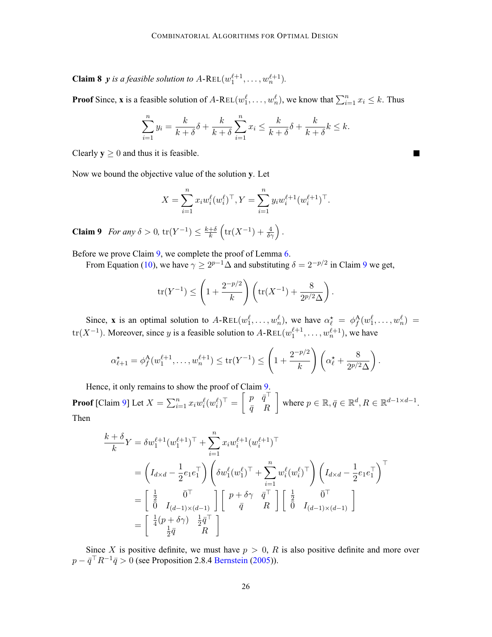<span id="page-25-0"></span>**Claim 8** *y is a feasible solution to*  $A$ -REL $(w_1^{\ell+1}, \ldots, w_n^{\ell+1})$ *.* 

**Proof** Since, **x** is a feasible solution of  $A$ -REL $(w_1^{\ell}, \ldots, w_n^{\ell})$ , we know that  $\sum_{i=1}^{n} x_i \leq k$ . Thus

$$
\sum_{i=1}^{n} y_i = \frac{k}{k+\delta} \delta + \frac{k}{k+\delta} \sum_{i=1}^{n} x_i \le \frac{k}{k+\delta} \delta + \frac{k}{k+\delta} k \le k.
$$

П

Clearly  $y \ge 0$  and thus it is feasible.

Now we bound the objective value of the solution **y**. Let

$$
X = \sum_{i=1}^{n} x_i w_i^{\ell} (w_i^{\ell})^{\top}, Y = \sum_{i=1}^{n} y_i w_i^{\ell+1} (w_i^{\ell+1})^{\top}.
$$

**Claim 9** *For any*  $\delta > 0$ ,  $tr(Y^{-1}) \leq \frac{k+\delta}{k}$  $\left(\text{tr}(X^{-1}) + \frac{4}{\delta \gamma}\right).$ 

Before we prove Claim 9, we complete the proof of Lemma [6](#page-23-0).

From Equation [\(10\)](#page-24-0), we have  $\gamma \ge 2^{p-1}\Delta$  and substituting  $\delta = 2^{-p/2}$  in Claim 9 we get,

$$
\text{tr}(Y^{-1}) \le \left(1 + \frac{2^{-p/2}}{k}\right) \left(\text{tr}(X^{-1}) + \frac{8}{2^{p/2}\Delta}\right).
$$

Since, **x** is an optimal solution to  $A$ -REL $(w_1^{\ell}, \ldots, w_n^{\ell})$ , we have  $\alpha_{\ell}^{\star} = \phi_A^{\Lambda}(w_1^{\ell}, \ldots, w_n^{\ell}) =$ tr(X<sup>-1</sup>). Moreover, since y is a feasible solution to A-REL( $w_1^{\ell+1}, \ldots, w_n^{\ell+1}$ ), we have

$$
\alpha_{\ell+1}^* = \phi_f^{\mathsf{A}}(w_1^{\ell+1}, \dots, w_n^{\ell+1}) \le \text{tr}(Y^{-1}) \le \left(1 + \frac{2^{-p/2}}{k}\right) \left(\alpha_{\ell}^* + \frac{8}{2^{p/2}\Delta}\right).
$$

Hence, it only remains to show the proof of Claim 9. **Proof** [Claim 9] Let  $X = \sum_{i=1}^{n} x_i w_i^{\ell} (w_i^{\ell})^{\top} =$  $\lceil p \quad \bar{q}^{\top}$  $\bar{q}$  R where  $p \in \mathbb{R}, \bar{q} \in \mathbb{R}^d, R \in \mathbb{R}^{d-1 \times d-1}$ . Then

$$
\frac{k+\delta}{k}Y = \delta w_1^{\ell+1} (w_1^{\ell+1})^\top + \sum_{i=1}^n x_i w_i^{\ell+1} (w_i^{\ell+1})^\top
$$
\n
$$
= \left( I_{d \times d} - \frac{1}{2} e_1 e_1^\top \right) \left( \delta w_1^{\ell} (w_1^{\ell})^\top + \sum_{i=1}^n w_i^{\ell} (w_i^{\ell})^\top \right) \left( I_{d \times d} - \frac{1}{2} e_1 e_1^\top \right)^\top
$$
\n
$$
= \begin{bmatrix} \frac{1}{2} & \bar{0}^\top \\ \bar{0} & I_{(d-1) \times (d-1)} \end{bmatrix} \begin{bmatrix} p+\delta \gamma & \bar{q}^\top \\ \bar{q} & R \end{bmatrix} \begin{bmatrix} \frac{1}{2} & \bar{0}^\top \\ \bar{0} & I_{(d-1) \times (d-1)} \end{bmatrix}
$$
\n
$$
= \begin{bmatrix} \frac{1}{4} (p+\delta \gamma) & \frac{1}{2} \bar{q}^\top \\ \frac{1}{2} \bar{q} & R \end{bmatrix}
$$

Since X is positive definite, we must have  $p > 0$ , R is also positive definite and more over  $p - \bar{q}^\top R^{-1} \bar{q} > 0$  (see Proposition 2.8.4 [Bernstein](#page-12-0) ([2005\)](#page-12-0)).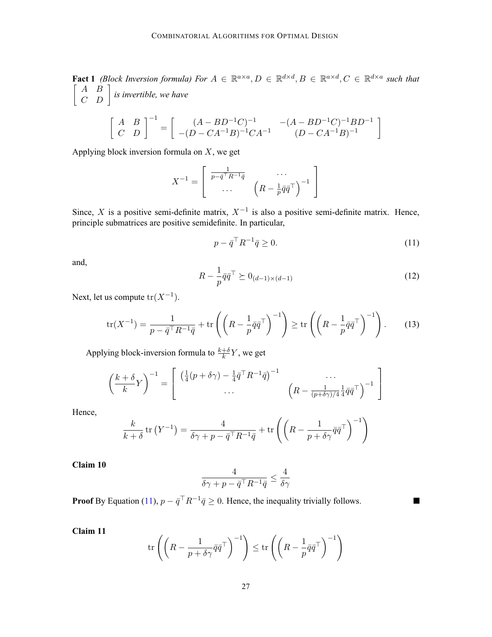<span id="page-26-0"></span>**Fact 1** *(Block Inversion formula)* For  $A \in \mathbb{R}^{a \times a}$ ,  $D \in \mathbb{R}^{d \times d}$ ,  $B \in \mathbb{R}^{a \times d}$ ,  $C \in \mathbb{R}^{d \times a}$  such that  $\left[\begin{array}{cc} A & B \\ C & D \end{array}\right]$  is invertible, we have

$$
\begin{bmatrix} A & B \ C & D \end{bmatrix}^{-1} = \begin{bmatrix} (A - BD^{-1}C)^{-1} & -(A - BD^{-1}C)^{-1}BD^{-1} \ -(D - CA^{-1}B)^{-1}CA^{-1} & (D - CA^{-1}B)^{-1} \end{bmatrix}
$$

Applying block inversion formula on  $X$ , we get

$$
X^{-1} = \begin{bmatrix} \frac{1}{p - \bar{q}^\top R^{-1} \bar{q}} & \cdots \\ \cdots & \left( R - \frac{1}{p} \bar{q} \bar{q}^\top \right)^{-1} \end{bmatrix}
$$

Since, X is a positive semi-definite matrix,  $X^{-1}$  is also a positive semi-definite matrix. Hence, principle submatrices are positive semidefinite. In particular,

$$
p - \bar{q}^\top R^{-1} \bar{q} \ge 0. \tag{11}
$$

and,

$$
R - \frac{1}{p}\bar{q}\bar{q}^{\top} \succeq 0_{(d-1)\times(d-1)}\tag{12}
$$

 $\blacksquare$ 

Next, let us compute  $tr(X^{-1})$ .

$$
\operatorname{tr}(X^{-1}) = \frac{1}{p - \bar{q}^\top R^{-1} \bar{q}} + \operatorname{tr}\left(\left(R - \frac{1}{p} \bar{q} \bar{q}^\top\right)^{-1}\right) \ge \operatorname{tr}\left(\left(R - \frac{1}{p} \bar{q} \bar{q}^\top\right)^{-1}\right). \tag{13}
$$

Applying block-inversion formula to  $\frac{k+\delta}{k}Y$ , we get

$$
\left(\frac{k+\delta}{k}Y\right)^{-1} = \begin{bmatrix} \left(\frac{1}{4}(p+\delta\gamma) - \frac{1}{4}\bar{q}^\top R^{-1}\bar{q}\right)^{-1} & \cdots \\ \cdots & \left(R - \frac{1}{(p+\delta\gamma)/4}\frac{1}{4}\bar{q}\bar{q}^\top\right)^{-1} \end{bmatrix}
$$

Hence,

$$
\frac{k}{k+\delta} \operatorname{tr} (Y^{-1}) = \frac{4}{\delta \gamma + p - \bar{q}^\top R^{-1} \bar{q}} + \operatorname{tr} \left( \left( R - \frac{1}{p + \delta \gamma} \bar{q} \bar{q}^\top \right)^{-1} \right)
$$

**Claim 10**

$$
\frac{4}{\delta \gamma + p - \bar{q}^\top R^{-1} \bar{q}} \le \frac{4}{\delta \gamma}
$$

**Proof** By Equation (11),  $p - \bar{q}^\top R^{-1} \bar{q} \ge 0$ . Hence, the inequality trivially follows.

**Claim 11**

$$
\operatorname{tr}\left(\left(R - \frac{1}{p + \delta\gamma}\bar{q}\bar{q}^{\top}\right)^{-1}\right) \leq \operatorname{tr}\left(\left(R - \frac{1}{p}\bar{q}\bar{q}^{\top}\right)^{-1}\right)
$$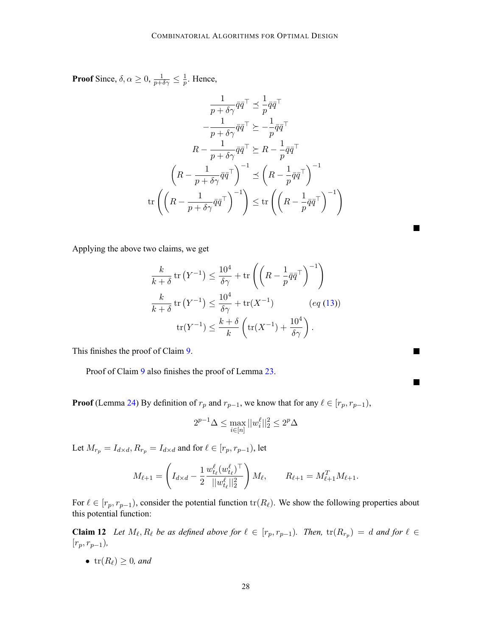<span id="page-27-0"></span>**Proof** Since,  $\delta, \alpha \ge 0$ ,  $\frac{1}{p+\delta\gamma} \le \frac{1}{p}$ . Hence,

$$
\frac{1}{p + \delta \gamma} \bar{q} \bar{q}^{\top} \preceq \frac{1}{p} \bar{q} \bar{q}^{\top}
$$
\n
$$
-\frac{1}{p + \delta \gamma} \bar{q} \bar{q}^{\top} \succeq -\frac{1}{p} \bar{q} \bar{q}^{\top}
$$
\n
$$
R - \frac{1}{p + \delta \gamma} \bar{q} \bar{q}^{\top} \succeq R - \frac{1}{p} \bar{q} \bar{q}^{\top}
$$
\n
$$
\left(R - \frac{1}{p + \delta \gamma} \bar{q} \bar{q}^{\top}\right)^{-1} \preceq \left(R - \frac{1}{p} \bar{q} \bar{q}^{\top}\right)^{-1}
$$
\n
$$
\text{tr}\left(\left(R - \frac{1}{p + \delta \gamma} \bar{q} \bar{q}^{\top}\right)^{-1}\right) \leq \text{tr}\left(\left(R - \frac{1}{p} \bar{q} \bar{q}^{\top}\right)^{-1}\right)
$$

Applying the above two claims, we get

$$
\frac{k}{k+\delta} \operatorname{tr} (Y^{-1}) \le \frac{10^4}{\delta \gamma} + \operatorname{tr} \left( \left( R - \frac{1}{p} \overline{q} \overline{q}^\top \right)^{-1} \right)
$$
  

$$
\frac{k}{k+\delta} \operatorname{tr} (Y^{-1}) \le \frac{10^4}{\delta \gamma} + \operatorname{tr} (X^{-1}) \qquad (eq \ (13))
$$
  

$$
\operatorname{tr} (Y^{-1}) \le \frac{k+\delta}{k} \left( \operatorname{tr} (X^{-1}) + \frac{10^4}{\delta \gamma} \right).
$$

П

**The Co** 

П

This finishes the proof of Claim [9](#page-25-0).

Proof of Claim [9](#page-25-0) also finishes the proof of Lemma [23.](#page-22-0)

**Proof** (Lemma [24](#page-23-0)) By definition of  $r_p$  and  $r_{p-1}$ , we know that for any  $\ell \in [r_p, r_{p-1})$ ,

$$
2^{p-1}\Delta \leq \max_{i \in [n]} ||w_i^{\ell}||_2^2 \leq 2^p \Delta
$$

Let  $M_{r_p} = I_{d \times d}$ ,  $R_{r_p} = I_{d \times d}$  and for  $\ell \in [r_p, r_{p-1})$ , let

$$
M_{\ell+1} = \left( I_{d \times d} - \frac{1}{2} \frac{w_{t_{\ell}}^{\ell}(w_{t_{\ell}}^{\ell})^{\top}}{||w_{t_{\ell}}^{\ell}||_2^2} \right) M_{\ell}, \qquad R_{\ell+1} = M_{\ell+1}^T M_{\ell+1}.
$$

For  $\ell \in [r_p, r_{p-1})$ , consider the potential function  $\text{tr}(R_\ell)$ . We show the following properties about this potential function:

**Claim 12** *Let*  $M_\ell, R_\ell$  *be as defined above for*  $\ell \in [r_p, r_{p-1})$ *. Then,*  $\text{tr}(R_{r_p}) = d$  *and for*  $\ell \in$ [rp, rp−1)*,*

•  $tr(R_\ell) \geq 0$ *, and*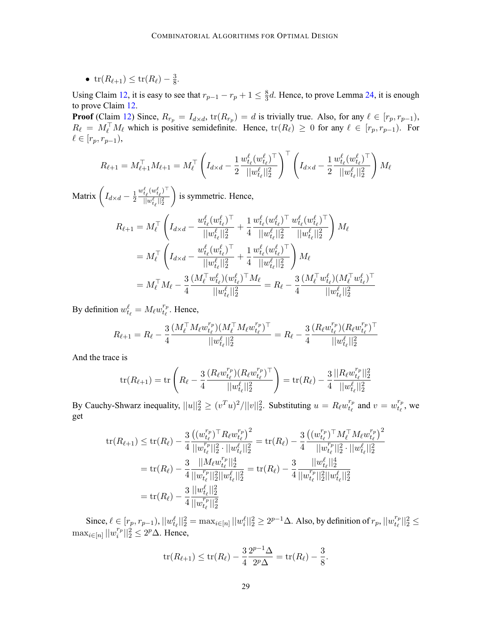•  $tr(R_{\ell+1}) \le tr(R_{\ell}) - \frac{3}{8}.$ 

Using Claim [12](#page-27-0), it is easy to see that  $r_{p-1} - r_p + 1 \le \frac{8}{3}d$ . Hence, to prove Lemma [24,](#page-23-0) it is enough to prove Claim [12.](#page-27-0)

**Proof** (Claim [12\)](#page-27-0) Since,  $R_{r_p} = I_{d \times d}$ ,  $\text{tr}(R_{r_p}) = d$  is trivially true. Also, for any  $\ell \in [r_p, r_{p-1}),$  $R_{\ell} = M_{\ell}^{\perp} M_{\ell}$  which is positive semidefinite. Hence,  $tr(R_{\ell}) \geq 0$  for any  $\ell \in [r_p, r_{p-1})$ . For  $\ell \in [r_p, r_{p-1}),$ 

$$
R_{\ell+1} = M_{\ell+1}^{\top} M_{\ell+1} = M_{\ell}^{\top} \left( I_{d \times d} - \frac{1}{2} \frac{w_{t_{\ell}}^{\ell}(w_{t_{\ell}}^{\ell})^{\top}}{||w_{t_{\ell}}^{\ell}||_2^2} \right)^{\top} \left( I_{d \times d} - \frac{1}{2} \frac{w_{t_{\ell}}^{\ell}(w_{t_{\ell}}^{\ell})^{\top}}{||w_{t_{\ell}}^{\ell}||_2^2} \right) M_{\ell}
$$

Matrix  $\left(I_{d \times d} - \frac{1}{2}\right)$  $w^\ell_{t_\ell}(w^\ell_{t_\ell})^\top$  $||w_{t_\ell}^\ell||_2^2$  $\overline{ }$ is symmetric. Hence,

$$
R_{\ell+1} = M_{\ell}^{\top} \left( I_{d \times d} - \frac{w_{t_{\ell}}^{\ell} (w_{t_{\ell}}^{\ell})^{\top}}{||w_{t_{\ell}}^{\ell}||_{2}^{2}} + \frac{1}{4} \frac{w_{t_{\ell}}^{\ell} (w_{t_{\ell}}^{\ell})^{\top}}{||w_{t_{\ell}}^{\ell}||_{2}^{2}} \frac{w_{t_{\ell}}^{\ell} (w_{t_{\ell}}^{\ell})^{\top}}{||w_{t_{\ell}}^{\ell}||_{2}^{2}} \right) M_{\ell}
$$
  
\n
$$
= M_{\ell}^{\top} \left( I_{d \times d} - \frac{w_{t_{\ell}}^{\ell} (w_{t_{\ell}}^{\ell})^{\top}}{||w_{t_{\ell}}^{\ell}||_{2}^{2}} + \frac{1}{4} \frac{w_{t_{\ell}}^{\ell} (w_{t_{\ell}}^{\ell})^{\top}}{||w_{t_{\ell}}^{\ell}||_{2}^{2}} \right) M_{\ell}
$$
  
\n
$$
= M_{\ell}^{\top} M_{\ell} - \frac{3}{4} \frac{(M_{\ell}^{\top} w_{t_{\ell}}^{\ell}) (w_{t_{\ell}}^{\ell})^{\top} M_{\ell}}{||w_{t_{\ell}}^{\ell}||_{2}^{2}} = R_{\ell} - \frac{3}{4} \frac{(M_{\ell}^{\top} w_{t_{\ell}}^{\ell}) (M_{\ell}^{\top} w_{t_{\ell}}^{\ell})^{\top}}{||w_{t_{\ell}}^{\ell}||_{2}^{2}}
$$

By definition  $w_{t_\ell}^{\ell} = M_\ell w_{t_\ell}^{r_p}$ . Hence,

$$
R_{\ell+1} = R_{\ell} - \frac{3}{4} \frac{(M_{\ell}^{\top} M_{\ell} w_{t_{\ell}}^{r_p})(M_{\ell}^{\top} M_{\ell} w_{t_{\ell}}^{r_p})^{\top}}{||w_{t_{\ell}}^{\ell}||_2^2} = R_{\ell} - \frac{3}{4} \frac{(R_{\ell} w_{t_{\ell}}^{r_p})(R_{\ell} w_{t_{\ell}}^{r_p})^{\top}}{||w_{t_{\ell}}^{\ell}||_2^2}
$$

And the trace is

$$
\text{tr}(R_{\ell+1}) = \text{tr}\left(R_{\ell} - \frac{3}{4} \frac{(R_{\ell} w_{t_{\ell}}^{r_p})(R_{\ell} w_{t_{\ell}}^{r_p})^{\top}}{||w_{t_{\ell}}^{\ell}||_2^2}\right) = \text{tr}(R_{\ell}) - \frac{3}{4} \frac{||R_{\ell} w_{t_{\ell}}^{r_p}||_2^2}{||w_{t_{\ell}}^{\ell}||_2^2}
$$

By Cauchy-Shwarz inequality,  $||u||_2^2 \ge (v^T u)^2/||v||_2^2$ . Substituting  $u = R_\ell w_{t_\ell}^{r_p}$  and  $v = w_{t_\ell}^{r_p}$ , we get

$$
\mathrm{tr}(R_{\ell+1}) \leq \mathrm{tr}(R_{\ell}) - \frac{3}{4} \frac{\left((w_{t_{\ell}}^{r_p})^{\top} R_{\ell} w_{t_{\ell}}^{r_p}\right)^2}{||w_{t_{\ell}}^{r_p}||_2^2 \cdot ||w_{t_{\ell}}^{\ell}||_2^2} = \mathrm{tr}(R_{\ell}) - \frac{3}{4} \frac{\left((w_{t_{\ell}}^{r_p})^{\top} M_{\ell}^{\top} M_{\ell} w_{t_{\ell}}^{r_p}\right)^2}{||w_{t_{\ell}}^{r_p}||_2^2 \cdot ||w_{t_{\ell}}^{\ell}||_2^2}
$$

$$
= \mathrm{tr}(R_{\ell}) - \frac{3}{4} \frac{||M_{\ell} w_{t_{\ell}}^{r_p}||_2^4}{||w_{t_{\ell}}^{r_p}||_2^2 ||w_{t_{\ell}}^{\ell}||_2^2} = \mathrm{tr}(R_{\ell}) - \frac{3}{4} \frac{||w_{t_{\ell}}^{\ell}||_2^4}{||w_{t_{\ell}}^{r_p}||_2^2 ||w_{t_{\ell}}^{\ell}||_2^2}
$$

$$
= \mathrm{tr}(R_{\ell}) - \frac{3}{4} \frac{||w_{t_{\ell}}^{\ell}||_2^2}{||w_{t_{\ell}}^{r_p}||_2^2}
$$

Since,  $\ell \in [r_p, r_{p-1}), ||w^{\ell}_{t_{\ell}}||_2^2 = \max_{i \in [n]} ||w^{\ell}_i||_2^2 \ge 2^{p-1}\Delta$ . Also, by definition of  $r_p, ||w^{r_p}_{t_{\ell}}||_2^2 \le$  $\max_{i \in [n]} ||w_i^{r_p}||_2^2 \leq 2^p \Delta$ . Hence,

$$
\text{tr}(R_{\ell+1}) \le \text{tr}(R_{\ell}) - \frac{3}{4} \frac{2^{p-1} \Delta}{2^p \Delta} = \text{tr}(R_{\ell}) - \frac{3}{8}.
$$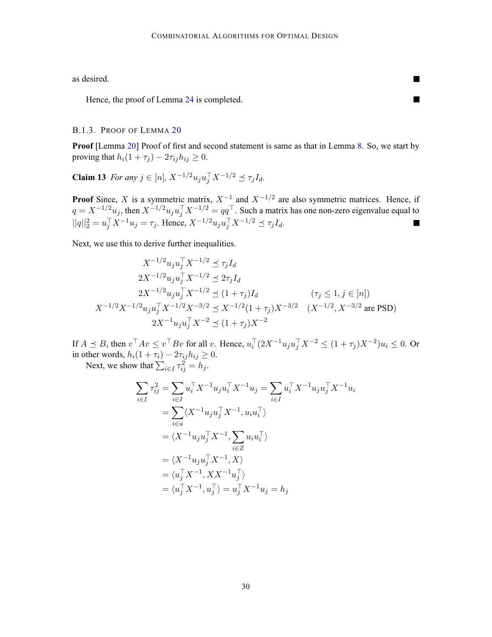<span id="page-29-0"></span>as desired.

Hence, the proof of Lemma [24](#page-23-0) is completed.

#### B.1.3. PROOF OF LEMMA [20](#page-17-0)

**Proof** [Lemma [20](#page-17-0)] Proof of first and second statement is same as that in Lemma [8](#page-5-0). So, we start by proving that  $h_i(1 + \tau_j) - 2\tau_{ij}h_{ij} \geq 0$ .

**Claim 13** *For any*  $j \in [n]$ ,  $X^{-1/2}u_ju_j^{\top}X^{-1/2} \preceq \tau_jI_d$ .

**Proof** Since, X is a symmetric matrix,  $X^{-1}$  and  $X^{-1/2}$  are also symmetric matrices. Hence, if  $q = X^{-1/2}u_j$ , then  $X^{-1/2}u_ju_j^\top X^{-1/2} = qq^\top$ . Such a matrix has one non-zero eigenvalue equal to  $||q||_2^2 = u_j^{\top} X^{-1} u_j = \tau_j$ . Hence,  $X^{-1/2} u_j u_j^{\top} X^{-1/2} \preceq \tau_j I_d$ .  $\blacksquare$ 

Next, we use this to derive further inequalities.

$$
X^{-1/2}u_ju_j^{\top}X^{-1/2} \preceq \tau_j I_d
$$
  
\n
$$
2X^{-1/2}u_ju_j^{\top}X^{-1/2} \preceq 2\tau_j I_d
$$
  
\n
$$
2X^{-1/2}u_ju_j^{\top}X^{-1/2} \preceq (1+\tau_j)I_d \qquad (\tau_j \le 1, j \in [n])
$$
  
\n
$$
X^{-1/2}X^{-1/2}u_ju_j^{\top}X^{-1/2}X^{-3/2} \preceq X^{-1/2}(1+\tau_j)X^{-3/2} \qquad (X^{-1/2}, X^{-3/2} \text{ are PSD})
$$
  
\n
$$
2X^{-1}u_ju_j^{\top}X^{-2} \preceq (1+\tau_j)X^{-2}
$$

If  $A \preceq B$ , then  $v^\top A v \le v^\top B v$  for all v. Hence,  $u_i^\top (2X^{-1}u_ju_j^\top X^{-2}) \le (1+\tau_j)X^{-2}u_i \le 0$ . Or in other words,  $h_i(1 + \tau_i) - 2\tau_{ij}h_{ij} \ge 0$ . Next, we show that  $\sum_{i \in I} \tau_{ij}^2 = h_j$ .

$$
\sum_{i \in I} \tau_{ij}^2 = \sum_{i \in I} u_i^{\top} X^{-1} u_j u_i^{\top} X^{-1} u_j = \sum_{i \in I} u_i^{\top} X^{-1} u_j u_j^{\top} X^{-1} u_i
$$
  
\n
$$
= \sum_{i \in u} \langle X^{-1} u_j u_j^{\top} X^{-1}, u_i u_i^{\top} \rangle
$$
  
\n
$$
= \langle X^{-1} u_j u_j^{\top} X^{-1}, \sum_{i \in Z} u_i u_i^{\top} \rangle
$$
  
\n
$$
= \langle X^{-1} u_j u_j^{\top} X^{-1}, X \rangle
$$
  
\n
$$
= \langle u_j^{\top} X^{-1}, X X^{-1} u_j^{\top} \rangle
$$
  
\n
$$
= \langle u_j^{\top} X^{-1}, u_j^{\top} \rangle = u_j^{\top} X^{-1} u_j = h_j
$$

**In the Second**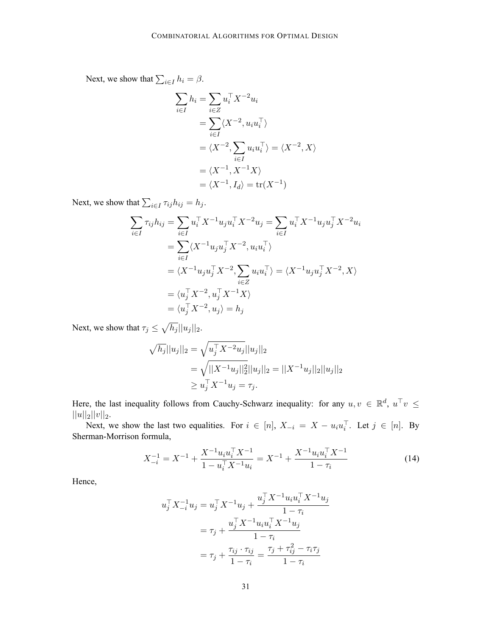<span id="page-30-0"></span>Next, we show that  $\sum_{i \in I} h_i = \beta$ .

$$
\sum_{i \in I} h_i = \sum_{i \in Z} u_i^\top X^{-2} u_i
$$
  
= 
$$
\sum_{i \in I} \langle X^{-2}, u_i u_i^\top \rangle
$$
  
= 
$$
\langle X^{-2}, \sum_{i \in I} u_i u_i^\top \rangle = \langle X^{-2}, X \rangle
$$
  
= 
$$
\langle X^{-1}, X^{-1} X \rangle
$$
  
= 
$$
\langle X^{-1}, I_d \rangle = \text{tr}(X^{-1})
$$

Next, we show that  $\sum_{i \in I} \tau_{ij} h_{ij} = h_j$ .

$$
\sum_{i \in I} \tau_{ij} h_{ij} = \sum_{i \in I} u_i^{\top} X^{-1} u_j u_i^{\top} X^{-2} u_j = \sum_{i \in I} u_i^{\top} X^{-1} u_j u_j^{\top} X^{-2} u_i
$$
  
= 
$$
\sum_{i \in I} \langle X^{-1} u_j u_j^{\top} X^{-2}, u_i u_i^{\top} \rangle
$$
  
= 
$$
\langle X^{-1} u_j u_j^{\top} X^{-2}, \sum_{i \in Z} u_i u_i^{\top} \rangle = \langle X^{-1} u_j u_j^{\top} X^{-2}, X \rangle
$$
  
= 
$$
\langle u_j^{\top} X^{-2}, u_j^{\top} X^{-1} X \rangle
$$
  
= 
$$
\langle u_j^{\top} X^{-2}, u_j \rangle = h_j
$$

Next, we show that  $\tau_j \leq \sqrt{h_j} ||u_j||_2$ .

$$
\sqrt{h_j}||u_j||_2 = \sqrt{u_j^{\top} X^{-2} u_j}||u_j||_2
$$
  
=  $\sqrt{||X^{-1} u_j||_2^2}||u_j||_2 = ||X^{-1} u_j||_2||u_j||_2$   
 $\ge u_j^{\top} X^{-1} u_j = \tau_j.$ 

Here, the last inequality follows from Cauchy-Schwarz inequality: for any  $u, v \in \mathbb{R}^d$ ,  $u^{\top}v \leq$  $||u||_2||v||_2.$ 

Next, we show the last two equalities. For  $i \in [n]$ ,  $X_{-i} = X - u_i u_i^{\top}$ . Let  $j \in [n]$ . By Sherman-Morrison formula,

$$
X_{-i}^{-1} = X^{-1} + \frac{X^{-1}u_i u_i^{\top} X^{-1}}{1 - u_i^{\top} X^{-1} u_i} = X^{-1} + \frac{X^{-1}u_i u_i^{\top} X^{-1}}{1 - \tau_i}
$$
(14)

Hence,

$$
u_j^{\top} X_{-i}^{-1} u_j = u_j^{\top} X^{-1} u_j + \frac{u_j^{\top} X^{-1} u_i u_i^{\top} X^{-1} u_j}{1 - \tau_i}
$$
  
=  $\tau_j + \frac{u_j^{\top} X^{-1} u_i u_i^{\top} X^{-1} u_j}{1 - \tau_i}$   
=  $\tau_j + \frac{\tau_{ij} \cdot \tau_{ij}}{1 - \tau_i} = \frac{\tau_j + \tau_{ij}^2 - \tau_i \tau_j}{1 - \tau_i}$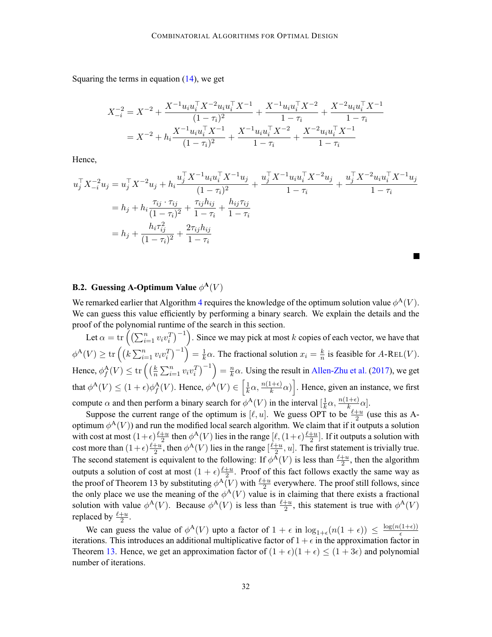Squaring the terms in equation  $(14)$  $(14)$ , we get

$$
X_{-i}^{-2} = X^{-2} + \frac{X^{-1}u_i u_i^{\top} X^{-2} u_i u_i^{\top} X^{-1}}{(1 - \tau_i)^2} + \frac{X^{-1}u_i u_i^{\top} X^{-2}}{1 - \tau_i} + \frac{X^{-2}u_i u_i^{\top} X^{-1}}{1 - \tau_i}
$$
  
=  $X^{-2} + h_i \frac{X^{-1}u_i u_i^{\top} X^{-1}}{(1 - \tau_i)^2} + \frac{X^{-1}u_i u_i^{\top} X^{-2}}{1 - \tau_i} + \frac{X^{-2}u_i u_i^{\top} X^{-1}}{1 - \tau_i}$ 

Hence,

$$
u_j^{\top} X_{-i}^{-2} u_j = u_j^{\top} X^{-2} u_j + h_i \frac{u_j^{\top} X^{-1} u_i u_i^{\top} X^{-1} u_j}{(1 - \tau_i)^2} + \frac{u_j^{\top} X^{-1} u_i u_i^{\top} X^{-2} u_j}{1 - \tau_i} + \frac{u_j^{\top} X^{-2} u_i u_i^{\top} X^{-1} u_j}{1 - \tau_i}
$$
  
=  $h_j + h_i \frac{\tau_{ij} \cdot \tau_{ij}}{(1 - \tau_i)^2} + \frac{\tau_{ij} h_{ij}}{1 - \tau_i} + \frac{h_{ij} \tau_{ij}}{1 - \tau_i}$   
=  $h_j + \frac{h_i \tau_{ij}^2}{(1 - \tau_i)^2} + \frac{2\tau_{ij} h_{ij}}{1 - \tau_i}$ 

# **B.2. Guessing A-Optimum Value**  $\phi^{\mathbf{A}}(V)$

We remarked earlier that Algorithm [4](#page-9-0) requires the knowledge of the optimum solution value  $\phi^{\mathcal{A}}(V)$ . We can guess this value efficiently by performing a binary search. We explain the details and the proof of the polynomial runtime of the search in this section.

Let  $\alpha = \text{tr}\left(\left(\sum_{i=1}^n v_i v_i^T\right)^{-1}\right)$ . Since we may pick at most k copies of each vector, we have that  $\phi^{\mathcal{A}}(V) \ge \text{tr}\left(\left(k\sum_{i=1}^{n} v_i v_i^T\right)^{-1}\right) = \frac{1}{k}\alpha$ . The fractional solution  $x_i = \frac{k}{n}$  is feasible for A-REL(V). Hence,  $\phi_f^{\mathbf{A}}(V) \le \text{tr}\left(\left(\frac{k}{n}\sum_{i=1}^n v_i v_i^T\right)^{-1}\right) = \frac{n}{k}\alpha$ . Using the result in [Allen-Zhu et al.](#page-12-0) ([2017\)](#page-12-0), we get that  $\phi^{\mathbf{A}}(V) \leq (1+\epsilon)\phi_f^{\mathbf{A}}(V)$ . Hence,  $\phi^{\mathbf{A}}(V) \in \left[\frac{1}{k}\alpha, \frac{n(1+\epsilon)}{k}\alpha\right]$ . Hence, given an instance, we first compute  $\alpha$  and then perform a binary search for  $\phi^{\mathcal{A}}(V)$  in the interval  $[\frac{1}{k}\alpha, \frac{n(1+\epsilon)}{k}]$ .

Suppose the current range of the optimum is  $[\ell, u]$ . We guess OPT to be  $\frac{\ell+u}{2}$  (use this as Aoptimum  $\phi^{\mathcal{A}}(V)$  and run the modified local search algorithm. We claim that if it outputs a solution with cost at most  $(1+\epsilon) \frac{\ell+u}{2}$  then  $\phi^{\mathbf{A}}(V)$  lies in the range  $[\ell,(1+\epsilon) \frac{\ell+u}{2}]$ . If it outputs a solution with cost more than  $(1+\epsilon)\frac{\ell+u}{2}$ , then  $\phi^{\mathbf{A}}(V)$  lies in the range  $[\frac{\ell+u}{2}, u]$ . The first statement is trivially true. The second statement is equivalent to the following: If  $\phi^{\mathcal{A}}(V)$  is less than  $\frac{\ell+u}{2}$ , then the algorithm outputs a solution of cost at most  $(1 + \epsilon) \frac{\ell + u}{2}$ . Proof of this fact follows exactly the same way as the proof of Theorem 13 by substituting  $\phi^{\mathbf{A}}(V)$  with  $\frac{\ell+u}{2}$  everywhere. The proof still follows, since the only place we use the meaning of the  $\phi^{\mathcal{A}}(V)$  value is in claiming that there exists a fractional solution with value  $\phi^{\mathcal{A}}(V)$ . Because  $\phi^{\mathcal{A}}(V)$  is less than  $\frac{\ell+u}{2}$ , this statement is true with  $\phi^{\mathcal{A}}(V)$ replaced by  $\frac{\ell+u}{2}$ .

We can guess the value of  $\phi^{\mathcal{A}}(V)$  upto a factor of  $1 + \epsilon$  in  $\log_{1+\epsilon}(n(1+\epsilon)) \leq \frac{\log(n(1+\epsilon))}{\epsilon}$ iterations. This introduces an additional multiplicative factor of  $1 + \epsilon$  in the approximation factor in Theorem [13](#page-9-0). Hence, we get an approximation factor of  $(1 + \epsilon)(1 + \epsilon) \le (1 + 3\epsilon)$  and polynomial number of iterations.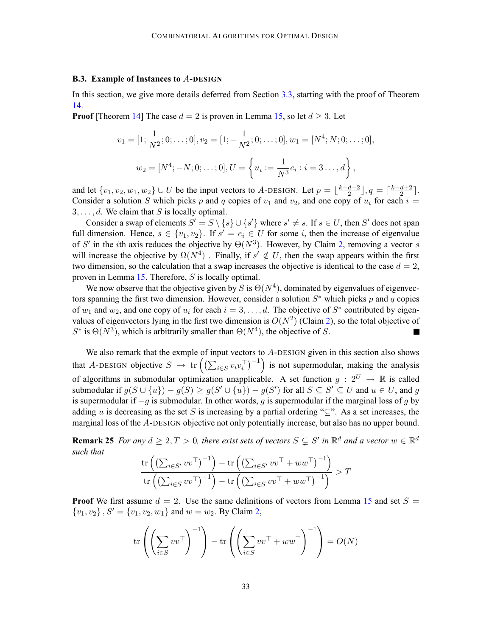#### **B.3. Example of Instances to** A**-DESIGN**

In this section, we give more details deferred from Section [3.3,](#page-10-0) starting with the proof of Theorem [14.](#page-10-0)

**Proof** [Theorem [14](#page-10-0)] The case  $d = 2$  is proven in Lemma [15](#page-10-0), so let  $d \geq 3$ . Let

$$
v_1 = [1; \frac{1}{N^2}; 0; \dots; 0], v_2 = [1; -\frac{1}{N^2}; 0; \dots; 0], w_1 = [N^4; N; 0; \dots; 0],
$$
  

$$
w_2 = [N^4; -N; 0; \dots; 0], U = \left\{ u_i := \frac{1}{N^3} e_i : i = 3 \dots, d \right\},
$$

and let  $\{v_1, v_2, w_1, w_2\} \cup U$  be the input vectors to A-DESIGN. Let  $p = \lfloor \frac{k-d+2}{2} \rfloor, q = \lceil \frac{k-d+2}{2} \rceil$ . Consider a solution S which picks p and q copies of  $v_1$  and  $v_2$ , and one copy of  $u_i$  for each  $i =$  $3, \ldots, d$ . We claim that S is locally optimal.

Consider a swap of elements  $S' = S \setminus \{s\} \cup \{s'\}$  where  $s' \neq s$ . If  $s \in U$ , then  $S'$  does not span full dimension. Hence,  $s \in \{v_1, v_2\}$ . If  $s' = e_i \in U$  for some i, then the increase of eigenvalue of S' in the *i*th axis reduces the objective by  $\Theta(N^3)$ . However, by Claim [2,](#page-10-0) removing a vector s will increase the objective by  $\Omega(N^4)$ . Finally, if  $s' \notin U$ , then the swap appears within the first two dimension, so the calculation that a swap increases the objective is identical to the case  $d = 2$ , proven in Lemma [15.](#page-10-0) Therefore, S is locally optimal.

We now observe that the objective given by S is  $\Theta(N^4)$ , dominated by eigenvalues of eigenvectors spanning the first two dimension. However, consider a solution  $S^*$  which picks p and q copies of  $w_1$  and  $w_2$ , and one copy of  $u_i$  for each  $i = 3, \ldots, d$ . The objective of  $S^*$  contributed by eigenvalues of eigenvectors lying in the first two dimension is  $O(N^2)$  $O(N^2)$  $O(N^2)$  (Claim 2), so the total objective of  $S^*$  is  $\Theta(N^3)$ , which is arbitrarily smaller than  $\Theta(N^4)$ , the objective of S.

We also remark that the exmple of input vectors to A-DESIGN given in this section also shows that A-DESIGN objective  $S \to \text{tr}\left( \left( \sum_{i \in S} v_i v_i^\top \right)^{-1} \right)$  is not supermodular, making the analysis of algorithms in submodular optimization unapplicable. A set function  $g: 2^U \to \mathbb{R}$  is called submodular if  $g(S \cup \{u\}) - g(S) \ge g(S' \cup \{u\}) - g(S')$  for all  $S \subseteq S' \subseteq U$  and  $u \in U$ , and  $g$ is supermodular if  $-g$  is submodular. In other words, g is supermodular if the marginal loss of g by adding u is decreasing as the set S is increasing by a partial ordering " $\subseteq$ ". As a set increases, the marginal loss of the A-DESIGN objective not only potentially increase, but also has no upper bound.

**Remark 25** *For any*  $d \geq 2, T > 0$ *, there exist sets of vectors*  $S \subseteq S'$  *in*  $\mathbb{R}^d$  *and a vector*  $w \in \mathbb{R}^d$ *such that*

$$
\frac{\mathrm{tr}\left(\left(\sum_{i\in S'} vv^\top\right)^{-1}\right) - \mathrm{tr}\left(\left(\sum_{i\in S'} vv^\top + ww^\top\right)^{-1}\right)}{\mathrm{tr}\left(\left(\sum_{i\in S} vv^\top\right)^{-1}\right) - \mathrm{tr}\left(\left(\sum_{i\in S} vv^\top + ww^\top\right)^{-1}\right)} > T
$$

**Proof** We first assume  $d = 2$ . Use the same definitions of vectors from Lemma [15](#page-10-0) and set  $S =$  ${v_1, v_2}, S' = {v_1, v_2, w_1}$  ${v_1, v_2}, S' = {v_1, v_2, w_1}$  ${v_1, v_2}, S' = {v_1, v_2, w_1}$  and  $w = w_2$ . By Claim 2,

$$
\operatorname{tr}\left(\left(\sum_{i\in S} vv^\top\right)^{-1}\right) - \operatorname{tr}\left(\left(\sum_{i\in S} vv^\top + ww^\top\right)^{-1}\right) = O(N)
$$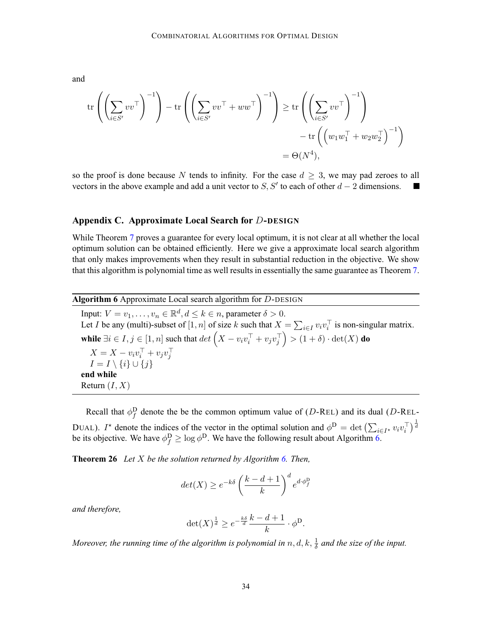<span id="page-33-0"></span>and

$$
\operatorname{tr}\left(\left(\sum_{i\in S'} vv^\top\right)^{-1}\right) - \operatorname{tr}\left(\left(\sum_{i\in S'} vv^\top + ww^\top\right)^{-1}\right) \ge \operatorname{tr}\left(\left(\sum_{i\in S'} vv^\top\right)^{-1}\right) \\ - \operatorname{tr}\left(\left(w_1 w_1^\top + w_2 w_2^\top\right)^{-1}\right) \\ = \Theta(N^4),
$$

so the proof is done because N tends to infinity. For the case  $d \geq 3$ , we may pad zeroes to all vectors in the above example and add a unit vector to S. S' to each of other  $d-2$  dimensions. vectors in the above example and add a unit vector to S, S' to each of other  $d - 2$  dimensions.

## **Appendix C. Approximate Local Search for** D**-DESIGN**

While Theorem [7](#page-4-0) proves a guarantee for every local optimum, it is not clear at all whether the local optimum solution can be obtained efficiently. Here we give a approximate local search algorithm that only makes improvements when they result in substantial reduction in the objective. We show that this algorithm is polynomial time as well results in essentially the same guarantee as Theorem [7](#page-4-0).

**Algorithm 6** Approximate Local search algorithm for D-DESIGN Input:  $V = v_1, \ldots, v_n \in \mathbb{R}^d, d \leq k \in n$ , parameter  $\delta > 0$ . Let I be any (multi)-subset of  $[1, n]$  of size k such that  $X = \sum_{i \in I} v_i v_i^{\top}$  is non-singular matrix. **while**  $\exists i \in I, j \in [1, n]$  such that  $det\left(X - v_i v_i^\top + v_j v_j^\top\right)$  $=$   $(1 + \delta) \cdot det(X)$  **do**  $X = X - v_i v_i^{\dagger} + v_j v_j^{\dagger}$  $I = I \setminus \{i\} \cup \{j\}$ **end while** Return  $(I, X)$ 

Recall that  $\phi_f^D$  denote the be the common optimum value of (D-REL) and its dual (D-REL-DUAL). I<sup>\*</sup> denote the indices of the vector in the optimal solution and  $\phi^D = \det \left( \sum_{i \in I^*} v_i v_i^{\top} \right)^{\frac{1}{d}}$ be its objective. We have  $\phi_f^D \ge \log \phi^D$ . We have the following result about Algorithm 6.

**Theorem 26** *Let* X *be the solution returned by Algorithm 6. Then,*

$$
det(X) \ge e^{-k\delta} \left(\frac{k-d+1}{k}\right)^d e^{d \cdot \phi_f^{\text{D}}}
$$

*and therefore,*

$$
\det(X)^{\frac{1}{d}} \ge e^{-\frac{k\delta}{d}} \frac{k-d+1}{k} \cdot \phi^{\mathsf{D}}.
$$

Moreover, the running time of the algorithm is polynomial in  $n, d, k, \frac{1}{\delta}$  and the size of the input.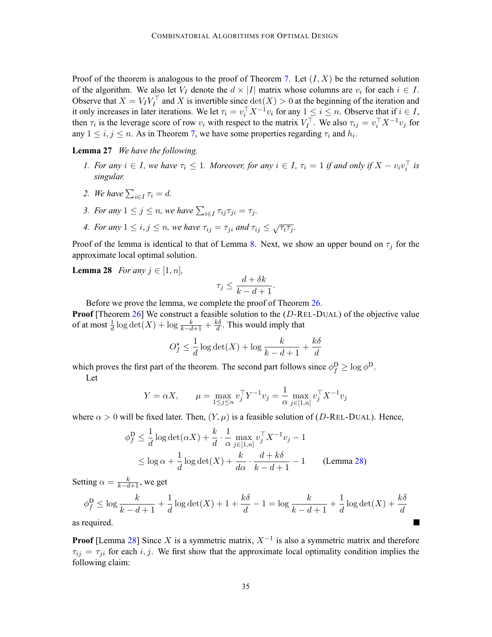<span id="page-34-0"></span>Proof of the theorem is analogous to the proof of Theorem [7](#page-4-0). Let  $(I, X)$  be the returned solution of the algorithm. We also let  $V_I$  denote the  $d \times |I|$  matrix whose columns are  $v_i$  for each  $i \in I$ . Observe that  $X = V_I V_I^{\dagger}$  and X is invertible since  $\det(X) > 0$  at the beginning of the iteration and it only increases in later iterations. We let  $\tau_i = v_i^\top X^{-1}v_i$  for any  $1 \leq i \leq n$ . Observe that if  $i \in I$ , then  $\tau_i$  is the leverage score of row  $v_i$  with respect to the matrix  $V_I^{\top}$ . We also  $\tau_{ij} = v_i^{\top} X^{-1} v_j$  for any  $1 \le i, j \le n$ . As in Theorem [7,](#page-4-0) we have some properties regarding  $\tau_i$  and  $h_i$ .

# **Lemma 27** *We have the following.*

- *1. For any*  $i \in I$ *, we have*  $\tau_i \leq 1$ *. Moreover, for any*  $i \in I$ *,*  $\tau_i = 1$  *if and only if*  $X v_i v_i^{\dagger}$  *is singular.*
- 2. We have  $\sum_{i \in I} \tau_i = d$ .
- *3. For any*  $1 \leq j \leq n$ , we have  $\sum_{i \in I} \tau_{ij} \tau_{ji} = \tau_j$ .
- *4. For any*  $1 \le i, j \le n$ , we have  $\tau_{ij} = \tau_{ji}$  and  $\tau_{ij} \le \sqrt{\tau_i \tau_j}$ .

Proof of the lemma is identical to that of Lemma [8.](#page-5-0) Next, we show an upper bound on  $\tau_i$  for the approximate local optimal solution.

**Lemma 28** *For any*  $j \in [1, n]$ *,* 

$$
\tau_j \le \frac{d + \delta k}{k - d + 1}.
$$

Before we prove the lemma, we complete the proof of Theorem [26.](#page-33-0)

**Proof** [Theorem [26](#page-33-0)] We construct a feasible solution to the (D-REL-DUAL) of the objective value of at most  $\frac{1}{d} \log \det(X) + \log \frac{k}{k-d+1} + \frac{k\delta}{d}$ . This would imply that

$$
O_f^* \le \frac{1}{d} \log \det(X) + \log \frac{k}{k - d + 1} + \frac{k\delta}{d}
$$

which proves the first part of the theorem. The second part follows since  $\phi_f^D \ge \log \phi^D$ . Let

$$
Y = \alpha X
$$
,  $\mu = \max_{1 \le j \le n} v_j^{\top} Y^{-1} v_j = \frac{1}{\alpha} \max_{j \in [1,n]} v_j^{\top} X^{-1} v_j$ 

where  $\alpha > 0$  will be fixed later. Then,  $(Y, \mu)$  is a feasible solution of (D-REL-DUAL). Hence,

$$
\phi_f^D \le \frac{1}{d} \log \det(\alpha X) + \frac{k}{d} \cdot \frac{1}{\alpha} \max_{j \in [1,n]} v_j^{\top} X^{-1} v_j - 1
$$
  
 
$$
\le \log \alpha + \frac{1}{d} \log \det(X) + \frac{k}{d\alpha} \cdot \frac{d + k\delta}{k - d + 1} - 1
$$
 (Lemma 28)

Setting  $\alpha = \frac{k}{k-d+1}$ , we get

$$
\phi_f^D \le \log \frac{k}{k-d+1} + \frac{1}{d} \log \det(X) + 1 + \frac{k\delta}{d} - 1 = \log \frac{k}{k-d+1} + \frac{1}{d} \log \det(X) + \frac{k\delta}{d}
$$

as required.

**Proof** [Lemma 28] Since X is a symmetric matrix,  $X^{-1}$  is also a symmetric matrix and therefore  $\tau_{ij} = \tau_{ji}$  for each i, j. We first show that the approximate local optimality condition implies the following claim: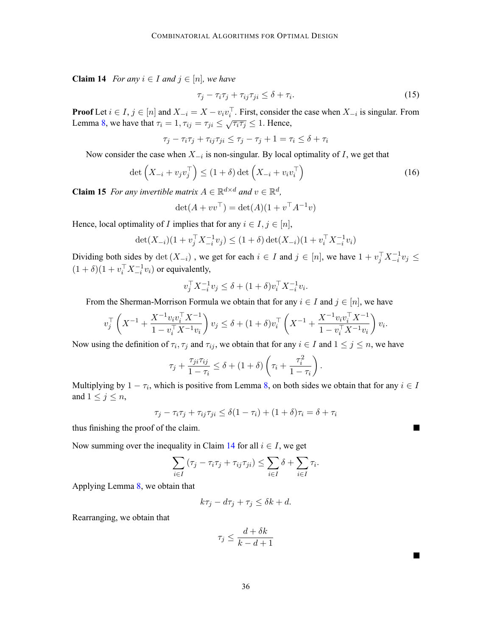**Claim 14** *For any*  $i \in I$  *and*  $j \in [n]$ *, we have* 

$$
\tau_j - \tau_i \tau_j + \tau_{ij} \tau_{ji} \le \delta + \tau_i. \tag{15}
$$

**Proof** Let  $i \in I$ ,  $j \in [n]$  and  $X_{-i} = X - v_i v_i^{\dagger}$ . First, consider the case when  $X_{-i}$  is singular. From Lemma [8](#page-5-0), we have that  $\tau_i = 1, \tau_{ij} = \tau_{ji} \leq \sqrt{\tau_i \tau_j} \leq 1$ . Hence,

$$
\tau_j - \tau_i \tau_j + \tau_{ij} \tau_{ji} \le \tau_j - \tau_j + 1 = \tau_i \le \delta + \tau_i
$$

Now consider the case when  $X_{-i}$  is non-singular. By local optimality of I, we get that

$$
\det\left(X_{-i} + v_j v_j^{\top}\right) \le (1+\delta)\det\left(X_{-i} + v_i v_i^{\top}\right) \tag{16}
$$

**Claim 15** *For any invertible matrix*  $A \in \mathbb{R}^{d \times d}$  *and*  $v \in \mathbb{R}^d$ *,* 

$$
\det(A + vv^{\top}) = \det(A)(1 + v^{\top}A^{-1}v)
$$

Hence, local optimality of *I* implies that for any  $i \in I, j \in [n]$ ,

$$
\det(X_{-i})(1 + v_j^{\top} X_{-i}^{-1} v_j) \le (1 + \delta) \det(X_{-i})(1 + v_i^{\top} X_{-i}^{-1} v_i)
$$

Dividing both sides by  $\det(X_{-i})$ , we get for each  $i \in I$  and  $j \in [n]$ , we have  $1 + v_j^{\top} X_{-i}^{-1} v_j \leq$  $(1 + \delta)(1 + v_i^{\top} X_{-i}^{-1} v_i)$  or equivalently,

$$
v_j^\top X_{-i}^{-1} v_j \le \delta + (1+\delta) v_i^\top X_{-i}^{-1} v_i.
$$

From the Sherman-Morrison Formula we obtain that for any  $i \in I$  and  $j \in [n]$ , we have

$$
v_j^{\top} \left( X^{-1} + \frac{X^{-1} v_i v_i^{\top} X^{-1}}{1 - v_i^{\top} X^{-1} v_i} \right) v_j \le \delta + (1 + \delta) v_i^{\top} \left( X^{-1} + \frac{X^{-1} v_i v_i^{\top} X^{-1}}{1 - v_i^{\top} X^{-1} v_i} \right) v_i.
$$

Now using the definition of  $\tau_i$ ,  $\tau_j$  and  $\tau_{ij}$ , we obtain that for any  $i \in I$  and  $1 \le j \le n$ , we have

$$
\tau_j + \frac{\tau_{ji}\tau_{ij}}{1-\tau_i} \le \delta + (1+\delta)\left(\tau_i + \frac{\tau_i^2}{1-\tau_i}\right).
$$

Multiplying by  $1 - \tau_i$ , which is positive from Lemma [8,](#page-5-0) on both sides we obtain that for any  $i \in I$ and  $1 \leq j \leq n$ ,

$$
\tau_j - \tau_i \tau_j + \tau_{ij} \tau_{ji} \le \delta(1 - \tau_i) + (1 + \delta)\tau_i = \delta + \tau_i
$$

thus finishing the proof of the claim.

Now summing over the inequality in Claim [14](#page-34-0) for all  $i \in I$ , we get

$$
\sum_{i \in I} (\tau_j - \tau_i \tau_j + \tau_{ij} \tau_{ji}) \leq \sum_{i \in I} \delta + \sum_{i \in I} \tau_i.
$$

Applying Lemma [8](#page-5-0), we obtain that

$$
k\tau_j - d\tau_j + \tau_j \le \delta k + d.
$$

Rearranging, we obtain that

$$
\tau_j \le \frac{d + \delta k}{k - d + 1}
$$

 $\overline{\phantom{a}}$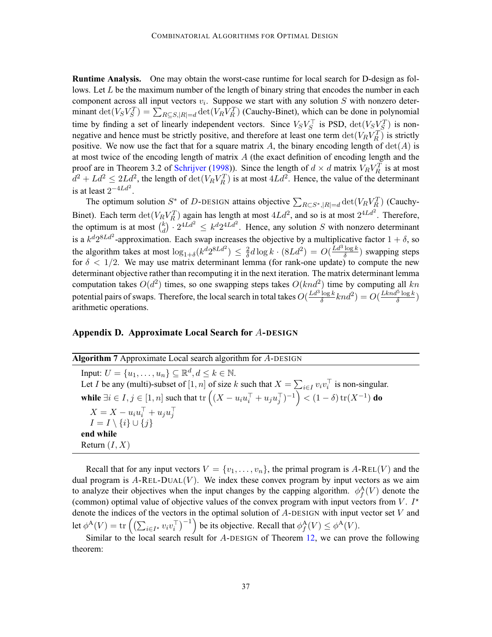<span id="page-36-0"></span>**Runtime Analysis.** One may obtain the worst-case runtime for local search for D-design as follows. Let  $L$  be the maximum number of the length of binary string that encodes the number in each component across all input vectors  $v_i$ . Suppose we start with any solution S with nonzero determinant  $\det(V_S V_S^T) = \sum_{R \subseteq S, |R| = d} \det(V_R V_R^T)$  (Cauchy-Binet), which can be done in polynomial time by finding a set of linearly independent vectors. Since  $V_S V_S^{\top}$  is PSD,  $\det(V_S V_S^T)$  is nonnegative and hence must be strictly positive, and therefore at least one term  $\det(V_R V_R^T)$  is strictly positive. We now use the fact that for a square matrix A, the binary encoding length of  $det(A)$  is at most twice of the encoding length of matrix  $A$  (the exact definition of encoding length and the proof are in Theorem 3.2 of [Schrijver](#page-13-0) ([1998](#page-13-0))). Since the length of  $d \times d$  matrix  $V_R V_R^T$  is at most  $d^2 + L d^2 \le 2L d^2$ , the length of  $\det(V_R V_R^T)$  is at most  $4L d^2$ . Hence, the value of the determinant is at least  $2^{-4Ld^2}$ .

The optimum solution  $S^*$  of D-DESIGN attains objective  $\sum_{R \subset S^*, |R| = d} \det(V_R V_R^T)$  (Cauchy-Binet). Each term  $\det(V_R V_R^T)$  again has length at most  $4Ld^2$ , and so is at most  $2^{4Ld^2}$ . Therefore, the optimum is at most  $\binom{k}{d} \cdot 2^{4Ld^2} \leq k^d 2^{4Ld^2}$ . Hence, any solution S with nonzero determinant is a  $k^d 2^{8Ld^2}$ -approximation. Each swap increases the objective by a multiplicative factor  $1 + \delta$ , so the algorithm takes at most  $\log_{1+\delta}(k^d 2^{8Ld^2}) \leq \frac{2}{\delta}d \log k \cdot (8Ld^2) = O(\frac{Ld^3 \log k}{\delta})$  swapping steps for  $\delta$  < 1/2. We may use matrix determinant lemma (for rank-one update) to compute the new determinant objective rather than recomputing it in the next iteration. The matrix determinant lemma computation takes  $O(d^2)$  times, so one swapping steps takes  $O(knd^2)$  time by computing all kn potential pairs of swaps. Therefore, the local search in total takes  $O(\frac{Ld^3 \log k}{\delta} knd^2) = O(\frac{Lknd^5 \log k}{\delta})$ arithmetic operations.

# **Appendix D. Approximate Local Search for** A**-DESIGN**

| <b>Algorithm 7</b> Approximate Local search algorithm for $A$ -DESIGN |                                                                                                                                                          |
|-----------------------------------------------------------------------|----------------------------------------------------------------------------------------------------------------------------------------------------------|
|                                                                       | Input: $U = \{u_1, \ldots, u_n\} \subseteq \mathbb{R}^d, d \leq k \in \mathbb{N}$ .                                                                      |
|                                                                       | Let <i>I</i> be any (multi)-subset of [1, <i>n</i> ] of size <i>k</i> such that $X = \sum_{i \in I} v_i v_i^{\top}$ is non-singular.                     |
|                                                                       | while $\exists i \in I, j \in [1, n]$ such that $\text{tr}\left( (X - u_i u_i^{\top} + u_j u_j^{\top})^{-1} \right) < (1 - \delta) \text{tr}(X^{-1})$ do |
|                                                                       | $X = X - u_i u_i^{\top} + u_j u_i^{\top}$                                                                                                                |
|                                                                       | $I = I \setminus \{i\} \cup \{j\}$                                                                                                                       |
|                                                                       | end while                                                                                                                                                |
|                                                                       | Return $(I, X)$                                                                                                                                          |
|                                                                       |                                                                                                                                                          |

Recall that for any input vectors  $V = \{v_1, \ldots, v_n\}$ , the primal program is  $A$ -REL(V) and the dual program is  $A$ -REL-DUAL $(V)$ . We index these convex program by input vectors as we aim to analyze their objectives when the input changes by the capping algorithm.  $\phi_f^{\mathcal{A}}(V)$  denote the (common) optimal value of objective values of the convex program with input vectors from  $V$ .  $I^*$ denote the indices of the vectors in the optimal solution of  $A$ -DESIGN with input vector set  $V$  and let  $\phi^{\mathcal{A}}(V) = \text{tr}\left(\left(\sum_{i \in I^*} v_i v_i^{\top}\right)^{-1}\right)$  be its objective. Recall that  $\phi_f^{\mathcal{A}}(V) \leq \phi^{\mathcal{A}}(V)$ .

Similar to the local search result for A-DESIGN of Theorem [12](#page-8-0), we can prove the following theorem: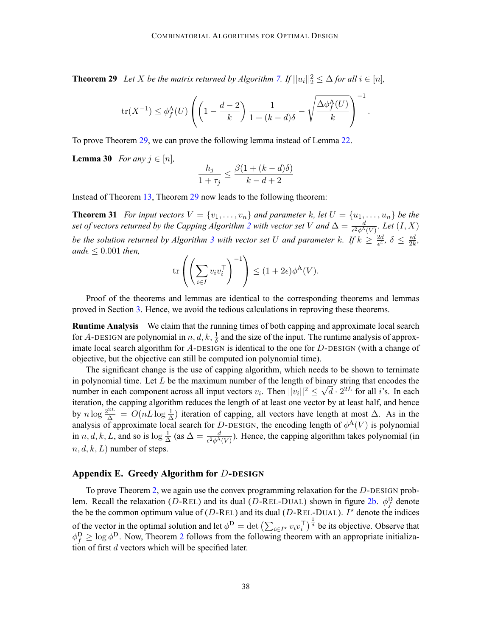<span id="page-37-0"></span>**Theorem 29** *Let X be the matrix returned by Algorithm [7.](#page-36-0) If*  $||u_i||_2^2 \leq \Delta$  *for all*  $i \in [n]$ *,* 

$$
\text{tr}(X^{-1}) \le \phi_f^{\mathbf{A}}(U) \left( \left( 1 - \frac{d-2}{k} \right) \frac{1}{1 + (k-d)\delta} - \sqrt{\frac{\Delta \phi_f^{\mathbf{A}}(U)}{k}} \right)^{-1}.
$$

To prove Theorem [29](#page-36-0), we can prove the following lemma instead of Lemma [22](#page-18-0).

**Lemma 30** *For any*  $j \in [n]$ *,* 

$$
\frac{h_j}{1+\tau_j} \le \frac{\beta(1+(k-d)\delta)}{k-d+2}
$$

Instead of Theorem [13](#page-9-0), Theorem [29](#page-36-0) now leads to the following theorem:

**Theorem 31** *For input vectors*  $V = \{v_1, \ldots, v_n\}$  *and parameter* k, let  $U = \{u_1, \ldots, u_n\}$  *be the set of vectors returned by the Capping Algorithm [2](#page-7-0) with vector set V and*  $\Delta = \frac{d}{\epsilon^2 \phi^A(V)}$ *. Let*  $(I, X)$ *be the solution returned by Algorithm [3](#page-9-0) with vector set U and parameter k. If*  $k \geq \frac{2d}{\epsilon^4}$ ,  $\delta \leq \frac{\epsilon d}{2k}$ ,  $and \epsilon \leq 0.001$  *then*,

$$
\mathrm{tr}\left(\left(\sum_{i\in I} v_i v_i^\top\right)^{-1}\right) \le (1+2\epsilon)\phi^{\mathbf{A}}(V).
$$

Proof of the theorems and lemmas are identical to the corresponding theorems and lemmas proved in Section [3.](#page-7-0) Hence, we avoid the tedious calculations in reproving these theorems.

**Runtime Analysis** We claim that the running times of both capping and approximate local search for A-DESIGN are polynomial in  $n, d, k, \frac{1}{\delta}$  and the size of the input. The runtime analysis of approximate local search algorithm for  $A$ -DESIGN is identical to the one for  $D$ -DESIGN (with a change of objective, but the objective can still be computed ion polynomial time).

The significant change is the use of capping algorithm, which needs to be shown to ternimate in polynomial time. Let  $L$  be the maximum number of the length of binary string that encodes the number in each component across all input vectors  $v_i$ . Then  $||v_i||^2 \le \sqrt{d} \cdot 2^{2L}$  for all *i*'s. In each iteration, the capping algorithm reduces the length of at least one vector by at least half, and hence by  $n \log \frac{2^{2L}}{\Delta} = O(nL \log \frac{1}{\Delta})$  iteration of capping, all vectors have length at most  $\Delta$ . As in the analysis of approximate local search for D-DESIGN, the encoding length of  $\phi^{\mathcal{A}}(V)$  is polynomial in n, d, k, L, and so is  $\log \frac{1}{\Delta}$  (as  $\Delta = \frac{d}{\epsilon^2 \phi^A(V)}$ ). Hence, the capping algorithm takes polynomial (in  $n, d, k, L$ ) number of steps.

# **Appendix E. Greedy Algorithm for** D**-DESIGN**

To prove Theorem [2](#page-2-0), we again use the convex programming relaxation for the D-DESIGN prob-lem. Recall the relaxation (D-REL) and its dual (D-REL-DUAL) shown in figure [2b](#page-5-0).  $\phi_f^D$  denote the be the common optimum value of ( $D$ -REL) and its dual ( $D$ -REL-DUAL). I<sup>\*</sup> denote the indices of the vector in the optimal solution and let  $\phi^D = \det \left( \sum_{i \in I^*} v_i v_i^\top \right)^{\frac{1}{d}}$  be its objective. Observe that  $\phi_f^D \ge \log \phi^D$ . Now, Theorem [2](#page-2-0) follows from the following theorem with an appropriate initialization of first  $d$  vectors which will be specified later.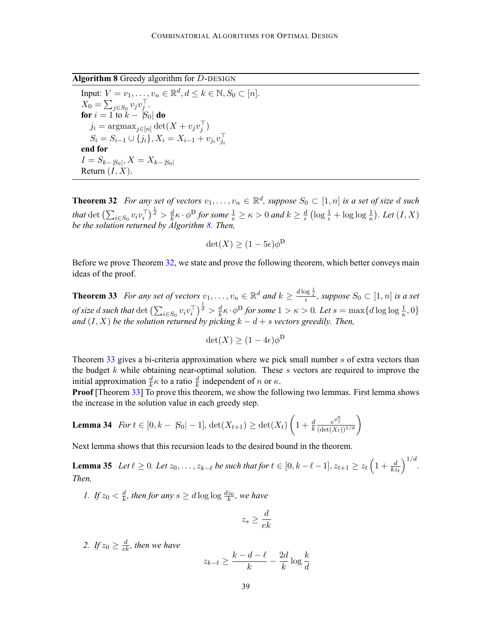<span id="page-38-0"></span>**Algorithm 8** Greedy algorithm for D-DESIGN

Input:  $V = v_1, ..., v_n \in \mathbb{R}^d, d \leq k \in \mathbb{N}, S_0 \subset [n].$  $X_0 = \sum_{j \in S_0} v_j v_j^\top.$ **for**  $i = 1$  to  $k - |S_0|$  **do**  $j_i = \text{argmax}_{j \in [n]} \det(X + v_j v_j^{\top})$  $S_i = S_{i-1} \cup \{j_i\}, X_i = X_{i-1} + v_{j_i}v_{j_i}^{\perp}$ **end for**  $I = S_{k-\vert S_0\vert}, X = X_{k-\vert S_0\vert}$ Return  $(I, X)$ .

**Theorem 32** For any set of vectors  $v_1, \ldots, v_n \in \mathbb{R}^d$ , suppose  $S_0 \subset [1, n]$  is a set of size d such that  $\det \left( \sum_{i \in S_0} v_i v_i^\top \right)^{\frac{1}{d}} > \frac{d}{k} \kappa \cdot \phi^D$  *for some*  $\frac{1}{e} \ge \kappa > 0$  and  $k \ge \frac{d}{\epsilon} \left( \log \frac{1}{\epsilon} + \log \log \frac{1}{\kappa} \right)$ . Let  $(I, X)$ *be the solution returned by Algorithm 8. Then,*

$$
\det(X) \ge (1 - 5\epsilon)\phi^D
$$

Before we prove Theorem [32](#page-37-0), we state and prove the following theorem, which better conveys main ideas of the proof.

**Theorem 33** *For any set of vectors*  $v_1, \ldots, v_n \in \mathbb{R}^d$  and  $k \geq \frac{d \log \frac{1}{\epsilon}}{\epsilon}$ , suppose  $S_0 \subset [1, n]$  is a set *of size d such that* det  $\left(\sum_{i\in S_0} v_i v_i^\top\right)^{\frac{1}{d}} > \frac{d}{k} \kappa \cdot \phi^D$  *for some*  $1 > \kappa > 0$ *. Let*  $s = \max\{d \log \log \frac{1}{\kappa}, 0\}$ *and*  $(I, X)$  *be the solution returned by picking*  $k - d + s$  *vectors greedily. Then,* 

$$
\det(X) \ge (1 - 4\epsilon)\phi^{\mathsf{D}}
$$

Theorem 33 gives a bi-criteria approximation where we pick small number s of extra vectors than the budget  $k$  while obtaining near-optimal solution. These  $s$  vectors are required to improve the initial approximation  $\frac{d}{k}\kappa$  to a ratio  $\frac{d}{k}$  independent of n or  $\kappa$ .

**Proof** [Theorem 33] To prove this theorem, we show the following two lemmas. First lemma shows the increase in the solution value in each greedy step.

**Lemma 34** For 
$$
t \in [0, k - |S_0| - 1]
$$
,  $det(X_{t+1}) \ge det(X_t) \left(1 + \frac{d}{k} \frac{e^{\phi_t^D}}{(det(X_t))^{1/d}}\right)$ 

Next lemma shows that this recursion leads to the desired bound in the theorem.

**Lemma 35** *Let*  $\ell \geq 0$ *. Let*  $z_0, \ldots, z_{k-\ell}$  *be such that for*  $t \in [0, k-\ell-1], z_{t+1} \geq z_t \left(1 + \frac{d}{kz_t}\right)$  $\big)^{1/d}$ . *Then,*

*1.* If  $z_0 < \frac{d}{k}$ , then for any  $s \ge d \log \log \frac{dz_0}{k}$ , we have

$$
z_s \ge \frac{d}{ek}
$$

2. If  $z_0 \geq \frac{d}{ek}$ , then we have

$$
z_{k-\ell} \ge \frac{k-d-\ell}{k} - \frac{2d}{k} \log \frac{k}{d}
$$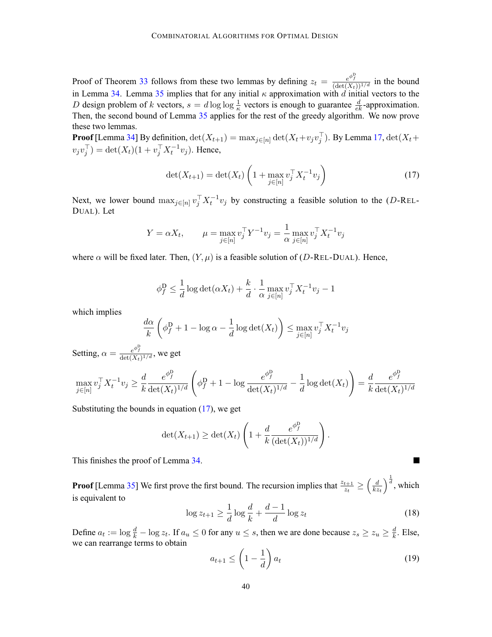Proof of Theorem [33](#page-38-0) follows from these two lemmas by defining  $z_t = \frac{e^{\phi_t^D}}{(\det(X_t))^{1/d}}$  in the bound in Lemma [34](#page-38-0). Lemma [35](#page-38-0) implies that for any initial  $\kappa$  approximation with d initial vectors to the D design problem of k vectors,  $s = d \log \log \frac{1}{\kappa}$  vectors is enough to guarantee  $\frac{d}{\epsilon k}$ -approximation. Then, the second bound of Lemma [35](#page-38-0) applies for the rest of the greedy algorithm. We now prove these two lemmas.

**Proof** [Lemma [34](#page-38-0)] By definition,  $\det(X_{t+1}) = \max_{j \in [n]} \det(X_t + v_j v_j^{\perp})$ . By Lemma [17,](#page-13-0)  $\det(X_t + v_j^{\perp})$  $v_j v_j^{\top}$ ) = det $(X_t) (1 + v_j^{\top} X_t^{-1} v_j)$ . Hence,

$$
\det(X_{t+1}) = \det(X_t) \left( 1 + \max_{j \in [n]} v_j^{\top} X_t^{-1} v_j \right) \tag{17}
$$

Next, we lower bound  $\max_{j \in [n]} v_j^\top X_t^{-1} v_j$  by constructing a feasible solution to the (D-REL-DUAL). Let

$$
Y = \alpha X_t
$$
,  $\mu = \max_{j \in [n]} v_j^{\top} Y^{-1} v_j = \frac{1}{\alpha} \max_{j \in [n]} v_j^{\top} X_t^{-1} v_j$ 

where  $\alpha$  will be fixed later. Then,  $(Y, \mu)$  is a feasible solution of (D-REL-DUAL). Hence,

$$
\phi_f^{\mathbf{D}} \leq \frac{1}{d} \log \det(\alpha X_t) + \frac{k}{d} \cdot \frac{1}{\alpha} \max_{j \in [n]} v_j^{\top} X_t^{-1} v_j - 1
$$

which implies

$$
\frac{d\alpha}{k} \left( \phi_f^{\mathcal{D}} + 1 - \log \alpha - \frac{1}{d} \log \det(X_t) \right) \le \max_{j \in [n]} v_j^{\top} X_t^{-1} v_j
$$

Setting,  $\alpha = \frac{e^{\phi_f^{\text{D}}}}{\det(X_t)^{1/d}}$ , we get

$$
\max_{j \in [n]} v_j^{\top} X_t^{-1} v_j \ge \frac{d}{k} \frac{e^{\phi_j^{\mathrm{D}}}}{\det(X_t)^{1/d}} \left( \phi_j^{\mathrm{D}} + 1 - \log \frac{e^{\phi_j^{\mathrm{D}}}}{\det(X_t)^{1/d}} - \frac{1}{d} \log \det(X_t) \right) = \frac{d}{k} \frac{e^{\phi_j^{\mathrm{D}}}}{\det(X_t)^{1/d}}
$$

Substituting the bounds in equation  $(17)$ , we get

$$
\det(X_{t+1}) \ge \det(X_t) \left( 1 + \frac{d}{k} \frac{e^{\phi_t^D}}{(\det(X_t))^{1/d}} \right)
$$

This finishes the proof of Lemma [34](#page-38-0).

**Proof** [Lemma [35\]](#page-38-0) We first prove the first bound. The recursion implies that  $\frac{z_{t+1}}{z_t} \geq$  $\int d$  $kz_t$  $\int_{0}^{\frac{1}{d}}$ , which is equivalent to

$$
\log z_{t+1} \ge \frac{1}{d} \log \frac{d}{k} + \frac{d-1}{d} \log z_t \tag{18}
$$

Define  $a_t := \log \frac{d}{k} - \log z_t$ . If  $a_u \le 0$  for any  $u \le s$ , then we are done because  $z_s \ge z_u \ge \frac{d}{k}$ . Else, we can rearrange terms to obtain

$$
a_{t+1} \le \left(1 - \frac{1}{d}\right) a_t \tag{19}
$$

.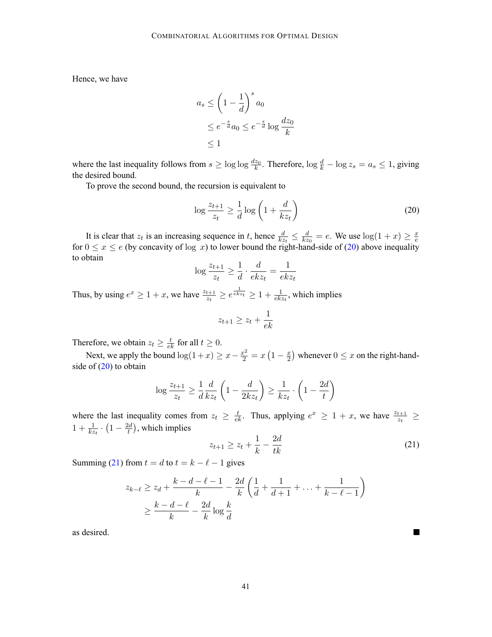Hence, we have

$$
a_s \le \left(1 - \frac{1}{d}\right)^s a_0
$$
  

$$
\le e^{-\frac{s}{d}} a_0 \le e^{-\frac{s}{d}} \log \frac{d z_0}{k}
$$
  

$$
\le 1
$$

where the last inequality follows from  $s \ge \log \log \frac{dz_0}{k}$ . Therefore,  $\log \frac{d}{k} - \log z_s = a_s \le 1$ , giving the desired bound.

To prove the second bound, the recursion is equivalent to

$$
\log \frac{z_{t+1}}{z_t} \ge \frac{1}{d} \log \left( 1 + \frac{d}{k z_t} \right) \tag{20}
$$

It is clear that  $z_t$  is an increasing sequence in t, hence  $\frac{d}{kz_t} \leq \frac{d}{kz_0} = e$ . We use  $\log(1 + x) \geq \frac{x}{e}$  for  $0 \leq x \leq e$  (by concavity of log x) to lower bound the right-hand-side of (20) above inequality to obtain

$$
\log \frac{z_{t+1}}{z_t} \ge \frac{1}{d} \cdot \frac{d}{ekz_t} = \frac{1}{ekz_t}
$$

Thus, by using  $e^x \ge 1 + x$ , we have  $\frac{z_{t+1}}{z_t} \ge e^{\frac{1}{ekz_t}} \ge 1 + \frac{1}{ekz_t}$ , which implies

$$
z_{t+1} \ge z_t + \frac{1}{ek}
$$

Therefore, we obtain  $z_t \geq \frac{t}{ek}$  for all  $t \geq 0$ .

Next, we apply the bound  $\log(1+x) \ge x - \frac{x^2}{2} = x(1 - \frac{x}{2})$  whenever  $0 \le x$  on the right-handside of  $(20)$  to obtain

$$
\log \frac{z_{t+1}}{z_t} \ge \frac{1}{d} \frac{d}{kz_t} \left( 1 - \frac{d}{2kz_t} \right) \ge \frac{1}{kz_t} \cdot \left( 1 - \frac{2d}{t} \right)
$$

where the last inequality comes from  $z_t \geq \frac{t}{ek}$ . Thus, applying  $e^x \geq 1 + x$ , we have  $\frac{z_{t+1}}{z_t} \geq$  $1 + \frac{1}{kz_t} \cdot \left(1 - \frac{2d}{t}\right)$ , which implies

$$
z_{t+1} \ge z_t + \frac{1}{k} - \frac{2d}{tk} \tag{21}
$$

**In the Second** 

Summing (21) from  $t = d$  to  $t = k - \ell - 1$  gives

$$
z_{k-\ell} \ge z_d + \frac{k-d-\ell-1}{k} - \frac{2d}{k} \left( \frac{1}{d} + \frac{1}{d+1} + \dots + \frac{1}{k-\ell-1} \right) \ge \frac{k-d-\ell}{k} - \frac{2d}{k} \log \frac{k}{d}
$$

as desired.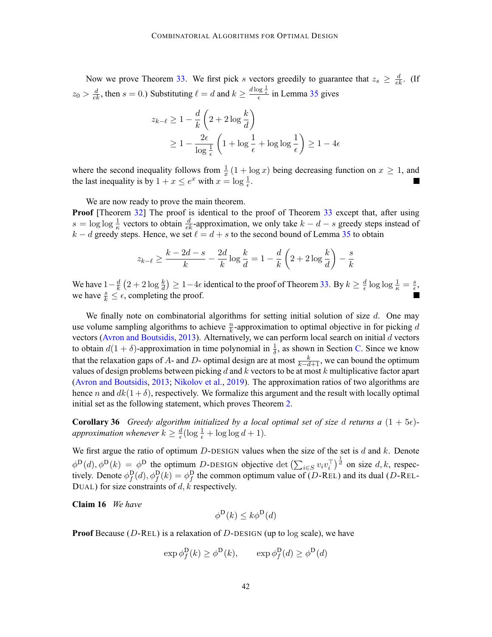<span id="page-41-0"></span>Now we prove Theorem [33](#page-38-0). We first pick s vectors greedily to guarantee that  $z_s \geq \frac{d}{ek}$ . (If  $z_0 > \frac{d}{\epsilon}$ , then  $s = 0$ .) Substituting  $\ell = d$  and  $k \ge \frac{d \log \frac{1}{\epsilon}}{\epsilon}$  in Lemma [35](#page-38-0) gives

$$
z_{k-\ell} \ge 1 - \frac{d}{k} \left( 2 + 2 \log \frac{k}{d} \right)
$$
  
 
$$
\ge 1 - \frac{2\epsilon}{\log \frac{1}{\epsilon}} \left( 1 + \log \frac{1}{\epsilon} + \log \log \frac{1}{\epsilon} \right) \ge 1 - 4\epsilon
$$

where the second inequality follows from  $\frac{1}{x}(1 + \log x)$  being decreasing function on  $x \ge 1$ , and the last inequality is by  $1 + x \le e^x$  with  $x = \log \frac{1}{e}$ .

We are now ready to prove the main theorem. **Proof** [Theorem [32](#page-37-0)] The proof is identical to the proof of Theorem [33](#page-38-0) except that, after using  $s = \log \log \frac{1}{\kappa}$  vectors to obtain  $\frac{d}{\epsilon k}$ -approximation, we only take  $k - d - s$  greedy steps instead of  $k - d$  greedy steps. Hence, we set  $\ell = d + s$  to the second bound of Lemma [35](#page-38-0) to obtain

$$
z_{k-\ell} \geq \frac{k-2d-s}{k} - \frac{2d}{k} \log \frac{k}{d} = 1 - \frac{d}{k} \left( 2 + 2 \log \frac{k}{d} \right) - \frac{s}{k}
$$

We have  $1-\frac{d}{k}(2+2\log\frac{k}{d}) \geq 1-4\epsilon$  identical to the proof of Theorem [33](#page-38-0). By  $k \geq \frac{d}{\epsilon}\log\log\frac{1}{\kappa} = \frac{s}{\epsilon}$ , we have  $\frac{s}{k} \leq \epsilon$ , completing the proof.

We finally note on combinatorial algorithms for setting initial solution of size  $d$ . One may use volume sampling algorithms to achieve  $\frac{n}{k}$ -approximation to optimal objective in for picking d vectors ([Avron and Boutsidis,](#page-12-0) [2013](#page-12-0)). Alternatively, we can perform local search on initial  $d$  vectors to obtain  $d(1 + \delta)$ -approximation in time polynomial in  $\frac{1}{\delta}$ , as shown in Section [C](#page-33-0). Since we know that the relaxation gaps of A- and D- optimal design are at most  $\frac{k}{k-d+1}$ , we can bound the optimum values of design problems between picking d and k vectors to be at most k multiplicative factor apart ([Avron and Boutsidis](#page-12-0), [2013;](#page-12-0) [Nikolov et al.,](#page-13-0) [2019](#page-13-0)). The approximation ratios of two algorithms are hence n and  $dk(1 + \delta)$ , respectively. We formalize this argument and the result with locally optimal initial set as the following statement, which proves Theorem [2](#page-2-0).

**Corollary 36** *Greedy algorithm initialized by a local optimal set of size d returns a*  $(1 + 5\epsilon)$ *approximation whenever*  $k \geq \frac{d}{\epsilon}(\log \frac{1}{\epsilon} + \log \log d + 1)$ *.* 

We first argue the ratio of optimum  $D$ -DESIGN values when the size of the set is  $d$  and  $k$ . Denote  $\phi^{\text{D}}(d), \phi^{\text{D}}(k) = \phi^{\text{D}}$  the optimum *D*-DESIGN objective det  $\left(\sum_{i \in S} v_i v_i^{\top}\right)^{\frac{1}{d}}$  on size d, k, respectively. Denote  $\phi_f^D(d), \phi_f^D(k) = \phi_f^D$  the common optimum value of (D-REL) and its dual (D-REL-DUAL) for size constraints of  $d, k$  respectively.

**Claim 16** *We have*

$$
\phi^{\mathbf{D}}(k) \leq k\phi^{\mathbf{D}}(d)
$$

**Proof** Because ( $D$ -REL) is a relaxation of  $D$ -DESIGN (up to log scale), we have

$$
\exp \phi_f^{\mathbf{D}}(k) \ge \phi^{\mathbf{D}}(k), \qquad \exp \phi_f^{\mathbf{D}}(d) \ge \phi^{\mathbf{D}}(d)
$$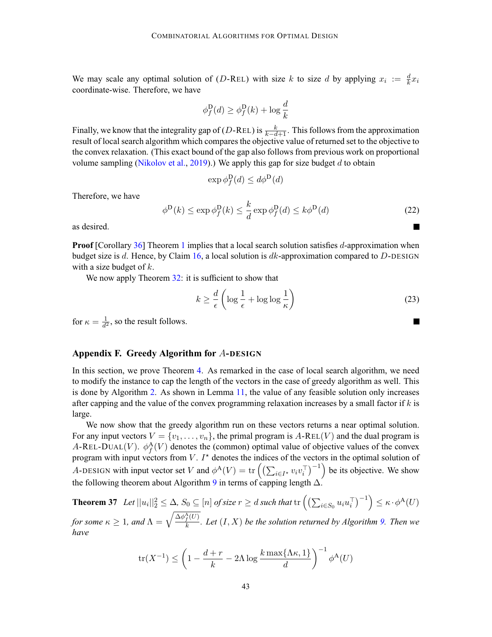<span id="page-42-0"></span>We may scale any optimal solution of (D-REL) with size k to size d by applying  $x_i := \frac{d}{k}x_i$ coordinate-wise. Therefore, we have

$$
\phi_f^{\mathcal{D}}(d) \ge \phi_f^{\mathcal{D}}(k) + \log \frac{d}{k}
$$

Finally, we know that the integrality gap of (D-REL) is  $\frac{k}{k-d+1}$ . This follows from the approximation result of local search algorithm which compares the objective value of returned set to the objective to the convex relaxation. (This exact bound of the gap also follows from previous work on proportional volume sampling ([Nikolov et al.](#page-13-0), [2019](#page-13-0)).) We apply this gap for size budget  $d$  to obtain

$$
\exp \phi_f^{\mathbf{D}}(d) \le d\phi^{\mathbf{D}}(d)
$$

Therefore, we have

$$
\phi^{\mathcal{D}}(k) \le \exp \phi_f^{\mathcal{D}}(k) \le \frac{k}{d} \exp \phi_f^{\mathcal{D}}(d) \le k\phi^{\mathcal{D}}(d)
$$
\n(22)

as desired.

**Proof** [Corollary [36](#page-41-0)] Theorem [1](#page-1-0) implies that a local search solution satisfies d-approximation when budget size is d. Hence, by Claim [16](#page-41-0), a local solution is  $dk$ -approximation compared to D-DESIGN with a size budget of  $k$ .

We now apply Theorem [32](#page-37-0): it is sufficient to show that

$$
k \ge \frac{d}{\epsilon} \left( \log \frac{1}{\epsilon} + \log \log \frac{1}{\kappa} \right) \tag{23}
$$

**The State** 

for  $\kappa = \frac{1}{d^2}$ , so the result follows.

# **Appendix F. Greedy Algorithm for** A**-DESIGN**

In this section, we prove Theorem [4](#page-2-0). As remarked in the case of local search algorithm, we need to modify the instance to cap the length of the vectors in the case of greedy algorithm as well. This is done by Algorithm [2.](#page-7-0) As shown in Lemma [11,](#page-8-0) the value of any feasible solution only increases after capping and the value of the convex programming relaxation increases by a small factor if  $k$  is large.

We now show that the greedy algorithm run on these vectors returns a near optimal solution. For any input vectors  $V = \{v_1, \ldots, v_n\}$ , the primal program is  $A\text{-}ReLU$  and the dual program is A-REL-DUAL(V).  $\phi_f^{\mathbf{A}}(V)$  denotes the (common) optimal value of objective values of the convex program with input vectors from V.  $I^*$  denotes the indices of the vectors in the optimal solution of A-DESIGN with input vector set V and  $\phi^{\mathcal{A}}(V) = \text{tr}\left(\left(\sum_{i \in I^*} v_i v_i^{\top}\right)^{-1}\right)$  be its objective. We show the following theorem about Algorithm [9](#page-43-0) in terms of capping length  $\Delta$ .

**Theorem 37** Let  $||u_i||_2^2 \leq \Delta$ ,  $S_0 \subseteq [n]$  of size  $r \geq d$  such that  $tr\left(\left(\sum_{i \in S_0} u_i u_i^\top\right)^{-1}\right) \leq \kappa \cdot \phi^{\mathbf{A}}(U)$ *for some*  $\kappa \geq 1$ , and  $\Lambda = \sqrt{\frac{\Delta \phi_f^A(U)}{k}}$ . Let  $(I, X)$  be the solution returned by Algorithm [9](#page-43-0). Then we *have*

$$
\operatorname{tr}(X^{-1}) \le \left(1 - \frac{d+r}{k} - 2\Lambda \log \frac{k \max\{\Lambda \kappa, 1\}}{d}\right)^{-1} \phi^{\mathbf{A}}(U)
$$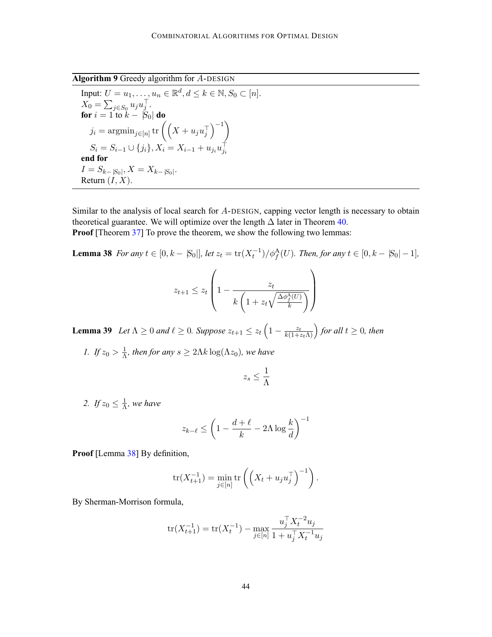<span id="page-43-0"></span>**Algorithm 9** Greedy algorithm for A-DESIGN

Input: 
$$
U = u_1, ..., u_n \in \mathbb{R}^d, d \le k \in \mathbb{N}, S_0 \subset [n].
$$
  
\n $X_0 = \sum_{j \in S_0} u_j u_j^{\top}.$   
\nfor  $i = 1$  to  $k - |S_0|$  do  
\n $j_i = \operatorname{argmin}_{j \in [n]} \operatorname{tr} \left( \left( X + u_j u_j^{\top} \right)^{-1} \right)$   
\n $S_i = S_{i-1} \cup \{ j_i \}, X_i = X_{i-1} + u_{j_i} u_{j_i}^{\top}$   
\nend for  
\n $I = S_{k-|S_0|}, X = X_{k-|S_0|}.$   
\nReturn  $(I, X).$ 

Similar to the analysis of local search for A-DESIGN, capping vector length is necessary to obtain theoretical guarantee. We will optimize over the length  $\Delta$  later in Theorem [40.](#page-46-0) **Proof** [Theorem [37](#page-42-0)] To prove the theorem, we show the following two lemmas:

**Lemma 38** *For any*  $t \in [0, k - |S_0|]$ *, let*  $z_t = \frac{\text{tr}(X_t^{-1})}{\phi_f^A(U)}$ *. Then, for any*  $t \in [0, k - |S_0| - 1]$ *,* 

$$
z_{t+1} \le z_t \left( 1 - \frac{z_t}{k \left( 1 + z_t \sqrt{\frac{\Delta \phi_f^{\mathsf{A}}(U)}{k}} \right)} \right)
$$

**Lemma 39** *Let*  $\Lambda \geq 0$  *and*  $\ell \geq 0$ *. Suppose*  $z_{t+1} \leq z_t \left(1 - \frac{z_t}{k(1+z_t\Lambda)}\right)$  for all  $t \geq 0$ *, then* 

*1. If*  $z_0 > \frac{1}{\Lambda}$ *, then for any*  $s \ge 2\Lambda k \log(\Lambda z_0)$ *, we have* 

$$
z_s \leq \frac{1}{\Lambda}
$$

2. If  $z_0 \leq \frac{1}{\Lambda}$ , we have

$$
z_{k-\ell} \le \left(1 - \frac{d+\ell}{k} - 2\Lambda \log \frac{k}{d}\right)^{-1}
$$

**Proof** [Lemma 38] By definition,

$$
\operatorname{tr}(X_{t+1}^{-1}) = \min_{j \in [n]} \operatorname{tr} \left( \left( X_t + u_j u_j^{\top} \right)^{-1} \right).
$$

By Sherman-Morrison formula,

$$
\text{tr}(X_{t+1}^{-1}) = \text{tr}(X_t^{-1}) - \max_{j \in [n]} \frac{u_j^{\top} X_t^{-2} u_j}{1 + u_j^{\top} X_t^{-1} u_j}
$$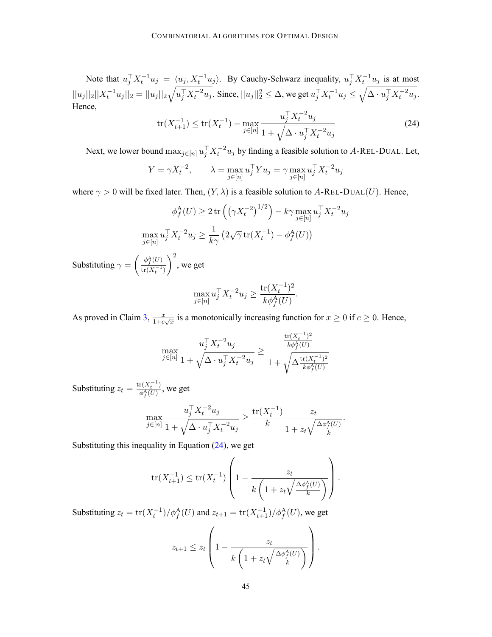Note that  $u_j^\top X_t^{-1} u_j = \langle u_j, X_t^{-1} u_j \rangle$ . By Cauchy-Schwarz inequality,  $u_j^\top X_t^{-1} u_j$  is at most  $||u_j||_2||X_t^{-1}u_j||_2 = ||u_j||_2\sqrt{u_j^\top X_t^{-2}u_j}$ . Since,  $||u_j||_2^2 \leq \Delta$ , we get  $u_j^\top X_t^{-1}u_j \leq \sqrt{\Delta \cdot u_j^\top X_t^{-2}u_j}$ . Hence,

$$
\text{tr}(X_{t+1}^{-1}) \le \text{tr}(X_t^{-1}) - \max_{j \in [n]} \frac{u_j^{\top} X_t^{-2} u_j}{1 + \sqrt{\Delta \cdot u_j^{\top} X_t^{-2} u_j}}
$$
(24)

Next, we lower bound  $\max_{j \in [n]} u_j^\top X_t^{-2} u_j$  by finding a feasible solution to A-REL-DUAL. Let,

$$
Y = \gamma X_t^{-2}, \qquad \lambda = \max_{j \in [n]} u_j^{\top} Y u_j = \gamma \max_{j \in [n]} u_j^{\top} X_t^{-2} u_j
$$

where  $\gamma > 0$  will be fixed later. Then,  $(Y, \lambda)$  is a feasible solution to A-REL-DUAL(U). Hence,

$$
\phi_f^{\mathcal{A}}(U) \ge 2 \operatorname{tr} \left( \left( \gamma X_t^{-2} \right)^{1/2} \right) - k \gamma \max_{j \in [n]} u_j^{\top} X_t^{-2} u_j
$$
  

$$
\max_{j \in [n]} u_j^{\top} X_t^{-2} u_j \ge \frac{1}{k \gamma} \left( 2\sqrt{\gamma} \operatorname{tr}(X_t^{-1}) - \phi_f^{\mathcal{A}}(U) \right)
$$

Substituting  $\gamma =$  $\int \phi_f^{\rm A}(U)$  $\text{tr}(X_t^{-1})$  $\setminus^2$ , we get

$$
\max_{j \in [n]} u_j^{\top} X_t^{-2} u_j \ge \frac{\text{tr}(X_t^{-1})^2}{k \phi_f^A(U)}.
$$

As proved in Claim [3,](#page-18-0)  $\frac{x}{1+c\sqrt{x}}$  is a monotonically increasing function for  $x \ge 0$  if  $c \ge 0$ . Hence,

$$
\max_{j \in [n]} \frac{u_j^{\top} X_t^{-2} u_j}{1 + \sqrt{\Delta \cdot u_j^{\top} X_t^{-2} u_j}} \geq \frac{\frac{\text{tr}(X_t^{-1})^2}{k \phi_f^{\mathbf{A}}(U)}}{1 + \sqrt{\Delta \frac{\text{tr}(X_t^{-1})^2}{k \phi_f^{\mathbf{A}}(U)}}}
$$

Substituting  $z_t = \frac{\text{tr}(X_t^{-1})}{\phi_f^A(U)}$ , we get

$$
\max_{j \in [n]} \frac{u_j^{\top} X_t^{-2} u_j}{1 + \sqrt{\Delta \cdot u_j^{\top} X_t^{-2} u_j}} \ge \frac{\text{tr}(X_t^{-1})}{k} \frac{z_t}{1 + z_t \sqrt{\frac{\Delta \phi_f^{\mathbf{A}}(U)}{k}}}.
$$

Substituting this inequality in Equation  $(24)$ , we get

$$
\text{tr}(X_{t+1}^{-1}) \le \text{tr}(X_t^{-1}) \left( 1 - \frac{z_t}{k \left( 1 + z_t \sqrt{\frac{\Delta \phi_f^{\mathbf{A}}(U)}{k}} \right)} \right).
$$

Substituting  $z_t = \frac{\text{tr}(X_t^{-1})}{\phi_f^A(U)}$  and  $z_{t+1} = \frac{\text{tr}(X_{t+1}^{-1})}{\phi_f^A(U)}$ , we get

$$
z_{t+1} \le z_t \left( 1 - \frac{z_t}{k \left( 1 + z_t \sqrt{\frac{\Delta \phi_f^{\Lambda}(U)}{k}} \right)} \right).
$$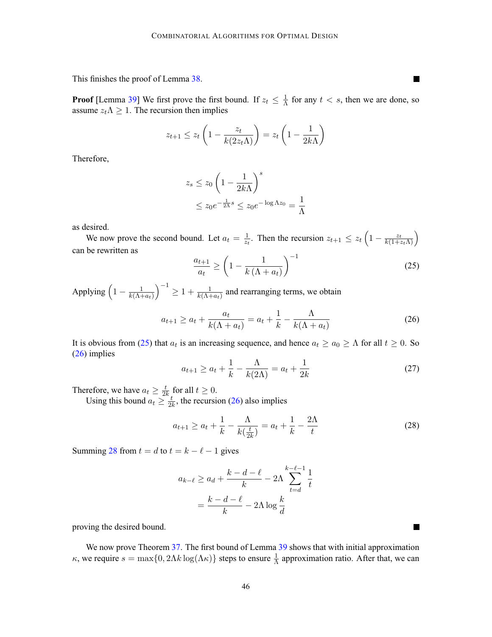This finishes the proof of Lemma [38](#page-43-0).

**Proof** [Lemma [39](#page-43-0)] We first prove the first bound. If  $z_t \leq \frac{1}{\Lambda}$  for any  $t < s$ , then we are done, so assume  $z_t \Lambda \geq 1$ . The recursion then implies

$$
z_{t+1} \le z_t \left(1 - \frac{z_t}{k(2z_t \Lambda)}\right) = z_t \left(1 - \frac{1}{2k\Lambda}\right)
$$

Therefore,

$$
z_s \le z_0 \left(1 - \frac{1}{2k\Lambda}\right)^s
$$
  
 
$$
\le z_0 e^{-\frac{1}{2\Lambda}s} \le z_0 e^{-\log \Lambda z_0} = \frac{1}{\Lambda}
$$

as desired.

We now prove the second bound. Let  $a_t = \frac{1}{z_t}$ . Then the recursion  $z_{t+1} \le z_t \left(1 - \frac{z_t}{k(1+z_t\Lambda)}\right)$ can be rewritten as

$$
\frac{a_{t+1}}{a_t} \ge \left(1 - \frac{1}{k\left(\Lambda + a_t\right)}\right)^{-1} \tag{25}
$$

Applying  $\left(1 - \frac{1}{k(\Lambda + a_t)}\right)$  $\int^{-1} \geq 1 + \frac{1}{k(\Lambda + a_t)}$  and rearranging terms, we obtain

$$
a_{t+1} \ge a_t + \frac{a_t}{k(\Lambda + a_t)} = a_t + \frac{1}{k} - \frac{\Lambda}{k(\Lambda + a_t)}
$$
\n
$$
(26)
$$

It is obvious from (25) that  $a_t$  is an increasing sequence, and hence  $a_t \ge a_0 \ge \Lambda$  for all  $t \ge 0$ . So (26) implies

$$
a_{t+1} \ge a_t + \frac{1}{k} - \frac{\Lambda}{k(2\Lambda)} = a_t + \frac{1}{2k}
$$
 (27)

Therefore, we have  $a_t \geq \frac{t}{2k}$  for all  $t \geq 0$ .

Using this bound  $a_t \geq \frac{t}{2k}$ , the recursion (26) also implies

$$
a_{t+1} \ge a_t + \frac{1}{k} - \frac{\Lambda}{k(\frac{t}{2k})} = a_t + \frac{1}{k} - \frac{2\Lambda}{t}
$$
 (28)

Summing 28 from  $t = d$  to  $t = k - \ell - 1$  gives

$$
a_{k-\ell} \ge a_d + \frac{k-d-\ell}{k} - 2\Lambda \sum_{t=d}^{k-\ell-1} \frac{1}{t}
$$

$$
= \frac{k-d-\ell}{k} - 2\Lambda \log \frac{k}{d}
$$

proving the desired bound.

We now prove Theorem [37](#page-42-0). The first bound of Lemma [39](#page-43-0) shows that with initial approximation  $κ$ , we require  $s = \max\{0, 2\Lambda k \log(\Lambda κ)\}\$  steps to ensure  $\frac{1}{\Lambda}$  approximation ratio. After that, we can

L.

 $\blacksquare$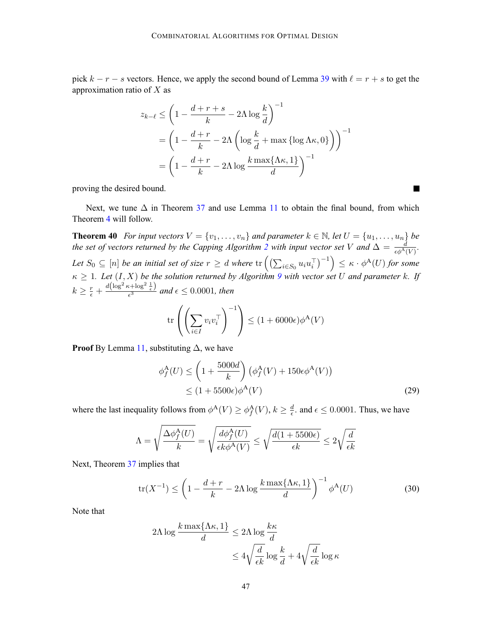<span id="page-46-0"></span>pick  $k - r - s$  vectors. Hence, we apply the second bound of Lemma [39](#page-43-0) with  $\ell = r + s$  to get the approximation ratio of  $X$  as

$$
z_{k-\ell} \le \left(1 - \frac{d+r+s}{k} - 2\Lambda \log \frac{k}{d}\right)^{-1}
$$
  
=  $\left(1 - \frac{d+r}{k} - 2\Lambda \left(\log \frac{k}{d} + \max \{\log \Lambda \kappa, 0\}\right)\right)^{-1}$   
=  $\left(1 - \frac{d+r}{k} - 2\Lambda \log \frac{k \max\{\Lambda \kappa, 1\}}{d}\right)^{-1}$ 

proving the desired bound.

Next, we tune  $\Delta$  in Theorem [37](#page-42-0) and use Lemma [11](#page-8-0) to obtain the final bound, from which Theorem [4](#page-2-0) will follow.

**Theorem 40** *For input vectors*  $V = \{v_1, \ldots, v_n\}$  *and parameter*  $k \in \mathbb{N}$ *, let*  $U = \{u_1, \ldots, u_n\}$  *be the set of vectors returned by the Capping Algorithm [2](#page-7-0) with input vector set* V and  $\Delta = \frac{d}{\epsilon \phi^A(V)}$ . Let  $S_0 \subseteq [n]$  be an initial set of size  $r \geq d$  where  $\text{tr}\left(\left(\sum_{i \in S_0} u_iu_i^\top\right)^{-1}\right) \leq \kappa \cdot \phi^{\mathbf{A}}(U)$  for some  $\kappa \geq 1$ *. Let*  $(I, X)$  *be the solution returned by Algorithm [9](#page-43-0) with vector set* U *and parameter* k*. If*  $k \geq \frac{r}{\epsilon} + \frac{d(\log^2 \kappa + \log^2 \frac{1}{\epsilon})}{\epsilon^3}$  and  $\epsilon \leq 0.0001$ , then

$$
\text{tr}\left(\left(\sum_{i\in I} v_i v_i^\top\right)^{-1}\right) \le (1 + 6000\epsilon)\phi^{\mathbf{A}}(V)
$$

**Proof** By Lemma [11](#page-8-0), substituting  $\Delta$ , we have

$$
\phi_f^{\mathcal{A}}(U) \le \left(1 + \frac{5000d}{k}\right) \left(\phi_f^{\mathcal{A}}(V) + 150\epsilon\phi^{\mathcal{A}}(V)\right)
$$
  
 
$$
\le (1 + 5500\epsilon)\phi^{\mathcal{A}}(V) \tag{29}
$$

where the last inequality follows from  $\phi^A(V) \ge \phi_f^A(V)$ ,  $k \ge \frac{d}{\epsilon}$  and  $\epsilon \le 0.0001$ . Thus, we have

$$
\Lambda = \sqrt{\frac{\Delta \phi_f^{\text{A}}(U)}{k}} = \sqrt{\frac{d\phi_f^{\text{A}}(U)}{\epsilon k \phi^{\text{A}}(V)}} \leq \sqrt{\frac{d(1+5500\epsilon)}{\epsilon k}} \leq 2\sqrt{\frac{d}{\epsilon k}}
$$

Next, Theorem [37](#page-42-0) implies that

$$
\operatorname{tr}(X^{-1}) \le \left(1 - \frac{d+r}{k} - 2\Lambda \log \frac{k \max\{\Lambda \kappa, 1\}}{d}\right)^{-1} \phi^{\mathbf{A}}(U) \tag{30}
$$

Note that

$$
2\Lambda \log \frac{k \max\{\Lambda \kappa, 1\}}{d} \le 2\Lambda \log \frac{k\kappa}{d}
$$

$$
\le 4\sqrt{\frac{d}{\epsilon k}} \log \frac{k}{d} + 4\sqrt{\frac{d}{\epsilon k}} \log \kappa
$$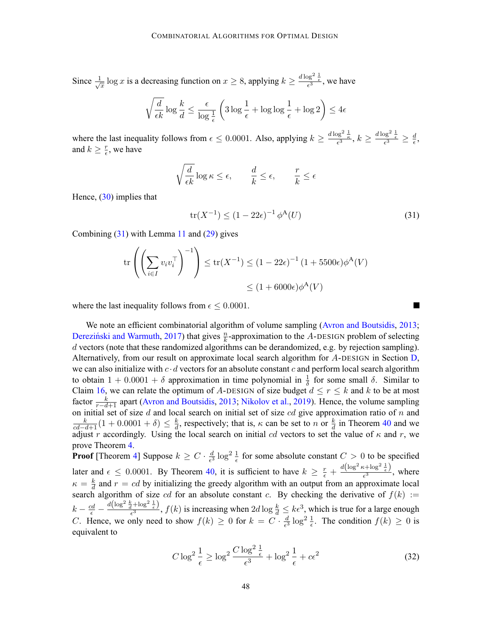<span id="page-47-0"></span>Since  $\frac{1}{\sqrt{x}} \log x$  is a decreasing function on  $x \ge 8$ , applying  $k \ge \frac{d \log^2 \frac{1}{\epsilon}}{\epsilon^3}$ , we have

$$
\sqrt{\frac{d}{\epsilon k}}\log \frac{k}{d} \leq \frac{\epsilon}{\log \frac{1}{\epsilon}} \left(3 \log \frac{1}{\epsilon} + \log \log \frac{1}{\epsilon} + \log 2\right) \leq 4\epsilon
$$

where the last inequality follows from  $\epsilon \leq 0.0001$ . Also, applying  $k \geq \frac{d \log^2 \frac{1}{\epsilon}}{\epsilon^3}, k \geq \frac{d \log^2 \frac{1}{\epsilon}}{\epsilon^3} \geq \frac{d}{\epsilon}$ , and  $k \geq \frac{r}{\epsilon}$ , we have

$$
\sqrt{\frac{d}{\epsilon k}}\log \kappa \leq \epsilon, \qquad \frac{d}{k} \leq \epsilon, \qquad \frac{r}{k} \leq \epsilon
$$

Hence,  $(30)$  $(30)$  implies that

$$
\text{tr}(X^{-1}) \le (1 - 22\epsilon)^{-1} \phi^{\mathbf{A}}(U) \tag{31}
$$

П

Combining  $(31)$  with Lemma [11](#page-8-0) and  $(29)$  $(29)$  gives

$$
\operatorname{tr}\left(\left(\sum_{i\in I} v_i v_i^\top\right)^{-1}\right) \le \operatorname{tr}(X^{-1}) \le (1 - 22\epsilon)^{-1} (1 + 5500\epsilon)\phi^{\mathbf{A}}(V)
$$

$$
\le (1 + 6000\epsilon)\phi^{\mathbf{A}}(V)
$$

where the last inequality follows from  $\epsilon \leq 0.0001$ .

We note an efficient combinatorial algorithm of volume sampling [\(Avron and Boutsidis](#page-12-0), [2013](#page-12-0); Dereziński and Warmuth, [2017](#page-12-0)) that gives  $\frac{n}{k}$ -approximation to the A-DESIGN problem of selecting d vectors (note that these randomized algorithms can be derandomized, e.g. by rejection sampling). Alternatively, from our result on approximate local search algorithm for  $A$ -[D](#page-36-0)ESIGN in Section D, we can also initialize with  $c \cdot d$  vectors for an absolute constant c and perform local search algorithm to obtain  $1 + 0.0001 + \delta$  approximation in time polynomial in  $\frac{1}{\delta}$  for some small  $\delta$ . Similar to Claim [16,](#page-41-0) we can relate the optimum of A-DESIGN of size budget  $d \leq r \leq k$  and k to be at most factor  $\frac{k}{r-d+1}$  apart [\(Avron and Boutsidis](#page-12-0), [2013](#page-12-0); [Nikolov et al.,](#page-13-0) [2019](#page-13-0)). Hence, the volume sampling on initial set of size  $d$  and local search on initial set of size  $cd$  give approximation ratio of  $n$  and  $\frac{k}{cd-d+1}(1+0.0001+\delta) \leq \frac{k}{d}$ , respectively; that is,  $\kappa$  can be set to n or  $\frac{k}{d}$  in Theorem [40](#page-46-0) and we adjust r accordingly. Using the local search on initial cd vectors to set the value of  $\kappa$  and r, we prove Theorem [4.](#page-2-0)

**Proof** [Theorem [4](#page-2-0)] Suppose  $k \geq C \cdot \frac{d}{\epsilon^3} \log^2 \frac{1}{\epsilon}$  for some absolute constant  $C > 0$  to be specified later and  $\epsilon \leq 0.0001$ . By Theorem [40](#page-46-0), it is sufficient to have  $k \geq \frac{r}{\epsilon} + \frac{d(\log^2 \kappa + \log^2 \frac{1}{\epsilon})}{\epsilon^3}$ , where  $\kappa = \frac{k}{d}$  and  $r = cd$  by initializing the greedy algorithm with an output from an approximate local search algorithm of size cd for an absolute constant c. By checking the derivative of  $f(k) :=$  $k - \frac{cd}{\epsilon} - \frac{d(\log^2 \frac{k}{d} + \log^2 \frac{1}{\epsilon})}{\epsilon^3}$ ,  $f(k)$  is increasing when  $2d \log \frac{k}{d} \le k\epsilon^3$ , which is true for a large enough C. Hence, we only need to show  $f(k) \ge 0$  for  $k = C \cdot \frac{d}{\epsilon^3} \log^2 \frac{1}{\epsilon}$ . The condition  $f(k) \ge 0$  is equivalent to

$$
C \log^2 \frac{1}{\epsilon} \ge \log^2 \frac{C \log^2 \frac{1}{\epsilon}}{\epsilon^3} + \log^2 \frac{1}{\epsilon} + c\epsilon^2
$$
\n(32)